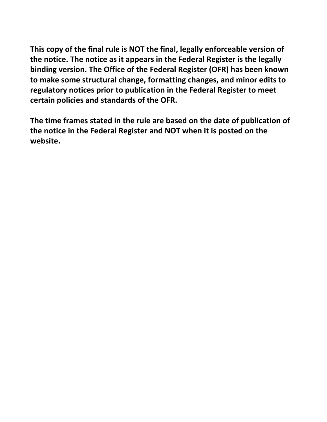**This copy of the final rule is NOT the final, legally enforceable version of the notice. The notice as it appears in the Federal Register is the legally binding version. The Office of the Federal Register (OFR) has been known to make some structural change, formatting changes, and minor edits to regulatory notices prior to publication in the Federal Register to meet certain policies and standards of the OFR.**

**The time frames stated in the rule are based on the date of publication of the notice in the Federal Register and NOT when it is posted on the website.**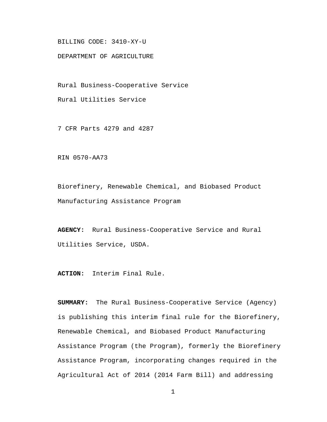BILLING CODE: 3410-XY-U

DEPARTMENT OF AGRICULTURE

Rural Business-Cooperative Service

Rural Utilities Service

7 CFR Parts 4279 and 4287

RIN 0570-AA73

Biorefinery, Renewable Chemical, and Biobased Product Manufacturing Assistance Program

**AGENCY:** Rural Business-Cooperative Service and Rural Utilities Service, USDA.

**ACTION:** Interim Final Rule.

**SUMMARY:** The Rural Business-Cooperative Service (Agency) is publishing this interim final rule for the Biorefinery, Renewable Chemical, and Biobased Product Manufacturing Assistance Program (the Program), formerly the Biorefinery Assistance Program, incorporating changes required in the Agricultural Act of 2014 (2014 Farm Bill) and addressing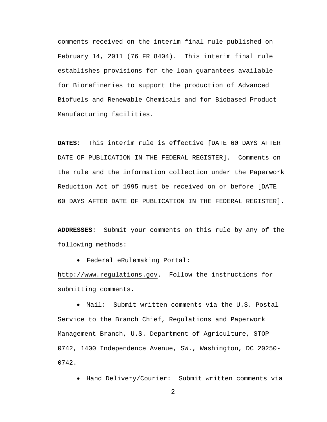comments received on the interim final rule published on February 14, 2011 (76 FR 8404). This interim final rule establishes provisions for the loan guarantees available for Biorefineries to support the production of Advanced Biofuels and Renewable Chemicals and for Biobased Product Manufacturing facilities.

**DATES**: This interim rule is effective [DATE 60 DAYS AFTER DATE OF PUBLICATION IN THE FEDERAL REGISTER]. Comments on the rule and the information collection under the Paperwork Reduction Act of 1995 must be received on or before [DATE 60 DAYS AFTER DATE OF PUBLICATION IN THE FEDERAL REGISTER].

**ADDRESSES**: Submit your comments on this rule by any of the following methods:

• Federal eRulemaking Portal:

http://www.regulations.gov. Follow the instructions for submitting comments.

• Mail: Submit written comments via the U.S. Postal Service to the Branch Chief, Regulations and Paperwork Management Branch, U.S. Department of Agriculture, STOP 0742, 1400 Independence Avenue, SW., Washington, DC 20250- 0742.

• Hand Delivery/Courier: Submit written comments via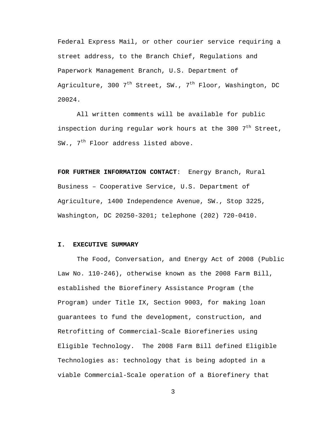Federal Express Mail, or other courier service requiring a street address, to the Branch Chief, Regulations and Paperwork Management Branch, U.S. Department of Agriculture, 300  $7<sup>th</sup>$  Street, SW.,  $7<sup>th</sup>$  Floor, Washington, DC 20024.

All written comments will be available for public inspection during regular work hours at the 300  $7<sup>th</sup>$  Street, SW.,  $7<sup>th</sup>$  Floor address listed above.

**FOR FURTHER INFORMATION CONTACT**: Energy Branch, Rural Business – Cooperative Service, U.S. Department of Agriculture, 1400 Independence Avenue, SW., Stop 3225, Washington, DC 20250-3201; telephone (202) 720-0410.

## **I. EXECUTIVE SUMMARY**

The Food, Conversation, and Energy Act of 2008 (Public Law No. 110-246), otherwise known as the 2008 Farm Bill, established the Biorefinery Assistance Program (the Program) under Title IX, Section 9003, for making loan guarantees to fund the development, construction, and Retrofitting of Commercial-Scale Biorefineries using Eligible Technology. The 2008 Farm Bill defined Eligible Technologies as: technology that is being adopted in a viable Commercial-Scale operation of a Biorefinery that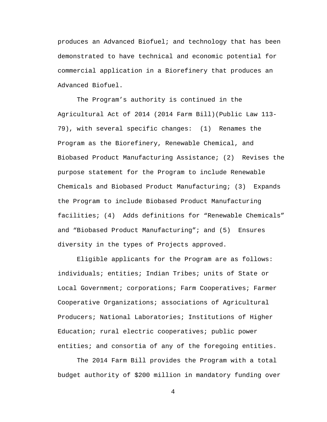produces an Advanced Biofuel; and technology that has been demonstrated to have technical and economic potential for commercial application in a Biorefinery that produces an Advanced Biofuel.

The Program's authority is continued in the Agricultural Act of 2014 (2014 Farm Bill)(Public Law 113- 79), with several specific changes: (1) Renames the Program as the Biorefinery, Renewable Chemical, and Biobased Product Manufacturing Assistance; (2) Revises the purpose statement for the Program to include Renewable Chemicals and Biobased Product Manufacturing; (3) Expands the Program to include Biobased Product Manufacturing facilities; (4) Adds definitions for "Renewable Chemicals" and "Biobased Product Manufacturing"; and (5) Ensures diversity in the types of Projects approved.

Eligible applicants for the Program are as follows: individuals; entities; Indian Tribes; units of State or Local Government; corporations; Farm Cooperatives; Farmer Cooperative Organizations; associations of Agricultural Producers; National Laboratories; Institutions of Higher Education; rural electric cooperatives; public power entities; and consortia of any of the foregoing entities.

The 2014 Farm Bill provides the Program with a total budget authority of \$200 million in mandatory funding over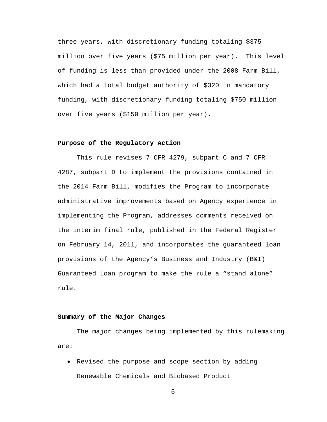three years, with discretionary funding totaling \$375 million over five years (\$75 million per year). This level of funding is less than provided under the 2008 Farm Bill, which had a total budget authority of \$320 in mandatory funding, with discretionary funding totaling \$750 million over five years (\$150 million per year).

#### **Purpose of the Regulatory Action**

This rule revises 7 CFR 4279, subpart C and 7 CFR 4287, subpart D to implement the provisions contained in the 2014 Farm Bill, modifies the Program to incorporate administrative improvements based on Agency experience in implementing the Program, addresses comments received on the interim final rule, published in the Federal Register on February 14, 2011, and incorporates the guaranteed loan provisions of the Agency's Business and Industry (B&I) Guaranteed Loan program to make the rule a "stand alone" rule.

#### **Summary of the Major Changes**

The major changes being implemented by this rulemaking are:

• Revised the purpose and scope section by adding Renewable Chemicals and Biobased Product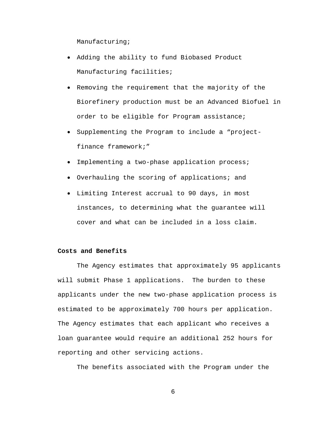Manufacturing;

- Adding the ability to fund Biobased Product Manufacturing facilities;
- Removing the requirement that the majority of the Biorefinery production must be an Advanced Biofuel in order to be eligible for Program assistance;
- Supplementing the Program to include a "projectfinance framework;"
- Implementing a two-phase application process;
- Overhauling the scoring of applications; and
- Limiting Interest accrual to 90 days, in most instances, to determining what the guarantee will cover and what can be included in a loss claim.

# **Costs and Benefits**

The Agency estimates that approximately 95 applicants will submit Phase 1 applications. The burden to these applicants under the new two-phase application process is estimated to be approximately 700 hours per application. The Agency estimates that each applicant who receives a loan guarantee would require an additional 252 hours for reporting and other servicing actions.

The benefits associated with the Program under the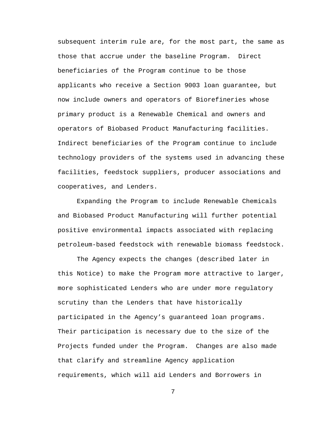subsequent interim rule are, for the most part, the same as those that accrue under the baseline Program. Direct beneficiaries of the Program continue to be those applicants who receive a Section 9003 loan guarantee, but now include owners and operators of Biorefineries whose primary product is a Renewable Chemical and owners and operators of Biobased Product Manufacturing facilities. Indirect beneficiaries of the Program continue to include technology providers of the systems used in advancing these facilities, feedstock suppliers, producer associations and cooperatives, and Lenders.

Expanding the Program to include Renewable Chemicals and Biobased Product Manufacturing will further potential positive environmental impacts associated with replacing petroleum-based feedstock with renewable biomass feedstock.

The Agency expects the changes (described later in this Notice) to make the Program more attractive to larger, more sophisticated Lenders who are under more regulatory scrutiny than the Lenders that have historically participated in the Agency's guaranteed loan programs. Their participation is necessary due to the size of the Projects funded under the Program. Changes are also made that clarify and streamline Agency application requirements, which will aid Lenders and Borrowers in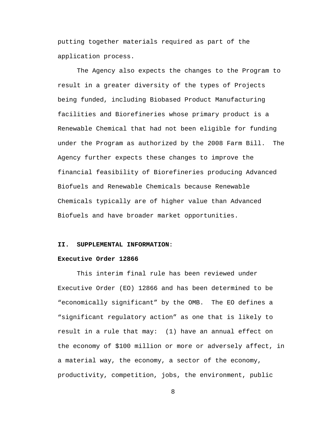putting together materials required as part of the application process.

The Agency also expects the changes to the Program to result in a greater diversity of the types of Projects being funded, including Biobased Product Manufacturing facilities and Biorefineries whose primary product is a Renewable Chemical that had not been eligible for funding under the Program as authorized by the 2008 Farm Bill. The Agency further expects these changes to improve the financial feasibility of Biorefineries producing Advanced Biofuels and Renewable Chemicals because Renewable Chemicals typically are of higher value than Advanced Biofuels and have broader market opportunities.

#### **II. SUPPLEMENTAL INFORMATION**:

#### **Executive Order 12866**

This interim final rule has been reviewed under Executive Order (EO) 12866 and has been determined to be "economically significant" by the OMB. The EO defines a "significant regulatory action" as one that is likely to result in a rule that may: (1) have an annual effect on the economy of \$100 million or more or adversely affect, in a material way, the economy, a sector of the economy, productivity, competition, jobs, the environment, public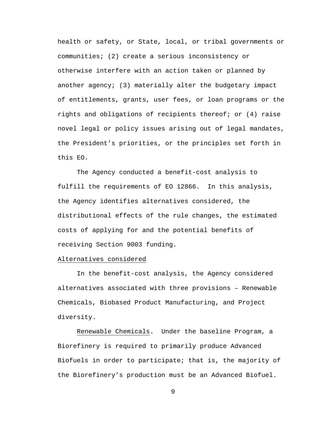health or safety, or State, local, or tribal governments or communities; (2) create a serious inconsistency or otherwise interfere with an action taken or planned by another agency; (3) materially alter the budgetary impact of entitlements, grants, user fees, or loan programs or the rights and obligations of recipients thereof; or (4) raise novel legal or policy issues arising out of legal mandates, the President's priorities, or the principles set forth in this EO.

The Agency conducted a benefit-cost analysis to fulfill the requirements of EO 12866. In this analysis, the Agency identifies alternatives considered, the distributional effects of the rule changes, the estimated costs of applying for and the potential benefits of receiving Section 9003 funding.

#### Alternatives considered

In the benefit-cost analysis, the Agency considered alternatives associated with three provisions – Renewable Chemicals, Biobased Product Manufacturing, and Project diversity.

Renewable Chemicals. Under the baseline Program, a Biorefinery is required to primarily produce Advanced Biofuels in order to participate; that is, the majority of the Biorefinery's production must be an Advanced Biofuel.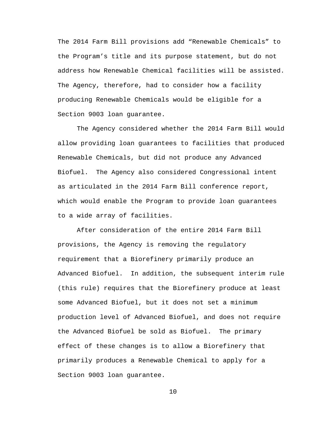The 2014 Farm Bill provisions add "Renewable Chemicals" to the Program's title and its purpose statement, but do not address how Renewable Chemical facilities will be assisted. The Agency, therefore, had to consider how a facility producing Renewable Chemicals would be eligible for a Section 9003 loan guarantee.

The Agency considered whether the 2014 Farm Bill would allow providing loan guarantees to facilities that produced Renewable Chemicals, but did not produce any Advanced Biofuel. The Agency also considered Congressional intent as articulated in the 2014 Farm Bill conference report, which would enable the Program to provide loan guarantees to a wide array of facilities.

After consideration of the entire 2014 Farm Bill provisions, the Agency is removing the regulatory requirement that a Biorefinery primarily produce an Advanced Biofuel. In addition, the subsequent interim rule (this rule) requires that the Biorefinery produce at least some Advanced Biofuel, but it does not set a minimum production level of Advanced Biofuel, and does not require the Advanced Biofuel be sold as Biofuel. The primary effect of these changes is to allow a Biorefinery that primarily produces a Renewable Chemical to apply for a Section 9003 loan guarantee.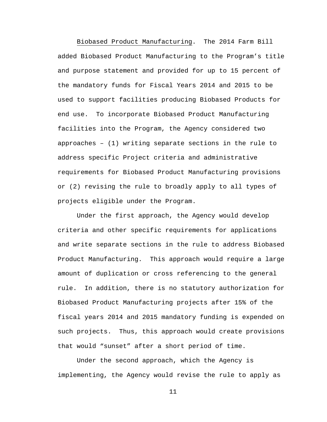Biobased Product Manufacturing. The 2014 Farm Bill added Biobased Product Manufacturing to the Program's title and purpose statement and provided for up to 15 percent of the mandatory funds for Fiscal Years 2014 and 2015 to be used to support facilities producing Biobased Products for end use. To incorporate Biobased Product Manufacturing facilities into the Program, the Agency considered two approaches – (1) writing separate sections in the rule to address specific Project criteria and administrative requirements for Biobased Product Manufacturing provisions or (2) revising the rule to broadly apply to all types of projects eligible under the Program.

Under the first approach, the Agency would develop criteria and other specific requirements for applications and write separate sections in the rule to address Biobased Product Manufacturing. This approach would require a large amount of duplication or cross referencing to the general rule. In addition, there is no statutory authorization for Biobased Product Manufacturing projects after 15% of the fiscal years 2014 and 2015 mandatory funding is expended on such projects. Thus, this approach would create provisions that would "sunset" after a short period of time.

Under the second approach, which the Agency is implementing, the Agency would revise the rule to apply as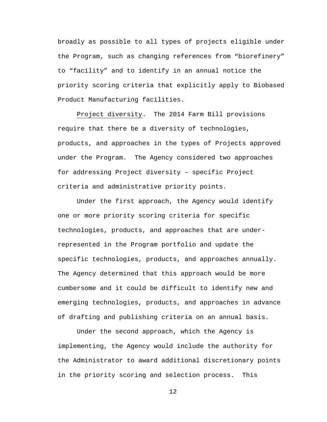broadly as possible to all types of projects eligible under the Program, such as changing references from "biorefinery" to "facility" and to identify in an annual notice the priority scoring criteria that explicitly apply to Biobased Product Manufacturing facilities.

Project diversity. The 2014 Farm Bill provisions require that there be a diversity of technologies, products, and approaches in the types of Projects approved under the Program. The Agency considered two approaches for addressing Project diversity – specific Project criteria and administrative priority points.

Under the first approach, the Agency would identify one or more priority scoring criteria for specific technologies, products, and approaches that are underrepresented in the Program portfolio and update the specific technologies, products, and approaches annually. The Agency determined that this approach would be more cumbersome and it could be difficult to identify new and emerging technologies, products, and approaches in advance of drafting and publishing criteria on an annual basis.

Under the second approach, which the Agency is implementing, the Agency would include the authority for the Administrator to award additional discretionary points in the priority scoring and selection process. This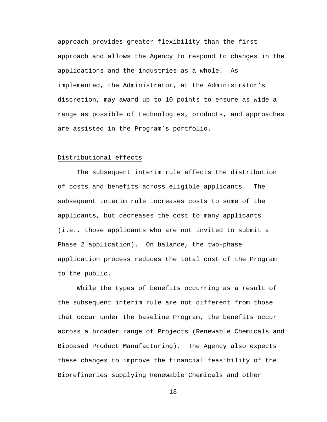approach provides greater flexibility than the first approach and allows the Agency to respond to changes in the applications and the industries as a whole. As implemented, the Administrator, at the Administrator's discretion, may award up to 10 points to ensure as wide a range as possible of technologies, products, and approaches are assisted in the Program's portfolio.

# Distributional effects

The subsequent interim rule affects the distribution of costs and benefits across eligible applicants. The subsequent interim rule increases costs to some of the applicants, but decreases the cost to many applicants (i.e., those applicants who are not invited to submit a Phase 2 application). On balance, the two-phase application process reduces the total cost of the Program to the public.

While the types of benefits occurring as a result of the subsequent interim rule are not different from those that occur under the baseline Program, the benefits occur across a broader range of Projects (Renewable Chemicals and Biobased Product Manufacturing). The Agency also expects these changes to improve the financial feasibility of the Biorefineries supplying Renewable Chemicals and other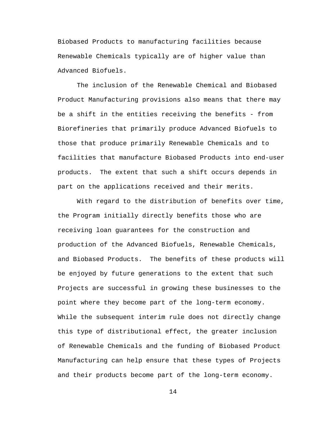Biobased Products to manufacturing facilities because Renewable Chemicals typically are of higher value than Advanced Biofuels.

The inclusion of the Renewable Chemical and Biobased Product Manufacturing provisions also means that there may be a shift in the entities receiving the benefits - from Biorefineries that primarily produce Advanced Biofuels to those that produce primarily Renewable Chemicals and to facilities that manufacture Biobased Products into end-user products. The extent that such a shift occurs depends in part on the applications received and their merits.

With regard to the distribution of benefits over time, the Program initially directly benefits those who are receiving loan guarantees for the construction and production of the Advanced Biofuels, Renewable Chemicals, and Biobased Products. The benefits of these products will be enjoyed by future generations to the extent that such Projects are successful in growing these businesses to the point where they become part of the long-term economy. While the subsequent interim rule does not directly change this type of distributional effect, the greater inclusion of Renewable Chemicals and the funding of Biobased Product Manufacturing can help ensure that these types of Projects and their products become part of the long-term economy.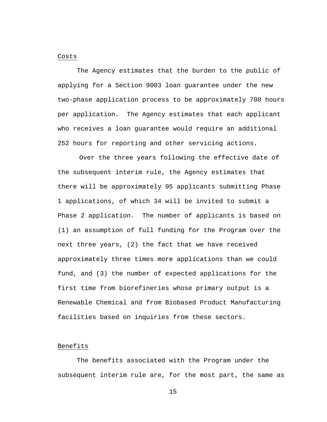#### Costs

The Agency estimates that the burden to the public of applying for a Section 9003 loan guarantee under the new two-phase application process to be approximately 700 hours per application. The Agency estimates that each applicant who receives a loan guarantee would require an additional 252 hours for reporting and other servicing actions.

Over the three years following the effective date of the subsequent interim rule, the Agency estimates that there will be approximately 95 applicants submitting Phase 1 applications, of which 34 will be invited to submit a Phase 2 application. The number of applicants is based on (1) an assumption of full funding for the Program over the next three years, (2) the fact that we have received approximately three times more applications than we could fund, and (3) the number of expected applications for the first time from biorefineries whose primary output is a Renewable Chemical and from Biobased Product Manufacturing facilities based on inquiries from these sectors.

## Benefits

The benefits associated with the Program under the subsequent interim rule are, for the most part, the same as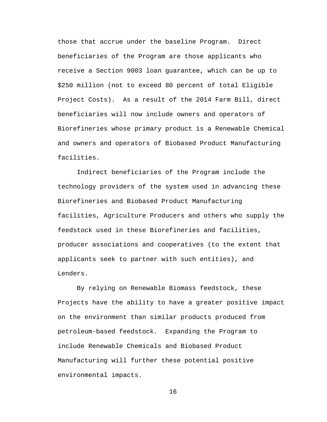those that accrue under the baseline Program. Direct beneficiaries of the Program are those applicants who receive a Section 9003 loan guarantee, which can be up to \$250 million (not to exceed 80 percent of total Eligible Project Costs). As a result of the 2014 Farm Bill, direct beneficiaries will now include owners and operators of Biorefineries whose primary product is a Renewable Chemical and owners and operators of Biobased Product Manufacturing facilities.

Indirect beneficiaries of the Program include the technology providers of the system used in advancing these Biorefineries and Biobased Product Manufacturing facilities, Agriculture Producers and others who supply the feedstock used in these Biorefineries and facilities, producer associations and cooperatives (to the extent that applicants seek to partner with such entities), and Lenders.

By relying on Renewable Biomass feedstock, these Projects have the ability to have a greater positive impact on the environment than similar products produced from petroleum-based feedstock. Expanding the Program to include Renewable Chemicals and Biobased Product Manufacturing will further these potential positive environmental impacts.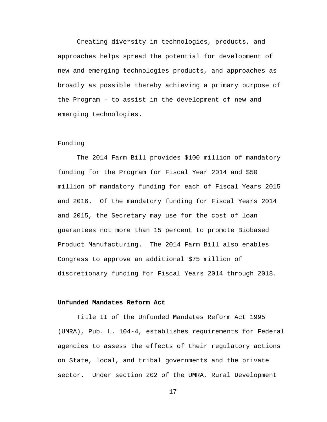Creating diversity in technologies, products, and approaches helps spread the potential for development of new and emerging technologies products, and approaches as broadly as possible thereby achieving a primary purpose of the Program - to assist in the development of new and emerging technologies.

## Funding

The 2014 Farm Bill provides \$100 million of mandatory funding for the Program for Fiscal Year 2014 and \$50 million of mandatory funding for each of Fiscal Years 2015 and 2016. Of the mandatory funding for Fiscal Years 2014 and 2015, the Secretary may use for the cost of loan guarantees not more than 15 percent to promote Biobased Product Manufacturing. The 2014 Farm Bill also enables Congress to approve an additional \$75 million of discretionary funding for Fiscal Years 2014 through 2018.

## **Unfunded Mandates Reform Act**

Title II of the Unfunded Mandates Reform Act 1995 (UMRA), Pub. L. 104-4, establishes requirements for Federal agencies to assess the effects of their regulatory actions on State, local, and tribal governments and the private sector. Under section 202 of the UMRA, Rural Development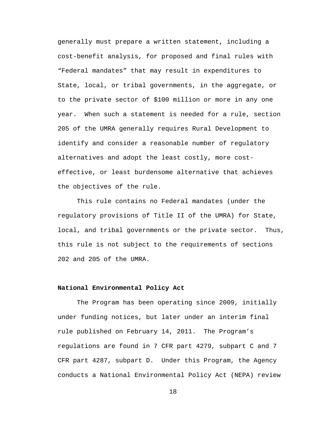generally must prepare a written statement, including a cost-benefit analysis, for proposed and final rules with "Federal mandates" that may result in expenditures to State, local, or tribal governments, in the aggregate, or to the private sector of \$100 million or more in any one year. When such a statement is needed for a rule, section 205 of the UMRA generally requires Rural Development to identify and consider a reasonable number of regulatory alternatives and adopt the least costly, more costeffective, or least burdensome alternative that achieves the objectives of the rule.

This rule contains no Federal mandates (under the regulatory provisions of Title II of the UMRA) for State, local, and tribal governments or the private sector. Thus, this rule is not subject to the requirements of sections 202 and 205 of the UMRA.

## **National Environmental Policy Act**

The Program has been operating since 2009, initially under funding notices, but later under an interim final rule published on February 14, 2011. The Program's regulations are found in 7 CFR part 4279, subpart C and 7 CFR part 4287, subpart D. Under this Program, the Agency conducts a National Environmental Policy Act (NEPA) review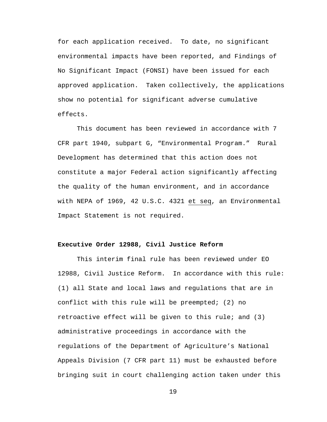for each application received. To date, no significant environmental impacts have been reported, and Findings of No Significant Impact (FONSI) have been issued for each approved application. Taken collectively, the applications show no potential for significant adverse cumulative effects.

This document has been reviewed in accordance with 7 CFR part 1940, subpart G, "Environmental Program." Rural Development has determined that this action does not constitute a major Federal action significantly affecting the quality of the human environment, and in accordance with NEPA of 1969, 42 U.S.C. 4321 et seq, an Environmental Impact Statement is not required.

# **Executive Order 12988, Civil Justice Reform**

This interim final rule has been reviewed under EO 12988, Civil Justice Reform. In accordance with this rule: (1) all State and local laws and regulations that are in conflict with this rule will be preempted; (2) no retroactive effect will be given to this rule; and (3) administrative proceedings in accordance with the regulations of the Department of Agriculture's National Appeals Division (7 CFR part 11) must be exhausted before bringing suit in court challenging action taken under this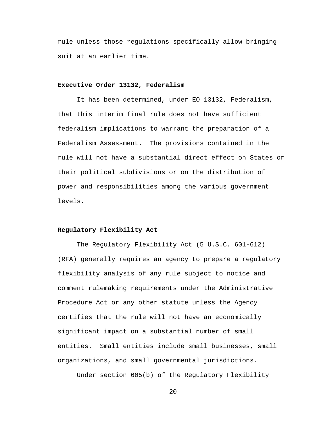rule unless those regulations specifically allow bringing suit at an earlier time.

## **Executive Order 13132, Federalism**

It has been determined, under EO 13132, Federalism, that this interim final rule does not have sufficient federalism implications to warrant the preparation of a Federalism Assessment. The provisions contained in the rule will not have a substantial direct effect on States or their political subdivisions or on the distribution of power and responsibilities among the various government levels.

## **Regulatory Flexibility Act**

The Regulatory Flexibility Act (5 U.S.C. 601-612) (RFA) generally requires an agency to prepare a regulatory flexibility analysis of any rule subject to notice and comment rulemaking requirements under the Administrative Procedure Act or any other statute unless the Agency certifies that the rule will not have an economically significant impact on a substantial number of small entities. Small entities include small businesses, small organizations, and small governmental jurisdictions.

Under section 605(b) of the Regulatory Flexibility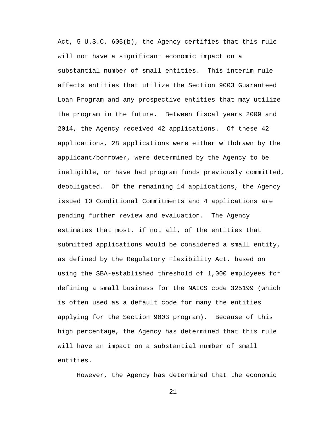Act, 5 U.S.C. 605(b), the Agency certifies that this rule will not have a significant economic impact on a substantial number of small entities. This interim rule affects entities that utilize the Section 9003 Guaranteed Loan Program and any prospective entities that may utilize the program in the future. Between fiscal years 2009 and 2014, the Agency received 42 applications. Of these 42 applications, 28 applications were either withdrawn by the applicant/borrower, were determined by the Agency to be ineligible, or have had program funds previously committed, deobligated. Of the remaining 14 applications, the Agency issued 10 Conditional Commitments and 4 applications are pending further review and evaluation. The Agency estimates that most, if not all, of the entities that submitted applications would be considered a small entity, as defined by the Regulatory Flexibility Act, based on using the SBA-established threshold of 1,000 employees for defining a small business for the NAICS code 325199 (which is often used as a default code for many the entities applying for the Section 9003 program). Because of this high percentage, the Agency has determined that this rule will have an impact on a substantial number of small entities.

However, the Agency has determined that the economic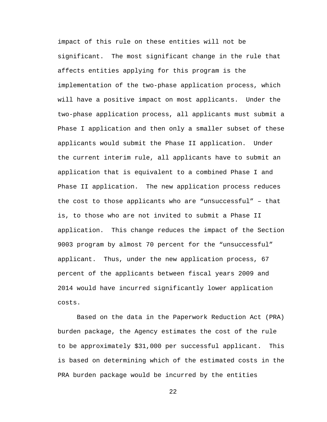impact of this rule on these entities will not be significant. The most significant change in the rule that affects entities applying for this program is the implementation of the two-phase application process, which will have a positive impact on most applicants. Under the two-phase application process, all applicants must submit a Phase I application and then only a smaller subset of these applicants would submit the Phase II application. Under the current interim rule, all applicants have to submit an application that is equivalent to a combined Phase I and Phase II application. The new application process reduces the cost to those applicants who are "unsuccessful" – that is, to those who are not invited to submit a Phase II application. This change reduces the impact of the Section 9003 program by almost 70 percent for the "unsuccessful" applicant. Thus, under the new application process, 67 percent of the applicants between fiscal years 2009 and 2014 would have incurred significantly lower application costs.

Based on the data in the Paperwork Reduction Act (PRA) burden package, the Agency estimates the cost of the rule to be approximately \$31,000 per successful applicant. This is based on determining which of the estimated costs in the PRA burden package would be incurred by the entities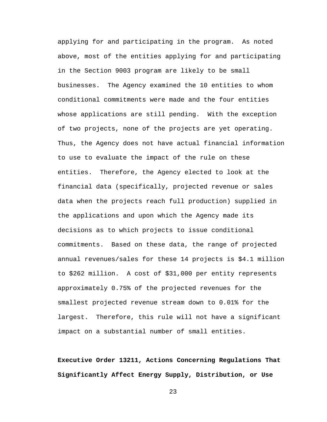applying for and participating in the program. As noted above, most of the entities applying for and participating in the Section 9003 program are likely to be small businesses. The Agency examined the 10 entities to whom conditional commitments were made and the four entities whose applications are still pending. With the exception of two projects, none of the projects are yet operating. Thus, the Agency does not have actual financial information to use to evaluate the impact of the rule on these entities. Therefore, the Agency elected to look at the financial data (specifically, projected revenue or sales data when the projects reach full production) supplied in the applications and upon which the Agency made its decisions as to which projects to issue conditional commitments. Based on these data, the range of projected annual revenues/sales for these 14 projects is \$4.1 million to \$262 million. A cost of \$31,000 per entity represents approximately 0.75% of the projected revenues for the smallest projected revenue stream down to 0.01% for the largest. Therefore, this rule will not have a significant impact on a substantial number of small entities.

**Executive Order 13211, Actions Concerning Regulations That Significantly Affect Energy Supply, Distribution, or Use**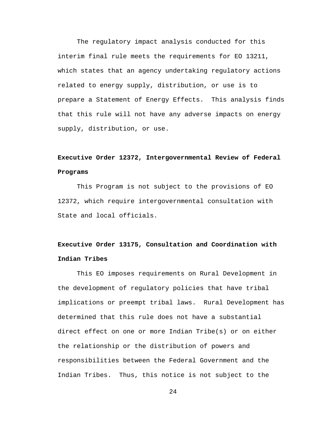The regulatory impact analysis conducted for this interim final rule meets the requirements for EO 13211, which states that an agency undertaking regulatory actions related to energy supply, distribution, or use is to prepare a Statement of Energy Effects. This analysis finds that this rule will not have any adverse impacts on energy supply, distribution, or use.

# **Executive Order 12372, Intergovernmental Review of Federal Programs**

This Program is not subject to the provisions of EO 12372, which require intergovernmental consultation with State and local officials.

# **Executive Order 13175, Consultation and Coordination with Indian Tribes**

This EO imposes requirements on Rural Development in the development of regulatory policies that have tribal implications or preempt tribal laws. Rural Development has determined that this rule does not have a substantial direct effect on one or more Indian Tribe(s) or on either the relationship or the distribution of powers and responsibilities between the Federal Government and the Indian Tribes. Thus, this notice is not subject to the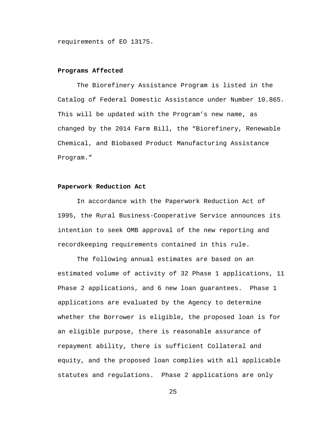requirements of EO 13175.

## **Programs Affected**

The Biorefinery Assistance Program is listed in the Catalog of Federal Domestic Assistance under Number 10.865. This will be updated with the Program's new name, as changed by the 2014 Farm Bill, the "Biorefinery, Renewable Chemical, and Biobased Product Manufacturing Assistance Program."

## **Paperwork Reduction Act**

In accordance with the Paperwork Reduction Act of 1995, the Rural Business-Cooperative Service announces its intention to seek OMB approval of the new reporting and recordkeeping requirements contained in this rule.

The following annual estimates are based on an estimated volume of activity of 32 Phase 1 applications, 11 Phase 2 applications, and 6 new loan guarantees. Phase 1 applications are evaluated by the Agency to determine whether the Borrower is eligible, the proposed loan is for an eligible purpose, there is reasonable assurance of repayment ability, there is sufficient Collateral and equity, and the proposed loan complies with all applicable statutes and regulations. Phase 2 applications are only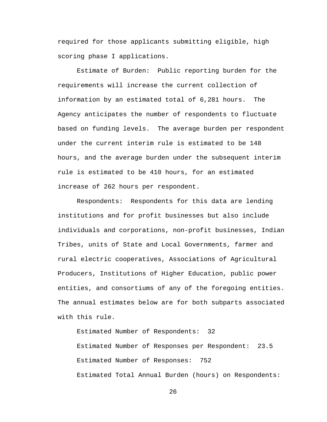required for those applicants submitting eligible, high scoring phase I applications.

Estimate of Burden: Public reporting burden for the requirements will increase the current collection of information by an estimated total of 6,281 hours. The Agency anticipates the number of respondents to fluctuate based on funding levels. The average burden per respondent under the current interim rule is estimated to be 148 hours, and the average burden under the subsequent interim rule is estimated to be 410 hours, for an estimated increase of 262 hours per respondent.

Respondents: Respondents for this data are lending institutions and for profit businesses but also include individuals and corporations, non-profit businesses, Indian Tribes, units of State and Local Governments, farmer and rural electric cooperatives, Associations of Agricultural Producers, Institutions of Higher Education, public power entities, and consortiums of any of the foregoing entities. The annual estimates below are for both subparts associated with this rule.

Estimated Number of Respondents: 32 Estimated Number of Responses per Respondent: 23.5 Estimated Number of Responses: 752 Estimated Total Annual Burden (hours) on Respondents: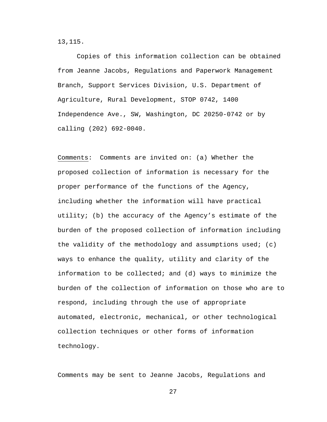13,115.

Copies of this information collection can be obtained from Jeanne Jacobs, Regulations and Paperwork Management Branch, Support Services Division, U.S. Department of Agriculture, Rural Development, STOP 0742, 1400 Independence Ave., SW, Washington, DC 20250-0742 or by calling (202) 692-0040.

Comments: Comments are invited on: (a) Whether the proposed collection of information is necessary for the proper performance of the functions of the Agency, including whether the information will have practical utility; (b) the accuracy of the Agency's estimate of the burden of the proposed collection of information including the validity of the methodology and assumptions used; (c) ways to enhance the quality, utility and clarity of the information to be collected; and (d) ways to minimize the burden of the collection of information on those who are to respond, including through the use of appropriate automated, electronic, mechanical, or other technological collection techniques or other forms of information technology.

Comments may be sent to Jeanne Jacobs, Regulations and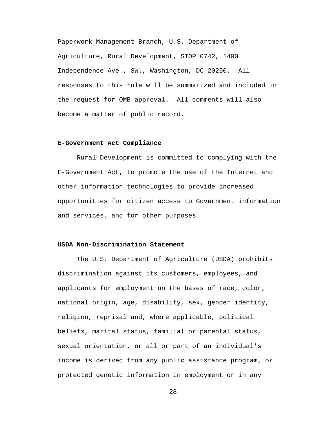Paperwork Management Branch, U.S. Department of Agriculture, Rural Development, STOP 0742, 1400 Independence Ave., SW., Washington, DC 20250. All responses to this rule will be summarized and included in the request for OMB approval. All comments will also become a matter of public record.

#### **E-Government Act Compliance**

Rural Development is committed to complying with the E-Government Act, to promote the use of the Internet and other information technologies to provide increased opportunities for citizen access to Government information and services, and for other purposes.

# **USDA Non-Discrimination Statement**

The U.S. Department of Agriculture (USDA) prohibits discrimination against its customers, employees, and applicants for employment on the bases of race, color, national origin, age, disability, sex, gender identity, religion, reprisal and, where applicable, political beliefs, marital status, familial or parental status, sexual orientation, or all or part of an individual's income is derived from any public assistance program, or protected genetic information in employment or in any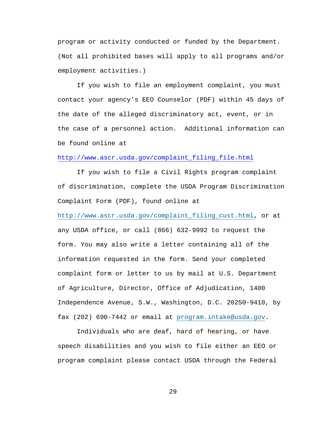program or activity conducted or funded by the Department. (Not all prohibited bases will apply to all programs and/or employment activities.)

If you wish to file an employment complaint, you must contact your agency's EEO Counselor (PDF) within 45 days of the date of the alleged discriminatory act, event, or in the case of a personnel action. Additional information can be found online at

# [http://www.ascr.usda.gov/complaint\\_filing\\_file.html](http://www.ascr.usda.gov/complaint_filing_file.html)

If you wish to file a Civil Rights program complaint of discrimination, complete the USDA Program Discrimination Complaint Form (PDF), found online at

[http://www.ascr.usda.gov/complaint\\_filing\\_cust.html,](http://www.ascr.usda.gov/complaint_filing_cust.html) or at any USDA office, or call (866) 632-9992 to request the form. You may also write a letter containing all of the information requested in the form. Send your completed complaint form or letter to us by mail at U.S. Department of Agriculture, Director, Office of Adjudication, 1400 Independence Avenue, S.W., Washington, D.C. 20250-9410, by fax (202) 690-7442 or email at [program.intake@usda.gov.](http://program.intake@usda.gov/)

Individuals who are deaf, hard of hearing, or have speech disabilities and you wish to file either an EEO or program complaint please contact USDA through the Federal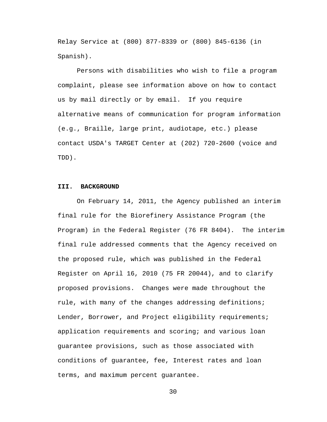Relay Service at (800) 877-8339 or (800) 845-6136 (in Spanish).

Persons with disabilities who wish to file a program complaint, please see information above on how to contact us by mail directly or by email. If you require alternative means of communication for program information (e.g., Braille, large print, audiotape, etc.) please contact USDA's TARGET Center at (202) 720-2600 (voice and TDD).

#### **III. BACKGROUND**

On February 14, 2011, the Agency published an interim final rule for the Biorefinery Assistance Program (the Program) in the Federal Register (76 FR 8404). The interim final rule addressed comments that the Agency received on the proposed rule, which was published in the Federal Register on April 16, 2010 (75 FR 20044), and to clarify proposed provisions. Changes were made throughout the rule, with many of the changes addressing definitions; Lender, Borrower, and Project eligibility requirements; application requirements and scoring; and various loan guarantee provisions, such as those associated with conditions of guarantee, fee, Interest rates and loan terms, and maximum percent guarantee.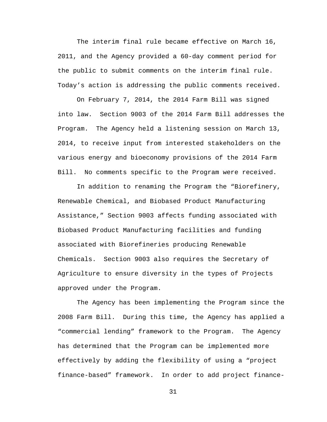The interim final rule became effective on March 16, 2011, and the Agency provided a 60-day comment period for the public to submit comments on the interim final rule. Today's action is addressing the public comments received.

On February 7, 2014, the 2014 Farm Bill was signed into law. Section 9003 of the 2014 Farm Bill addresses the Program. The Agency held a listening session on March 13, 2014, to receive input from interested stakeholders on the various energy and bioeconomy provisions of the 2014 Farm Bill. No comments specific to the Program were received.

In addition to renaming the Program the "Biorefinery, Renewable Chemical, and Biobased Product Manufacturing Assistance," Section 9003 affects funding associated with Biobased Product Manufacturing facilities and funding associated with Biorefineries producing Renewable Chemicals. Section 9003 also requires the Secretary of Agriculture to ensure diversity in the types of Projects approved under the Program.

The Agency has been implementing the Program since the 2008 Farm Bill. During this time, the Agency has applied a "commercial lending" framework to the Program. The Agency has determined that the Program can be implemented more effectively by adding the flexibility of using a "project finance-based" framework. In order to add project finance-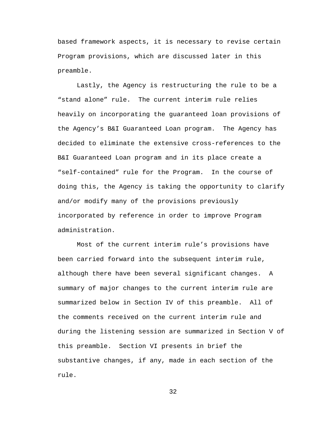based framework aspects, it is necessary to revise certain Program provisions, which are discussed later in this preamble.

Lastly, the Agency is restructuring the rule to be a "stand alone" rule. The current interim rule relies heavily on incorporating the guaranteed loan provisions of the Agency's B&I Guaranteed Loan program. The Agency has decided to eliminate the extensive cross-references to the B&I Guaranteed Loan program and in its place create a "self-contained" rule for the Program. In the course of doing this, the Agency is taking the opportunity to clarify and/or modify many of the provisions previously incorporated by reference in order to improve Program administration.

Most of the current interim rule's provisions have been carried forward into the subsequent interim rule, although there have been several significant changes. A summary of major changes to the current interim rule are summarized below in Section IV of this preamble. All of the comments received on the current interim rule and during the listening session are summarized in Section V of this preamble. Section VI presents in brief the substantive changes, if any, made in each section of the rule.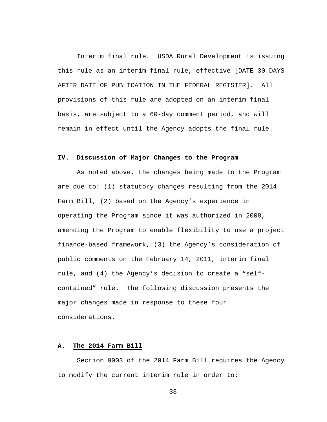Interim final rule. USDA Rural Development is issuing this rule as an interim final rule, effective [DATE 30 DAYS AFTER DATE OF PUBLICATION IN THE FEDERAL REGISTER]. All provisions of this rule are adopted on an interim final basis, are subject to a 60-day comment period, and will remain in effect until the Agency adopts the final rule.

# **IV. Discussion of Major Changes to the Program**

As noted above, the changes being made to the Program are due to: (1) statutory changes resulting from the 2014 Farm Bill, (2) based on the Agency's experience in operating the Program since it was authorized in 2008, amending the Program to enable flexibility to use a project finance-based framework, (3) the Agency's consideration of public comments on the February 14, 2011, interim final rule, and (4) the Agency's decision to create a "selfcontained" rule. The following discussion presents the major changes made in response to these four considerations.

## **A. The 2014 Farm Bill**

Section 9003 of the 2014 Farm Bill requires the Agency to modify the current interim rule in order to: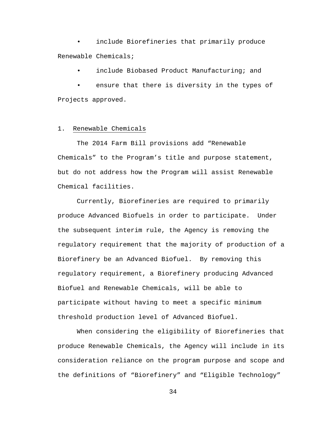include Biorefineries that primarily produce Renewable Chemicals;

include Biobased Product Manufacturing; and

ensure that there is diversity in the types of Projects approved.

## 1. Renewable Chemicals

The 2014 Farm Bill provisions add "Renewable Chemicals" to the Program's title and purpose statement, but do not address how the Program will assist Renewable Chemical facilities.

Currently, Biorefineries are required to primarily produce Advanced Biofuels in order to participate. Under the subsequent interim rule, the Agency is removing the regulatory requirement that the majority of production of a Biorefinery be an Advanced Biofuel. By removing this regulatory requirement, a Biorefinery producing Advanced Biofuel and Renewable Chemicals, will be able to participate without having to meet a specific minimum threshold production level of Advanced Biofuel.

When considering the eligibility of Biorefineries that produce Renewable Chemicals, the Agency will include in its consideration reliance on the program purpose and scope and the definitions of "Biorefinery" and "Eligible Technology"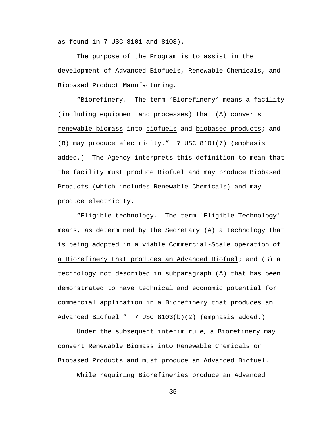as found in 7 USC 8101 and 8103).

The purpose of the Program is to assist in the development of Advanced Biofuels, Renewable Chemicals, and Biobased Product Manufacturing.

"Biorefinery.--The term 'Biorefinery' means a facility (including equipment and processes) that (A) converts renewable biomass into biofuels and biobased products; and (B) may produce electricity." 7 USC 8101(7) (emphasis added.) The Agency interprets this definition to mean that the facility must produce Biofuel and may produce Biobased Products (which includes Renewable Chemicals) and may produce electricity.

"Eligible technology.--The term `Eligible Technology' means, as determined by the Secretary (A) a technology that is being adopted in a viable Commercial-Scale operation of a Biorefinery that produces an Advanced Biofuel; and (B) a technology not described in subparagraph (A) that has been demonstrated to have technical and economic potential for commercial application in a Biorefinery that produces an Advanced Biofuel." 7 USC 8103(b)(2) (emphasis added.)

Under the subsequent interim rule, a Biorefinery may convert Renewable Biomass into Renewable Chemicals or Biobased Products and must produce an Advanced Biofuel.

While requiring Biorefineries produce an Advanced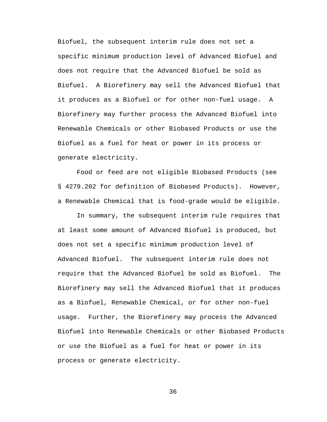Biofuel, the subsequent interim rule does not set a specific minimum production level of Advanced Biofuel and does not require that the Advanced Biofuel be sold as Biofuel. A Biorefinery may sell the Advanced Biofuel that it produces as a Biofuel or for other non-fuel usage. A Biorefinery may further process the Advanced Biofuel into Renewable Chemicals or other Biobased Products or use the Biofuel as a fuel for heat or power in its process or generate electricity.

Food or feed are not eligible Biobased Products (see § 4279.202 for definition of Biobased Products). However, a Renewable Chemical that is food-grade would be eligible.

In summary, the subsequent interim rule requires that at least some amount of Advanced Biofuel is produced, but does not set a specific minimum production level of Advanced Biofuel. The subsequent interim rule does not require that the Advanced Biofuel be sold as Biofuel. The Biorefinery may sell the Advanced Biofuel that it produces as a Biofuel, Renewable Chemical, or for other non-fuel usage. Further, the Biorefinery may process the Advanced Biofuel into Renewable Chemicals or other Biobased Products or use the Biofuel as a fuel for heat or power in its process or generate electricity.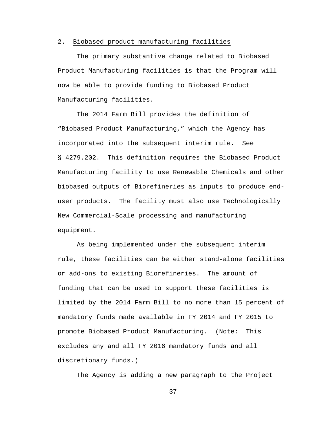#### 2. Biobased product manufacturing facilities

The primary substantive change related to Biobased Product Manufacturing facilities is that the Program will now be able to provide funding to Biobased Product Manufacturing facilities.

The 2014 Farm Bill provides the definition of "Biobased Product Manufacturing," which the Agency has incorporated into the subsequent interim rule. See § 4279.202. This definition requires the Biobased Product Manufacturing facility to use Renewable Chemicals and other biobased outputs of Biorefineries as inputs to produce enduser products. The facility must also use Technologically New Commercial-Scale processing and manufacturing equipment.

As being implemented under the subsequent interim rule, these facilities can be either stand-alone facilities or add-ons to existing Biorefineries. The amount of funding that can be used to support these facilities is limited by the 2014 Farm Bill to no more than 15 percent of mandatory funds made available in FY 2014 and FY 2015 to promote Biobased Product Manufacturing. (Note: This excludes any and all FY 2016 mandatory funds and all discretionary funds.)

The Agency is adding a new paragraph to the Project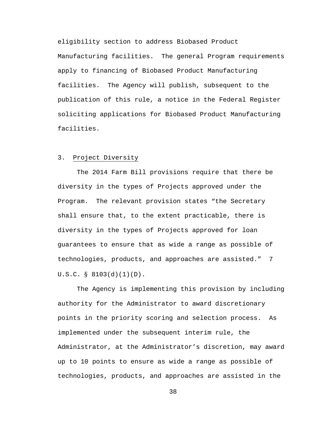eligibility section to address Biobased Product Manufacturing facilities. The general Program requirements apply to financing of Biobased Product Manufacturing facilities. The Agency will publish, subsequent to the publication of this rule, a notice in the Federal Register soliciting applications for Biobased Product Manufacturing facilities.

# 3. Project Diversity

The 2014 Farm Bill provisions require that there be diversity in the types of Projects approved under the Program. The relevant provision states "the Secretary shall ensure that, to the extent practicable, there is diversity in the types of Projects approved for loan guarantees to ensure that as wide a range as possible of technologies, products, and approaches are assisted." 7 U.S.C. § 8103(d)(1)(D).

The Agency is implementing this provision by including authority for the Administrator to award discretionary points in the priority scoring and selection process. As implemented under the subsequent interim rule, the Administrator, at the Administrator's discretion, may award up to 10 points to ensure as wide a range as possible of technologies, products, and approaches are assisted in the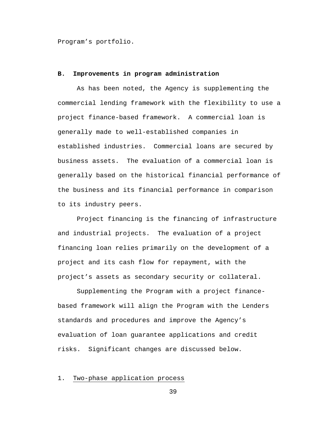Program's portfolio.

## **B. Improvements in program administration**

As has been noted, the Agency is supplementing the commercial lending framework with the flexibility to use a project finance-based framework. A commercial loan is generally made to well-established companies in established industries. Commercial loans are secured by business assets. The evaluation of a commercial loan is generally based on the historical financial performance of the business and its financial performance in comparison to its industry peers.

Project financing is the financing of infrastructure and industrial projects. The evaluation of a project financing loan relies primarily on the development of a project and its cash flow for repayment, with the project's assets as secondary security or collateral.

Supplementing the Program with a project financebased framework will align the Program with the Lenders standards and procedures and improve the Agency's evaluation of loan guarantee applications and credit risks. Significant changes are discussed below.

### 1. Two-phase application process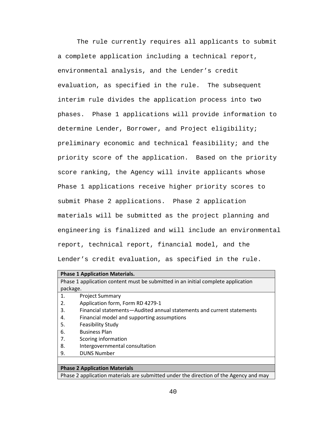The rule currently requires all applicants to submit a complete application including a technical report, environmental analysis, and the Lender's credit evaluation, as specified in the rule. The subsequent interim rule divides the application process into two phases. Phase 1 applications will provide information to determine Lender, Borrower, and Project eligibility; preliminary economic and technical feasibility; and the priority score of the application. Based on the priority score ranking, the Agency will invite applicants whose Phase 1 applications receive higher priority scores to submit Phase 2 applications. Phase 2 application materials will be submitted as the project planning and engineering is finalized and will include an environmental report, technical report, financial model, and the Lender's credit evaluation, as specified in the rule.

| <b>Phase 1 Application Materials.</b>                                                 |                                                                       |  |
|---------------------------------------------------------------------------------------|-----------------------------------------------------------------------|--|
| Phase 1 application content must be submitted in an initial complete application      |                                                                       |  |
| package.                                                                              |                                                                       |  |
| 1.                                                                                    | <b>Project Summary</b>                                                |  |
| 2.                                                                                    | Application form, Form RD 4279-1                                      |  |
| 3.                                                                                    | Financial statements-Audited annual statements and current statements |  |
| 4.                                                                                    | Financial model and supporting assumptions                            |  |
| 5.                                                                                    | <b>Feasibility Study</b>                                              |  |
| 6.                                                                                    | <b>Business Plan</b>                                                  |  |
| 7.                                                                                    | Scoring information                                                   |  |
| 8.                                                                                    | Intergovernmental consultation                                        |  |
| 9.                                                                                    | <b>DUNS Number</b>                                                    |  |
|                                                                                       |                                                                       |  |
| <b>Phase 2 Application Materials</b>                                                  |                                                                       |  |
| Phase 2 application materials are submitted under the direction of the Agency and may |                                                                       |  |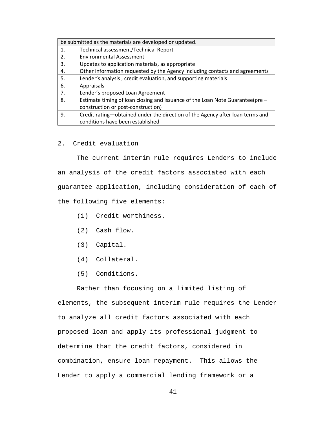| be submitted as the materials are developed or updated. |                                                                                |
|---------------------------------------------------------|--------------------------------------------------------------------------------|
| 1.                                                      | Technical assessment/Technical Report                                          |
| 2.                                                      | <b>Environmental Assessment</b>                                                |
| 3.                                                      | Updates to application materials, as appropriate                               |
| 4.                                                      | Other information requested by the Agency including contacts and agreements    |
| 5.                                                      | Lender's analysis, credit evaluation, and supporting materials                 |
| 6.                                                      | Appraisals                                                                     |
| 7.                                                      | Lender's proposed Loan Agreement                                               |
| 8.                                                      | Estimate timing of loan closing and issuance of the Loan Note Guarantee (pre - |
|                                                         | construction or post-construction)                                             |
| 9.                                                      | Credit rating—obtained under the direction of the Agency after loan terms and  |
|                                                         | conditions have been established                                               |

# 2. Credit evaluation

The current interim rule requires Lenders to include an analysis of the credit factors associated with each guarantee application, including consideration of each of the following five elements:

- (1) Credit worthiness.
- (2) Cash flow.
- (3) Capital.
- (4) Collateral.
- (5) Conditions.

Rather than focusing on a limited listing of elements, the subsequent interim rule requires the Lender to analyze all credit factors associated with each proposed loan and apply its professional judgment to determine that the credit factors, considered in combination, ensure loan repayment. This allows the Lender to apply a commercial lending framework or a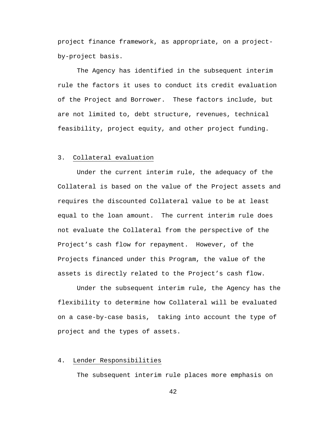project finance framework, as appropriate, on a projectby-project basis.

The Agency has identified in the subsequent interim rule the factors it uses to conduct its credit evaluation of the Project and Borrower. These factors include, but are not limited to, debt structure, revenues, technical feasibility, project equity, and other project funding.

## 3. Collateral evaluation

Under the current interim rule, the adequacy of the Collateral is based on the value of the Project assets and requires the discounted Collateral value to be at least equal to the loan amount. The current interim rule does not evaluate the Collateral from the perspective of the Project's cash flow for repayment. However, of the Projects financed under this Program, the value of the assets is directly related to the Project's cash flow.

Under the subsequent interim rule, the Agency has the flexibility to determine how Collateral will be evaluated on a case-by-case basis, taking into account the type of project and the types of assets.

### 4. Lender Responsibilities

The subsequent interim rule places more emphasis on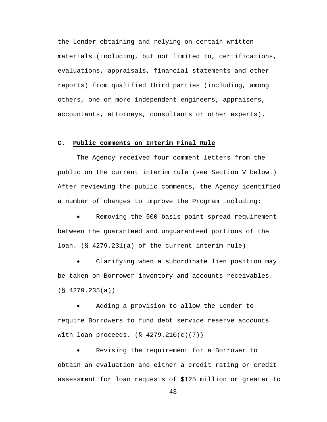the Lender obtaining and relying on certain written materials (including, but not limited to, certifications, evaluations, appraisals, financial statements and other reports) from qualified third parties (including, among others, one or more independent engineers, appraisers, accountants, attorneys, consultants or other experts).

### **C. Public comments on Interim Final Rule**

The Agency received four comment letters from the public on the current interim rule (see Section V below.) After reviewing the public comments, the Agency identified a number of changes to improve the Program including:

Removing the 500 basis point spread requirement between the guaranteed and unguaranteed portions of the loan. (§ 4279.231(a) of the current interim rule)

Clarifying when a subordinate lien position may be taken on Borrower inventory and accounts receivables. (§ 4279.235(a))

Adding a provision to allow the Lender to require Borrowers to fund debt service reserve accounts with loan proceeds. (§ 4279.210(c)(7))

Revising the requirement for a Borrower to obtain an evaluation and either a credit rating or credit assessment for loan requests of \$125 million or greater to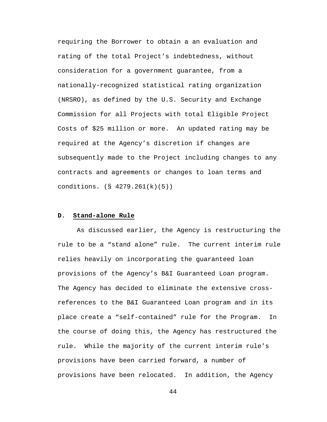requiring the Borrower to obtain a an evaluation and rating of the total Project's indebtedness, without consideration for a government guarantee, from a nationally-recognized statistical rating organization (NRSRO), as defined by the U.S. Security and Exchange Commission for all Projects with total Eligible Project Costs of \$25 million or more. An updated rating may be required at the Agency's discretion if changes are subsequently made to the Project including changes to any contracts and agreements or changes to loan terms and conditions. (§ 4279.261(k)(5))

### **D. Stand-alone Rule**

As discussed earlier, the Agency is restructuring the rule to be a "stand alone" rule. The current interim rule relies heavily on incorporating the guaranteed loan provisions of the Agency's B&I Guaranteed Loan program. The Agency has decided to eliminate the extensive crossreferences to the B&I Guaranteed Loan program and in its place create a "self-contained" rule for the Program. In the course of doing this, the Agency has restructured the rule. While the majority of the current interim rule's provisions have been carried forward, a number of provisions have been relocated. In addition, the Agency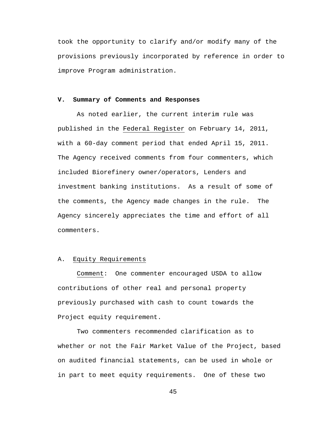took the opportunity to clarify and/or modify many of the provisions previously incorporated by reference in order to improve Program administration.

## **V. Summary of Comments and Responses**

As noted earlier, the current interim rule was published in the Federal Register on February 14, 2011, with a 60-day comment period that ended April 15, 2011. The Agency received comments from four commenters, which included Biorefinery owner/operators, Lenders and investment banking institutions. As a result of some of the comments, the Agency made changes in the rule. The Agency sincerely appreciates the time and effort of all commenters.

### A. Equity Requirements

Comment: One commenter encouraged USDA to allow contributions of other real and personal property previously purchased with cash to count towards the Project equity requirement.

Two commenters recommended clarification as to whether or not the Fair Market Value of the Project, based on audited financial statements, can be used in whole or in part to meet equity requirements. One of these two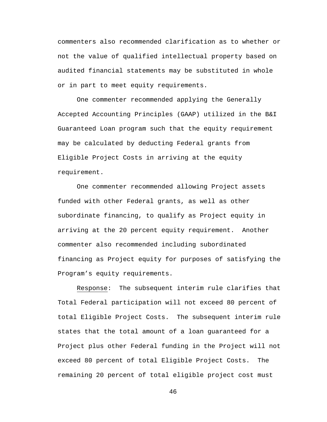commenters also recommended clarification as to whether or not the value of qualified intellectual property based on audited financial statements may be substituted in whole or in part to meet equity requirements.

One commenter recommended applying the Generally Accepted Accounting Principles (GAAP) utilized in the B&I Guaranteed Loan program such that the equity requirement may be calculated by deducting Federal grants from Eligible Project Costs in arriving at the equity requirement.

One commenter recommended allowing Project assets funded with other Federal grants, as well as other subordinate financing, to qualify as Project equity in arriving at the 20 percent equity requirement. Another commenter also recommended including subordinated financing as Project equity for purposes of satisfying the Program's equity requirements.

Response: The subsequent interim rule clarifies that Total Federal participation will not exceed 80 percent of total Eligible Project Costs. The subsequent interim rule states that the total amount of a loan guaranteed for a Project plus other Federal funding in the Project will not exceed 80 percent of total Eligible Project Costs. The remaining 20 percent of total eligible project cost must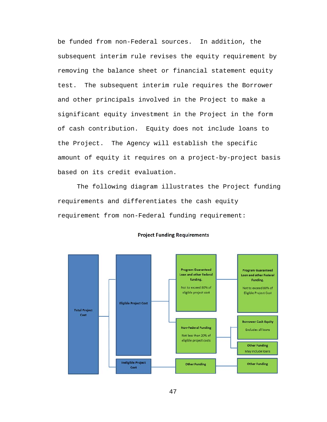be funded from non-Federal sources. In addition, the subsequent interim rule revises the equity requirement by removing the balance sheet or financial statement equity test. The subsequent interim rule requires the Borrower and other principals involved in the Project to make a significant equity investment in the Project in the form of cash contribution. Equity does not include loans to the Project. The Agency will establish the specific amount of equity it requires on a project-by-project basis based on its credit evaluation.

The following diagram illustrates the Project funding requirements and differentiates the cash equity requirement from non-Federal funding requirement:



#### **Project Funding Requirements**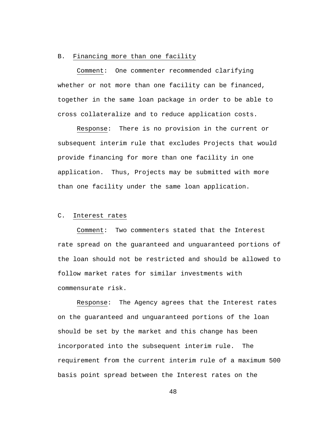#### B. Financing more than one facility

Comment: One commenter recommended clarifying whether or not more than one facility can be financed, together in the same loan package in order to be able to cross collateralize and to reduce application costs.

Response: There is no provision in the current or subsequent interim rule that excludes Projects that would provide financing for more than one facility in one application. Thus, Projects may be submitted with more than one facility under the same loan application.

## C. Interest rates

Comment: Two commenters stated that the Interest rate spread on the guaranteed and unguaranteed portions of the loan should not be restricted and should be allowed to follow market rates for similar investments with commensurate risk.

Response: The Agency agrees that the Interest rates on the guaranteed and unguaranteed portions of the loan should be set by the market and this change has been incorporated into the subsequent interim rule. The requirement from the current interim rule of a maximum 500 basis point spread between the Interest rates on the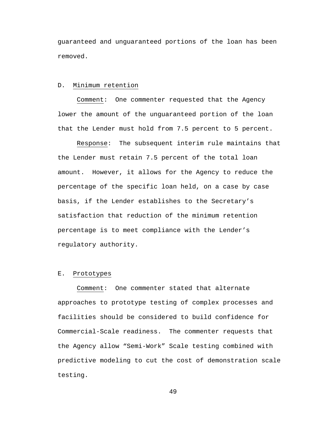guaranteed and unguaranteed portions of the loan has been removed.

#### D. Minimum retention

Comment: One commenter requested that the Agency lower the amount of the unguaranteed portion of the loan that the Lender must hold from 7.5 percent to 5 percent.

Response: The subsequent interim rule maintains that the Lender must retain 7.5 percent of the total loan amount. However, it allows for the Agency to reduce the percentage of the specific loan held, on a case by case basis, if the Lender establishes to the Secretary's satisfaction that reduction of the minimum retention percentage is to meet compliance with the Lender's regulatory authority.

#### E. Prototypes

Comment: One commenter stated that alternate approaches to prototype testing of complex processes and facilities should be considered to build confidence for Commercial-Scale readiness. The commenter requests that the Agency allow "Semi-Work" Scale testing combined with predictive modeling to cut the cost of demonstration scale testing.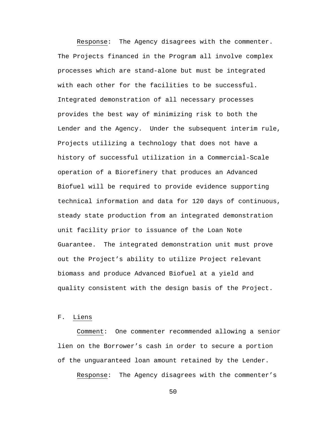Response: The Agency disagrees with the commenter. The Projects financed in the Program all involve complex processes which are stand-alone but must be integrated with each other for the facilities to be successful. Integrated demonstration of all necessary processes provides the best way of minimizing risk to both the Lender and the Agency. Under the subsequent interim rule, Projects utilizing a technology that does not have a history of successful utilization in a Commercial-Scale operation of a Biorefinery that produces an Advanced Biofuel will be required to provide evidence supporting technical information and data for 120 days of continuous, steady state production from an integrated demonstration unit facility prior to issuance of the Loan Note Guarantee. The integrated demonstration unit must prove out the Project's ability to utilize Project relevant biomass and produce Advanced Biofuel at a yield and quality consistent with the design basis of the Project.

F. Liens

Comment: One commenter recommended allowing a senior lien on the Borrower's cash in order to secure a portion of the unguaranteed loan amount retained by the Lender.

Response: The Agency disagrees with the commenter's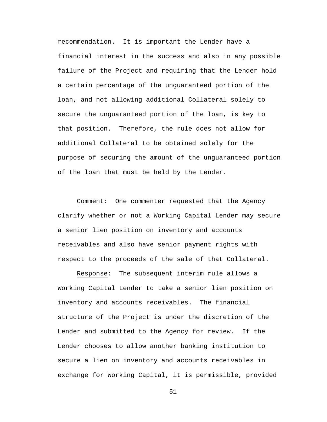recommendation. It is important the Lender have a financial interest in the success and also in any possible failure of the Project and requiring that the Lender hold a certain percentage of the unguaranteed portion of the loan, and not allowing additional Collateral solely to secure the unguaranteed portion of the loan, is key to that position. Therefore, the rule does not allow for additional Collateral to be obtained solely for the purpose of securing the amount of the unguaranteed portion of the loan that must be held by the Lender.

Comment: One commenter requested that the Agency clarify whether or not a Working Capital Lender may secure a senior lien position on inventory and accounts receivables and also have senior payment rights with respect to the proceeds of the sale of that Collateral.

Response: The subsequent interim rule allows a Working Capital Lender to take a senior lien position on inventory and accounts receivables. The financial structure of the Project is under the discretion of the Lender and submitted to the Agency for review. If the Lender chooses to allow another banking institution to secure a lien on inventory and accounts receivables in exchange for Working Capital, it is permissible, provided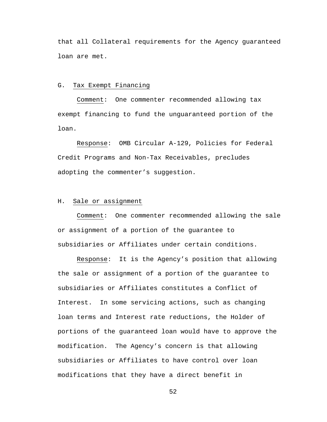that all Collateral requirements for the Agency guaranteed loan are met.

#### G. Tax Exempt Financing

Comment: One commenter recommended allowing tax exempt financing to fund the unguaranteed portion of the loan.

Response: OMB Circular A-129, Policies for Federal Credit Programs and Non-Tax Receivables, precludes adopting the commenter's suggestion.

## H. Sale or assignment

Comment: One commenter recommended allowing the sale or assignment of a portion of the guarantee to subsidiaries or Affiliates under certain conditions.

Response: It is the Agency's position that allowing the sale or assignment of a portion of the guarantee to subsidiaries or Affiliates constitutes a Conflict of Interest. In some servicing actions, such as changing loan terms and Interest rate reductions, the Holder of portions of the guaranteed loan would have to approve the modification. The Agency's concern is that allowing subsidiaries or Affiliates to have control over loan modifications that they have a direct benefit in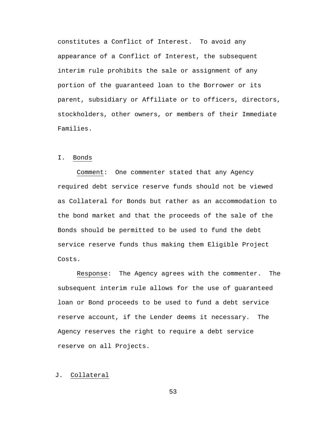constitutes a Conflict of Interest. To avoid any appearance of a Conflict of Interest, the subsequent interim rule prohibits the sale or assignment of any portion of the guaranteed loan to the Borrower or its parent, subsidiary or Affiliate or to officers, directors, stockholders, other owners, or members of their Immediate Families.

### I. Bonds

Comment: One commenter stated that any Agency required debt service reserve funds should not be viewed as Collateral for Bonds but rather as an accommodation to the bond market and that the proceeds of the sale of the Bonds should be permitted to be used to fund the debt service reserve funds thus making them Eligible Project Costs.

Response: The Agency agrees with the commenter. The subsequent interim rule allows for the use of guaranteed loan or Bond proceeds to be used to fund a debt service reserve account, if the Lender deems it necessary. The Agency reserves the right to require a debt service reserve on all Projects.

## J. Collateral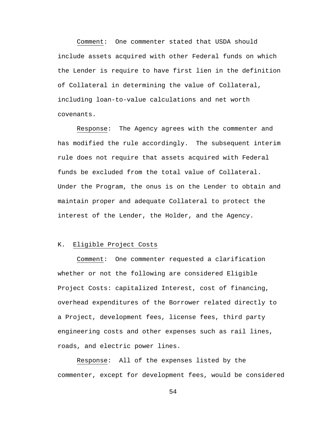Comment: One commenter stated that USDA should include assets acquired with other Federal funds on which the Lender is require to have first lien in the definition of Collateral in determining the value of Collateral, including loan-to-value calculations and net worth covenants.

Response: The Agency agrees with the commenter and has modified the rule accordingly. The subsequent interim rule does not require that assets acquired with Federal funds be excluded from the total value of Collateral. Under the Program, the onus is on the Lender to obtain and maintain proper and adequate Collateral to protect the interest of the Lender, the Holder, and the Agency.

## K. Eligible Project Costs

Comment: One commenter requested a clarification whether or not the following are considered Eligible Project Costs: capitalized Interest, cost of financing, overhead expenditures of the Borrower related directly to a Project, development fees, license fees, third party engineering costs and other expenses such as rail lines, roads, and electric power lines.

Response: All of the expenses listed by the commenter, except for development fees, would be considered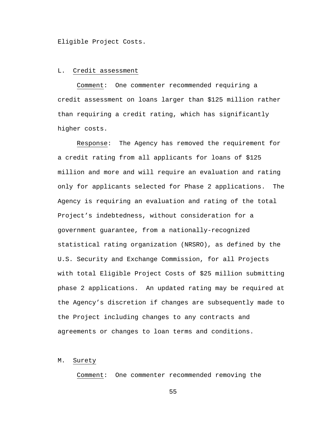Eligible Project Costs.

### L. Credit assessment

Comment: One commenter recommended requiring a credit assessment on loans larger than \$125 million rather than requiring a credit rating, which has significantly higher costs.

Response: The Agency has removed the requirement for a credit rating from all applicants for loans of \$125 million and more and will require an evaluation and rating only for applicants selected for Phase 2 applications. The Agency is requiring an evaluation and rating of the total Project's indebtedness, without consideration for a government guarantee, from a nationally-recognized statistical rating organization (NRSRO), as defined by the U.S. Security and Exchange Commission, for all Projects with total Eligible Project Costs of \$25 million submitting phase 2 applications. An updated rating may be required at the Agency's discretion if changes are subsequently made to the Project including changes to any contracts and agreements or changes to loan terms and conditions.

#### M. Surety

Comment: One commenter recommended removing the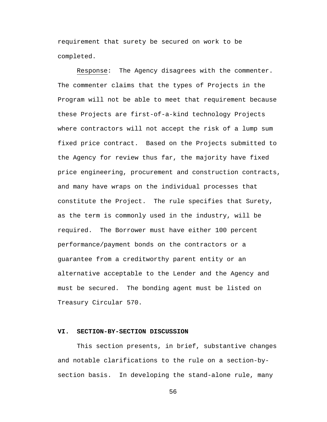requirement that surety be secured on work to be completed.

Response: The Agency disagrees with the commenter. The commenter claims that the types of Projects in the Program will not be able to meet that requirement because these Projects are first-of-a-kind technology Projects where contractors will not accept the risk of a lump sum fixed price contract. Based on the Projects submitted to the Agency for review thus far, the majority have fixed price engineering, procurement and construction contracts, and many have wraps on the individual processes that constitute the Project. The rule specifies that Surety, as the term is commonly used in the industry, will be required. The Borrower must have either 100 percent performance/payment bonds on the contractors or a guarantee from a creditworthy parent entity or an alternative acceptable to the Lender and the Agency and must be secured. The bonding agent must be listed on Treasury Circular 570.

## **VI. SECTION-BY-SECTION DISCUSSION**

This section presents, in brief, substantive changes and notable clarifications to the rule on a section-bysection basis. In developing the stand-alone rule, many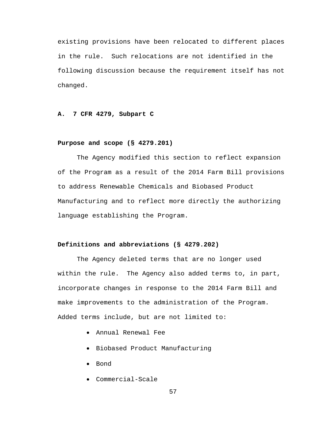existing provisions have been relocated to different places in the rule. Such relocations are not identified in the following discussion because the requirement itself has not changed.

## **A. 7 CFR 4279, Subpart C**

#### **Purpose and scope (§ 4279.201)**

The Agency modified this section to reflect expansion of the Program as a result of the 2014 Farm Bill provisions to address Renewable Chemicals and Biobased Product Manufacturing and to reflect more directly the authorizing language establishing the Program.

### **Definitions and abbreviations (§ 4279.202)**

The Agency deleted terms that are no longer used within the rule. The Agency also added terms to, in part, incorporate changes in response to the 2014 Farm Bill and make improvements to the administration of the Program. Added terms include, but are not limited to:

- Annual Renewal Fee
- Biobased Product Manufacturing
- Bond
- Commercial-Scale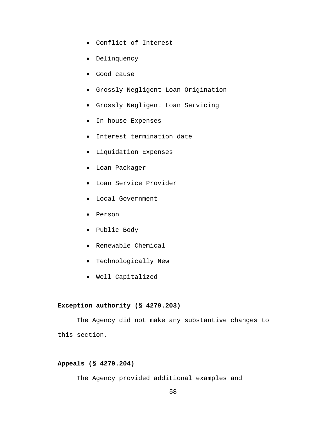- Conflict of Interest
- Delinquency
- Good cause
- Grossly Negligent Loan Origination
- Grossly Negligent Loan Servicing
- In-house Expenses
- Interest termination date
- Liquidation Expenses
- Loan Packager
- Loan Service Provider
- Local Government
- Person
- Public Body
- Renewable Chemical
- Technologically New
- Well Capitalized

## **Exception authority (§ 4279.203)**

The Agency did not make any substantive changes to this section.

## **Appeals (§ 4279.204)**

The Agency provided additional examples and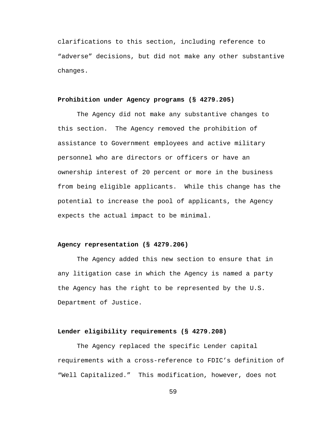clarifications to this section, including reference to "adverse" decisions, but did not make any other substantive changes.

# **Prohibition under Agency programs (§ 4279.205)**

The Agency did not make any substantive changes to this section. The Agency removed the prohibition of assistance to Government employees and active military personnel who are directors or officers or have an ownership interest of 20 percent or more in the business from being eligible applicants. While this change has the potential to increase the pool of applicants, the Agency expects the actual impact to be minimal.

### **Agency representation (§ 4279.206)**

The Agency added this new section to ensure that in any litigation case in which the Agency is named a party the Agency has the right to be represented by the U.S. Department of Justice.

## **Lender eligibility requirements (§ 4279.208)**

The Agency replaced the specific Lender capital requirements with a cross-reference to FDIC's definition of "Well Capitalized." This modification, however, does not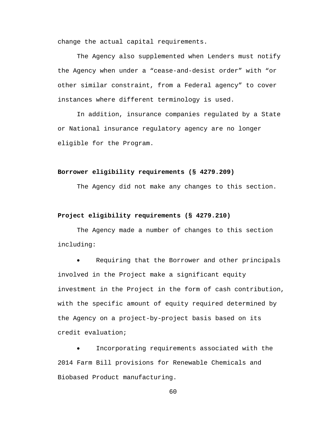change the actual capital requirements.

The Agency also supplemented when Lenders must notify the Agency when under a "cease-and-desist order" with "or other similar constraint, from a Federal agency" to cover instances where different terminology is used.

In addition, insurance companies regulated by a State or National insurance regulatory agency are no longer eligible for the Program.

#### **Borrower eligibility requirements (§ 4279.209)**

The Agency did not make any changes to this section.

#### **Project eligibility requirements (§ 4279.210)**

The Agency made a number of changes to this section including:

Requiring that the Borrower and other principals involved in the Project make a significant equity investment in the Project in the form of cash contribution, with the specific amount of equity required determined by the Agency on a project-by-project basis based on its credit evaluation;

Incorporating requirements associated with the 2014 Farm Bill provisions for Renewable Chemicals and Biobased Product manufacturing.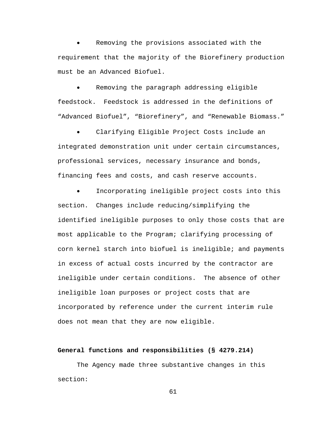Removing the provisions associated with the requirement that the majority of the Biorefinery production must be an Advanced Biofuel.

• Removing the paragraph addressing eligible feedstock. Feedstock is addressed in the definitions of "Advanced Biofuel", "Biorefinery", and "Renewable Biomass."

Clarifying Eligible Project Costs include an integrated demonstration unit under certain circumstances, professional services, necessary insurance and bonds, financing fees and costs, and cash reserve accounts.

Incorporating ineligible project costs into this section. Changes include reducing/simplifying the identified ineligible purposes to only those costs that are most applicable to the Program; clarifying processing of corn kernel starch into biofuel is ineligible; and payments in excess of actual costs incurred by the contractor are ineligible under certain conditions. The absence of other ineligible loan purposes or project costs that are incorporated by reference under the current interim rule does not mean that they are now eligible.

#### **General functions and responsibilities (§ 4279.214)**

The Agency made three substantive changes in this section: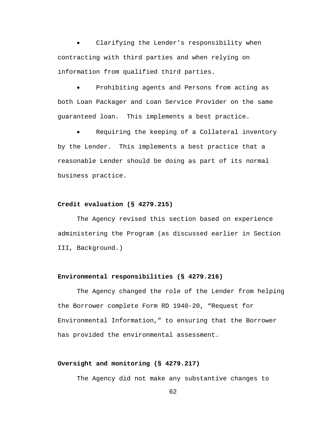Clarifying the Lender's responsibility when contracting with third parties and when relying on information from qualified third parties.

Prohibiting agents and Persons from acting as both Loan Packager and Loan Service Provider on the same guaranteed loan. This implements a best practice.

Requiring the keeping of a Collateral inventory by the Lender. This implements a best practice that a reasonable Lender should be doing as part of its normal business practice.

#### **Credit evaluation (§ 4279.215)**

The Agency revised this section based on experience administering the Program (as discussed earlier in Section III, Background.)

#### **Environmental responsibilities (§ 4279.216)**

The Agency changed the role of the Lender from helping the Borrower complete Form RD 1940-20, "Request for Environmental Information," to ensuring that the Borrower has provided the environmental assessment.

## **Oversight and monitoring (§ 4279.217)**

The Agency did not make any substantive changes to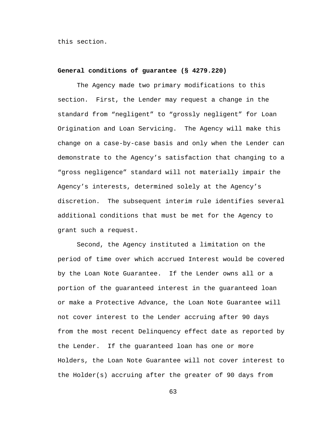this section.

### **General conditions of guarantee (§ 4279.220)**

The Agency made two primary modifications to this section. First, the Lender may request a change in the standard from "negligent" to "grossly negligent" for Loan Origination and Loan Servicing. The Agency will make this change on a case-by-case basis and only when the Lender can demonstrate to the Agency's satisfaction that changing to a "gross negligence" standard will not materially impair the Agency's interests, determined solely at the Agency's discretion. The subsequent interim rule identifies several additional conditions that must be met for the Agency to grant such a request.

Second, the Agency instituted a limitation on the period of time over which accrued Interest would be covered by the Loan Note Guarantee. If the Lender owns all or a portion of the guaranteed interest in the guaranteed loan or make a Protective Advance, the Loan Note Guarantee will not cover interest to the Lender accruing after 90 days from the most recent Delinquency effect date as reported by the Lender. If the guaranteed loan has one or more Holders, the Loan Note Guarantee will not cover interest to the Holder(s) accruing after the greater of 90 days from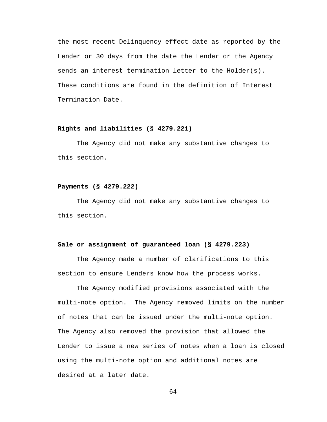the most recent Delinquency effect date as reported by the Lender or 30 days from the date the Lender or the Agency sends an interest termination letter to the Holder(s). These conditions are found in the definition of Interest Termination Date.

## **Rights and liabilities (§ 4279.221)**

The Agency did not make any substantive changes to this section.

#### **Payments (§ 4279.222)**

The Agency did not make any substantive changes to this section.

#### **Sale or assignment of guaranteed loan (§ 4279.223)**

The Agency made a number of clarifications to this section to ensure Lenders know how the process works.

The Agency modified provisions associated with the multi-note option. The Agency removed limits on the number of notes that can be issued under the multi-note option. The Agency also removed the provision that allowed the Lender to issue a new series of notes when a loan is closed using the multi-note option and additional notes are desired at a later date.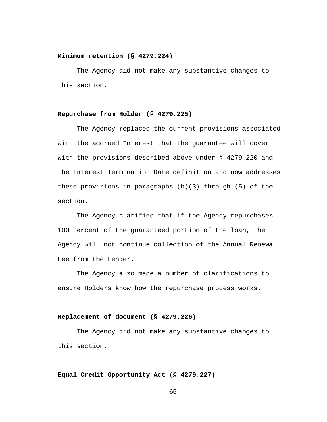### **Minimum retention (§ 4279.224)**

The Agency did not make any substantive changes to this section.

## **Repurchase from Holder (§ 4279.225)**

The Agency replaced the current provisions associated with the accrued Interest that the guarantee will cover with the provisions described above under § 4279.220 and the Interest Termination Date definition and now addresses these provisions in paragraphs  $(b)(3)$  through  $(5)$  of the section.

The Agency clarified that if the Agency repurchases 100 percent of the guaranteed portion of the loan, the Agency will not continue collection of the Annual Renewal Fee from the Lender.

The Agency also made a number of clarifications to ensure Holders know how the repurchase process works.

### **Replacement of document (§ 4279.226)**

The Agency did not make any substantive changes to this section.

## **Equal Credit Opportunity Act (§ 4279.227)**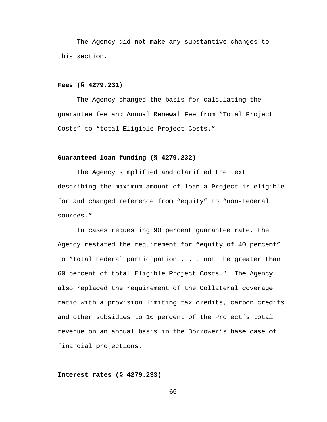The Agency did not make any substantive changes to this section.

### **Fees (§ 4279.231)**

The Agency changed the basis for calculating the guarantee fee and Annual Renewal Fee from "Total Project Costs" to "total Eligible Project Costs."

### **Guaranteed loan funding (§ 4279.232)**

The Agency simplified and clarified the text describing the maximum amount of loan a Project is eligible for and changed reference from "equity" to "non-Federal sources."

In cases requesting 90 percent guarantee rate, the Agency restated the requirement for "equity of 40 percent" to "total Federal participation . . . not be greater than 60 percent of total Eligible Project Costs." The Agency also replaced the requirement of the Collateral coverage ratio with a provision limiting tax credits, carbon credits and other subsidies to 10 percent of the Project's total revenue on an annual basis in the Borrower's base case of financial projections.

### **Interest rates (§ 4279.233)**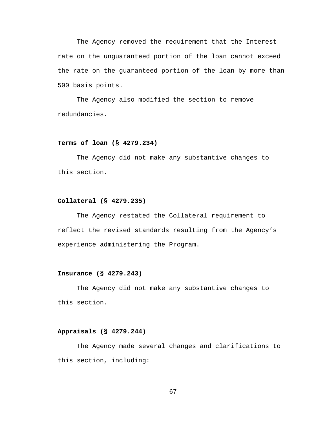The Agency removed the requirement that the Interest rate on the unguaranteed portion of the loan cannot exceed the rate on the guaranteed portion of the loan by more than 500 basis points.

The Agency also modified the section to remove redundancies.

## **Terms of loan (§ 4279.234)**

The Agency did not make any substantive changes to this section.

### **Collateral (§ 4279.235)**

The Agency restated the Collateral requirement to reflect the revised standards resulting from the Agency's experience administering the Program.

### **Insurance (§ 4279.243)**

The Agency did not make any substantive changes to this section.

## **Appraisals (§ 4279.244)**

The Agency made several changes and clarifications to this section, including: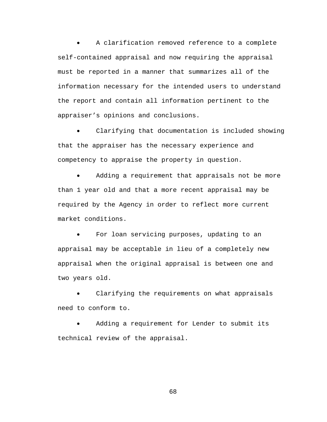A clarification removed reference to a complete self-contained appraisal and now requiring the appraisal must be reported in a manner that summarizes all of the information necessary for the intended users to understand the report and contain all information pertinent to the appraiser's opinions and conclusions.

Clarifying that documentation is included showing that the appraiser has the necessary experience and competency to appraise the property in question.

Adding a requirement that appraisals not be more than 1 year old and that a more recent appraisal may be required by the Agency in order to reflect more current market conditions.

For loan servicing purposes, updating to an appraisal may be acceptable in lieu of a completely new appraisal when the original appraisal is between one and two years old.

Clarifying the requirements on what appraisals need to conform to.

Adding a requirement for Lender to submit its technical review of the appraisal.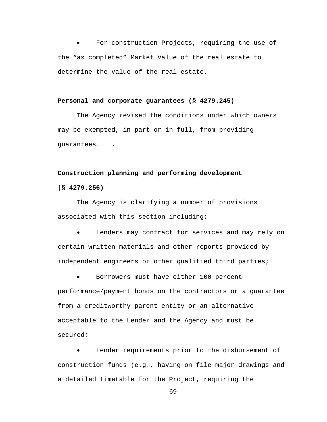For construction Projects, requiring the use of the "as completed" Market Value of the real estate to determine the value of the real estate.

#### **Personal and corporate guarantees (§ 4279.245)**

The Agency revised the conditions under which owners may be exempted, in part or in full, from providing guarantees. .

### **Construction planning and performing development**

### **(§ 4279.256)**

The Agency is clarifying a number of provisions associated with this section including:

Lenders may contract for services and may rely on certain written materials and other reports provided by independent engineers or other qualified third parties;

Borrowers must have either 100 percent performance/payment bonds on the contractors or a guarantee from a creditworthy parent entity or an alternative acceptable to the Lender and the Agency and must be secured;

Lender requirements prior to the disbursement of construction funds (e.g., having on file major drawings and a detailed timetable for the Project, requiring the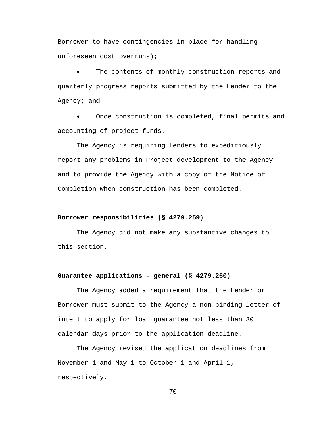Borrower to have contingencies in place for handling unforeseen cost overruns);

The contents of monthly construction reports and quarterly progress reports submitted by the Lender to the Agency; and

Once construction is completed, final permits and accounting of project funds.

The Agency is requiring Lenders to expeditiously report any problems in Project development to the Agency and to provide the Agency with a copy of the Notice of Completion when construction has been completed.

# **Borrower responsibilities (§ 4279.259)**

The Agency did not make any substantive changes to this section.

# **Guarantee applications – general (§ 4279.260)**

The Agency added a requirement that the Lender or Borrower must submit to the Agency a non-binding letter of intent to apply for loan guarantee not less than 30 calendar days prior to the application deadline.

The Agency revised the application deadlines from November 1 and May 1 to October 1 and April 1, respectively.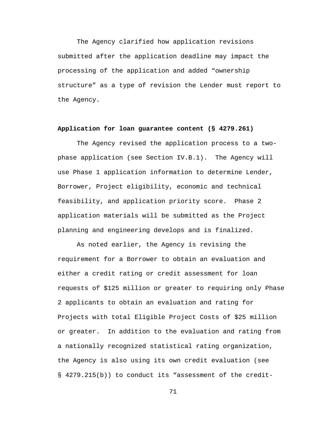The Agency clarified how application revisions submitted after the application deadline may impact the processing of the application and added "ownership structure" as a type of revision the Lender must report to the Agency.

## **Application for loan guarantee content (§ 4279.261)**

The Agency revised the application process to a twophase application (see Section IV.B.1). The Agency will use Phase 1 application information to determine Lender, Borrower, Project eligibility, economic and technical feasibility, and application priority score. Phase 2 application materials will be submitted as the Project planning and engineering develops and is finalized.

As noted earlier, the Agency is revising the requirement for a Borrower to obtain an evaluation and either a credit rating or credit assessment for loan requests of \$125 million or greater to requiring only Phase 2 applicants to obtain an evaluation and rating for Projects with total Eligible Project Costs of \$25 million or greater. In addition to the evaluation and rating from a nationally recognized statistical rating organization, the Agency is also using its own credit evaluation (see § 4279.215(b)) to conduct its "assessment of the credit-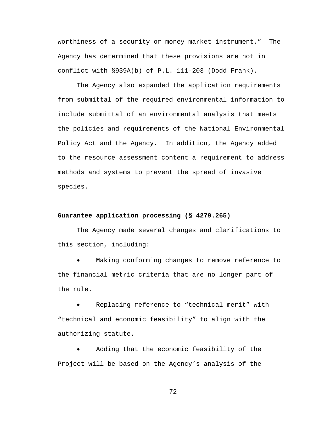worthiness of a security or money market instrument." The Agency has determined that these provisions are not in conflict with §939A(b) of P.L. 111-203 (Dodd Frank).

The Agency also expanded the application requirements from submittal of the required environmental information to include submittal of an environmental analysis that meets the policies and requirements of the National Environmental Policy Act and the Agency. In addition, the Agency added to the resource assessment content a requirement to address methods and systems to prevent the spread of invasive species.

#### **Guarantee application processing (§ 4279.265)**

The Agency made several changes and clarifications to this section, including:

Making conforming changes to remove reference to the financial metric criteria that are no longer part of the rule.

Replacing reference to "technical merit" with "technical and economic feasibility" to align with the authorizing statute.

Adding that the economic feasibility of the Project will be based on the Agency's analysis of the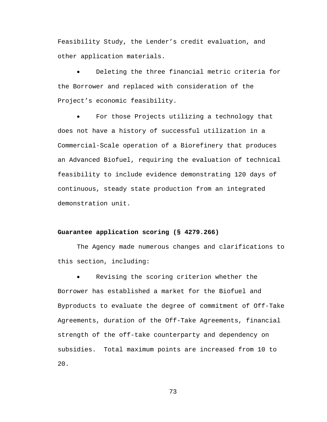Feasibility Study, the Lender's credit evaluation, and other application materials.

Deleting the three financial metric criteria for the Borrower and replaced with consideration of the Project's economic feasibility.

For those Projects utilizing a technology that does not have a history of successful utilization in a Commercial-Scale operation of a Biorefinery that produces an Advanced Biofuel, requiring the evaluation of technical feasibility to include evidence demonstrating 120 days of continuous, steady state production from an integrated demonstration unit.

## **Guarantee application scoring (§ 4279.266)**

The Agency made numerous changes and clarifications to this section, including:

Revising the scoring criterion whether the Borrower has established a market for the Biofuel and Byproducts to evaluate the degree of commitment of Off-Take Agreements, duration of the Off-Take Agreements, financial strength of the off-take counterparty and dependency on subsidies. Total maximum points are increased from 10 to 20.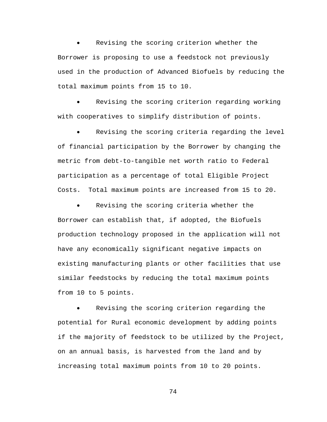Revising the scoring criterion whether the Borrower is proposing to use a feedstock not previously used in the production of Advanced Biofuels by reducing the total maximum points from 15 to 10.

Revising the scoring criterion regarding working with cooperatives to simplify distribution of points.

Revising the scoring criteria regarding the level of financial participation by the Borrower by changing the metric from debt-to-tangible net worth ratio to Federal participation as a percentage of total Eligible Project Costs. Total maximum points are increased from 15 to 20.

Revising the scoring criteria whether the Borrower can establish that, if adopted, the Biofuels production technology proposed in the application will not have any economically significant negative impacts on existing manufacturing plants or other facilities that use similar feedstocks by reducing the total maximum points from 10 to 5 points.

Revising the scoring criterion regarding the potential for Rural economic development by adding points if the majority of feedstock to be utilized by the Project, on an annual basis, is harvested from the land and by increasing total maximum points from 10 to 20 points.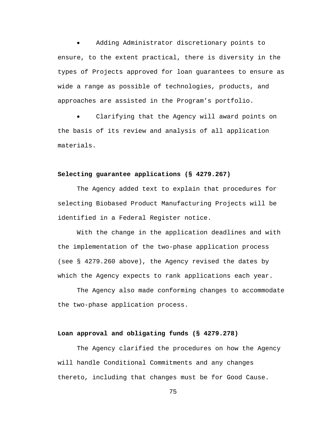• Adding Administrator discretionary points to ensure, to the extent practical, there is diversity in the types of Projects approved for loan guarantees to ensure as wide a range as possible of technologies, products, and approaches are assisted in the Program's portfolio.

Clarifying that the Agency will award points on the basis of its review and analysis of all application materials.

## **Selecting guarantee applications (§ 4279.267)**

The Agency added text to explain that procedures for selecting Biobased Product Manufacturing Projects will be identified in a Federal Register notice.

With the change in the application deadlines and with the implementation of the two-phase application process (see § 4279.260 above), the Agency revised the dates by which the Agency expects to rank applications each year.

The Agency also made conforming changes to accommodate the two-phase application process.

## **Loan approval and obligating funds (§ 4279.278)**

The Agency clarified the procedures on how the Agency will handle Conditional Commitments and any changes thereto, including that changes must be for Good Cause.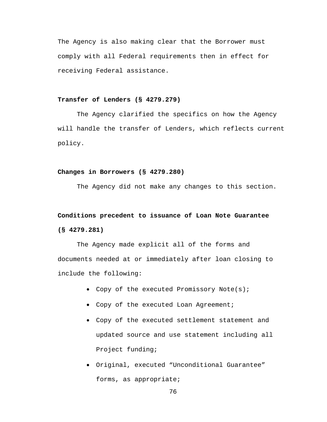The Agency is also making clear that the Borrower must comply with all Federal requirements then in effect for receiving Federal assistance.

## **Transfer of Lenders (§ 4279.279)**

The Agency clarified the specifics on how the Agency will handle the transfer of Lenders, which reflects current policy.

#### **Changes in Borrowers (§ 4279.280)**

The Agency did not make any changes to this section.

# **Conditions precedent to issuance of Loan Note Guarantee (§ 4279.281)**

The Agency made explicit all of the forms and documents needed at or immediately after loan closing to include the following:

- Copy of the executed Promissory Note(s);
- Copy of the executed Loan Agreement;
- Copy of the executed settlement statement and updated source and use statement including all Project funding;
- Original, executed "Unconditional Guarantee" forms, as appropriate;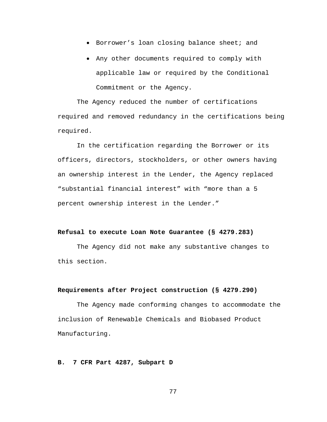- Borrower's loan closing balance sheet; and
- Any other documents required to comply with applicable law or required by the Conditional Commitment or the Agency.

The Agency reduced the number of certifications required and removed redundancy in the certifications being required.

In the certification regarding the Borrower or its officers, directors, stockholders, or other owners having an ownership interest in the Lender, the Agency replaced "substantial financial interest" with "more than a 5 percent ownership interest in the Lender."

## **Refusal to execute Loan Note Guarantee (§ 4279.283)**

The Agency did not make any substantive changes to this section.

# **Requirements after Project construction (§ 4279.290)**

The Agency made conforming changes to accommodate the inclusion of Renewable Chemicals and Biobased Product Manufacturing.

## **B. 7 CFR Part 4287, Subpart D**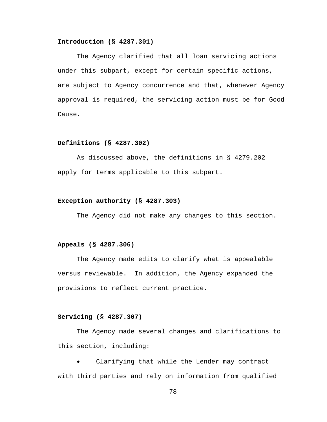## **Introduction (§ 4287.301)**

The Agency clarified that all loan servicing actions under this subpart, except for certain specific actions, are subject to Agency concurrence and that, whenever Agency approval is required, the servicing action must be for Good Cause.

#### **Definitions (§ 4287.302)**

As discussed above, the definitions in § 4279.202 apply for terms applicable to this subpart.

#### **Exception authority (§ 4287.303)**

The Agency did not make any changes to this section.

#### **Appeals (§ 4287.306)**

The Agency made edits to clarify what is appealable versus reviewable. In addition, the Agency expanded the provisions to reflect current practice.

## **Servicing (§ 4287.307)**

The Agency made several changes and clarifications to this section, including:

Clarifying that while the Lender may contract with third parties and rely on information from qualified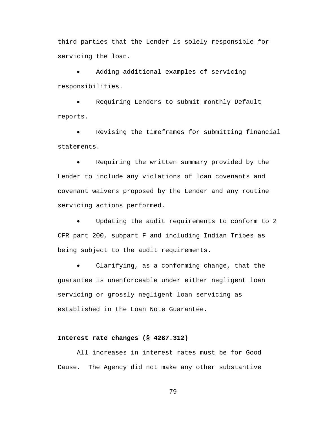third parties that the Lender is solely responsible for servicing the loan.

Adding additional examples of servicing responsibilities.

Requiring Lenders to submit monthly Default reports.

Revising the timeframes for submitting financial statements.

• Requiring the written summary provided by the Lender to include any violations of loan covenants and covenant waivers proposed by the Lender and any routine servicing actions performed.

Updating the audit requirements to conform to 2 CFR part 200, subpart F and including Indian Tribes as being subject to the audit requirements.

Clarifying, as a conforming change, that the guarantee is unenforceable under either negligent loan servicing or grossly negligent loan servicing as established in the Loan Note Guarantee.

## **Interest rate changes (§ 4287.312)**

All increases in interest rates must be for Good Cause. The Agency did not make any other substantive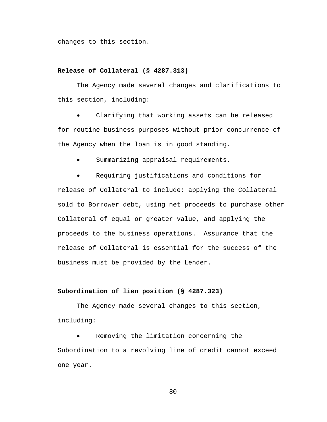changes to this section.

## **Release of Collateral (§ 4287.313)**

The Agency made several changes and clarifications to this section, including:

Clarifying that working assets can be released for routine business purposes without prior concurrence of the Agency when the loan is in good standing.

Summarizing appraisal requirements.

• Requiring justifications and conditions for release of Collateral to include: applying the Collateral sold to Borrower debt, using net proceeds to purchase other Collateral of equal or greater value, and applying the proceeds to the business operations. Assurance that the release of Collateral is essential for the success of the business must be provided by the Lender.

#### **Subordination of lien position (§ 4287.323)**

The Agency made several changes to this section, including:

Removing the limitation concerning the Subordination to a revolving line of credit cannot exceed one year.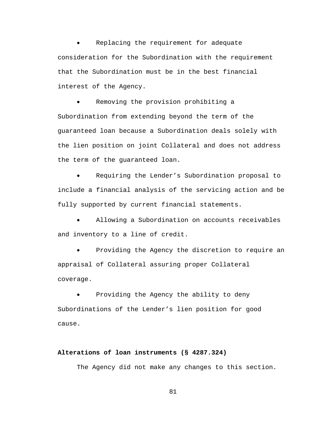Replacing the requirement for adequate consideration for the Subordination with the requirement that the Subordination must be in the best financial interest of the Agency.

Removing the provision prohibiting a Subordination from extending beyond the term of the guaranteed loan because a Subordination deals solely with the lien position on joint Collateral and does not address the term of the guaranteed loan.

Requiring the Lender's Subordination proposal to include a financial analysis of the servicing action and be fully supported by current financial statements.

Allowing a Subordination on accounts receivables and inventory to a line of credit.

Providing the Agency the discretion to require an appraisal of Collateral assuring proper Collateral coverage.

Providing the Agency the ability to deny Subordinations of the Lender's lien position for good cause.

# **Alterations of loan instruments (§ 4287.324)**

The Agency did not make any changes to this section.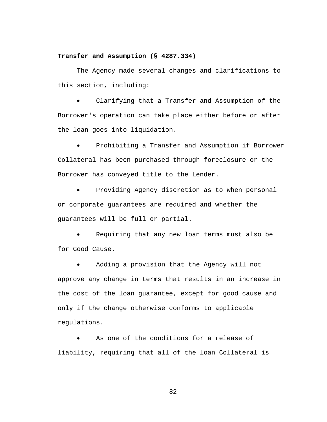## **Transfer and Assumption (§ 4287.334)**

The Agency made several changes and clarifications to this section, including:

Clarifying that a Transfer and Assumption of the Borrower's operation can take place either before or after the loan goes into liquidation.

Prohibiting a Transfer and Assumption if Borrower Collateral has been purchased through foreclosure or the Borrower has conveyed title to the Lender.

Providing Agency discretion as to when personal or corporate guarantees are required and whether the guarantees will be full or partial.

Requiring that any new loan terms must also be for Good Cause.

Adding a provision that the Agency will not approve any change in terms that results in an increase in the cost of the loan guarantee, except for good cause and only if the change otherwise conforms to applicable regulations.

As one of the conditions for a release of liability, requiring that all of the loan Collateral is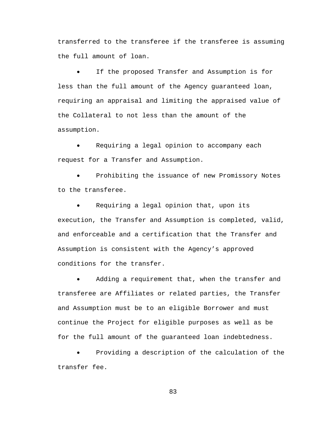transferred to the transferee if the transferee is assuming the full amount of loan.

If the proposed Transfer and Assumption is for less than the full amount of the Agency guaranteed loan, requiring an appraisal and limiting the appraised value of the Collateral to not less than the amount of the assumption.

Requiring a legal opinion to accompany each request for a Transfer and Assumption.

Prohibiting the issuance of new Promissory Notes to the transferee.

Requiring a legal opinion that, upon its execution, the Transfer and Assumption is completed, valid, and enforceable and a certification that the Transfer and Assumption is consistent with the Agency's approved conditions for the transfer.

Adding a requirement that, when the transfer and transferee are Affiliates or related parties, the Transfer and Assumption must be to an eligible Borrower and must continue the Project for eligible purposes as well as be for the full amount of the guaranteed loan indebtedness.

Providing a description of the calculation of the transfer fee.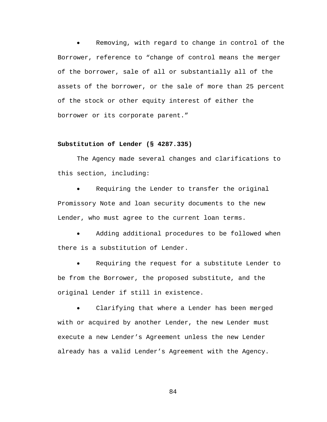Removing, with regard to change in control of the Borrower, reference to "change of control means the merger of the borrower, sale of all or substantially all of the assets of the borrower, or the sale of more than 25 percent of the stock or other equity interest of either the borrower or its corporate parent."

## **Substitution of Lender (§ 4287.335)**

The Agency made several changes and clarifications to this section, including:

Requiring the Lender to transfer the original Promissory Note and loan security documents to the new Lender, who must agree to the current loan terms.

Adding additional procedures to be followed when there is a substitution of Lender.

Requiring the request for a substitute Lender to be from the Borrower, the proposed substitute, and the original Lender if still in existence.

Clarifying that where a Lender has been merged with or acquired by another Lender, the new Lender must execute a new Lender's Agreement unless the new Lender already has a valid Lender's Agreement with the Agency.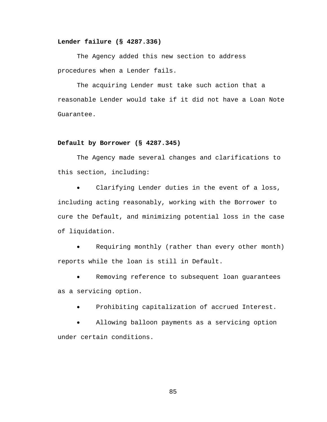## **Lender failure (§ 4287.336)**

The Agency added this new section to address procedures when a Lender fails.

The acquiring Lender must take such action that a reasonable Lender would take if it did not have a Loan Note Guarantee.

#### **Default by Borrower (§ 4287.345)**

The Agency made several changes and clarifications to this section, including:

Clarifying Lender duties in the event of a loss, including acting reasonably, working with the Borrower to cure the Default, and minimizing potential loss in the case of liquidation.

• Requiring monthly (rather than every other month) reports while the loan is still in Default.

Removing reference to subsequent loan guarantees as a servicing option.

Prohibiting capitalization of accrued Interest.

Allowing balloon payments as a servicing option under certain conditions.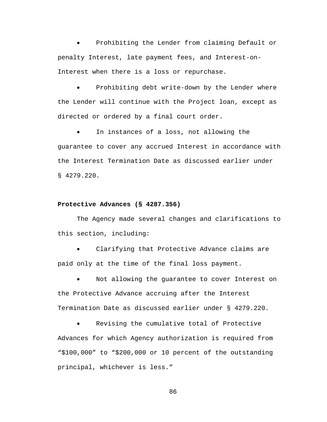• Prohibiting the Lender from claiming Default or penalty Interest, late payment fees, and Interest-on-Interest when there is a loss or repurchase.

Prohibiting debt write-down by the Lender where the Lender will continue with the Project loan, except as directed or ordered by a final court order.

In instances of a loss, not allowing the guarantee to cover any accrued Interest in accordance with the Interest Termination Date as discussed earlier under § 4279.220.

#### **Protective Advances (§ 4287.356)**

The Agency made several changes and clarifications to this section, including:

Clarifying that Protective Advance claims are paid only at the time of the final loss payment.

Not allowing the guarantee to cover Interest on the Protective Advance accruing after the Interest Termination Date as discussed earlier under § 4279.220.

Revising the cumulative total of Protective Advances for which Agency authorization is required from "\$100,000" to "\$200,000 or 10 percent of the outstanding principal, whichever is less."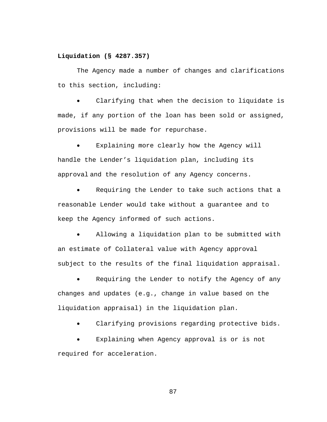## **Liquidation (§ 4287.357)**

The Agency made a number of changes and clarifications to this section, including:

Clarifying that when the decision to liquidate is made, if any portion of the loan has been sold or assigned, provisions will be made for repurchase.

Explaining more clearly how the Agency will handle the Lender's liquidation plan, including its approval and the resolution of any Agency concerns.

Requiring the Lender to take such actions that a reasonable Lender would take without a guarantee and to keep the Agency informed of such actions.

Allowing a liquidation plan to be submitted with an estimate of Collateral value with Agency approval subject to the results of the final liquidation appraisal.

Requiring the Lender to notify the Agency of any changes and updates (e.g., change in value based on the liquidation appraisal) in the liquidation plan.

Clarifying provisions regarding protective bids.

Explaining when Agency approval is or is not required for acceleration.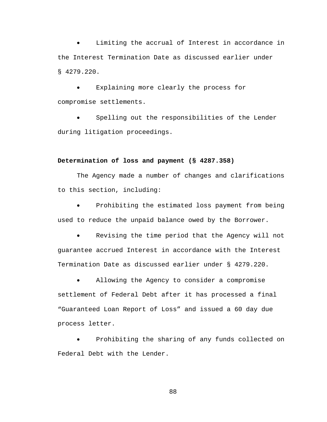Limiting the accrual of Interest in accordance in the Interest Termination Date as discussed earlier under § 4279.220.

Explaining more clearly the process for compromise settlements.

• Spelling out the responsibilities of the Lender during litigation proceedings.

## **Determination of loss and payment (§ 4287.358)**

The Agency made a number of changes and clarifications to this section, including:

Prohibiting the estimated loss payment from being used to reduce the unpaid balance owed by the Borrower.

Revising the time period that the Agency will not guarantee accrued Interest in accordance with the Interest Termination Date as discussed earlier under § 4279.220.

• Allowing the Agency to consider a compromise settlement of Federal Debt after it has processed a final "Guaranteed Loan Report of Loss" and issued a 60 day due process letter.

Prohibiting the sharing of any funds collected on Federal Debt with the Lender.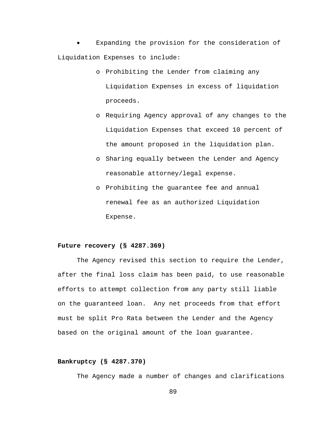Expanding the provision for the consideration of Liquidation Expenses to include:

- o Prohibiting the Lender from claiming any Liquidation Expenses in excess of liquidation proceeds.
- o Requiring Agency approval of any changes to the Liquidation Expenses that exceed 10 percent of the amount proposed in the liquidation plan.
- o Sharing equally between the Lender and Agency reasonable attorney/legal expense.
- o Prohibiting the guarantee fee and annual renewal fee as an authorized Liquidation Expense.

## **Future recovery (§ 4287.369)**

The Agency revised this section to require the Lender, after the final loss claim has been paid, to use reasonable efforts to attempt collection from any party still liable on the guaranteed loan. Any net proceeds from that effort must be split Pro Rata between the Lender and the Agency based on the original amount of the loan guarantee.

#### **Bankruptcy (§ 4287.370)**

The Agency made a number of changes and clarifications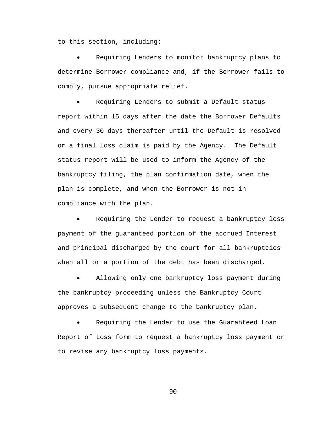to this section, including:

Requiring Lenders to monitor bankruptcy plans to determine Borrower compliance and, if the Borrower fails to comply, pursue appropriate relief.

Requiring Lenders to submit a Default status report within 15 days after the date the Borrower Defaults and every 30 days thereafter until the Default is resolved or a final loss claim is paid by the Agency. The Default status report will be used to inform the Agency of the bankruptcy filing, the plan confirmation date, when the plan is complete, and when the Borrower is not in compliance with the plan.

Requiring the Lender to request a bankruptcy loss payment of the guaranteed portion of the accrued Interest and principal discharged by the court for all bankruptcies when all or a portion of the debt has been discharged.

Allowing only one bankruptcy loss payment during the bankruptcy proceeding unless the Bankruptcy Court approves a subsequent change to the bankruptcy plan.

Requiring the Lender to use the Guaranteed Loan Report of Loss form to request a bankruptcy loss payment or to revise any bankruptcy loss payments.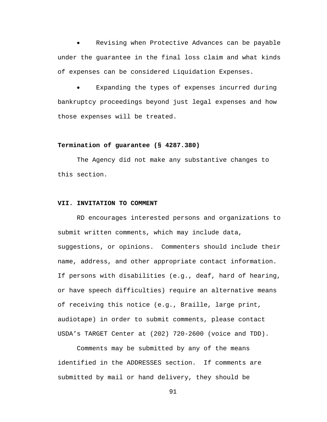Revising when Protective Advances can be payable under the guarantee in the final loss claim and what kinds of expenses can be considered Liquidation Expenses.

Expanding the types of expenses incurred during bankruptcy proceedings beyond just legal expenses and how those expenses will be treated.

#### **Termination of guarantee (§ 4287.380)**

The Agency did not make any substantive changes to this section.

## **VII. INVITATION TO COMMENT**

RD encourages interested persons and organizations to submit written comments, which may include data, suggestions, or opinions. Commenters should include their name, address, and other appropriate contact information. If persons with disabilities (e.g., deaf, hard of hearing, or have speech difficulties) require an alternative means of receiving this notice (e.g., Braille, large print, audiotape) in order to submit comments, please contact USDA's TARGET Center at (202) 720-2600 (voice and TDD).

Comments may be submitted by any of the means identified in the ADDRESSES section. If comments are submitted by mail or hand delivery, they should be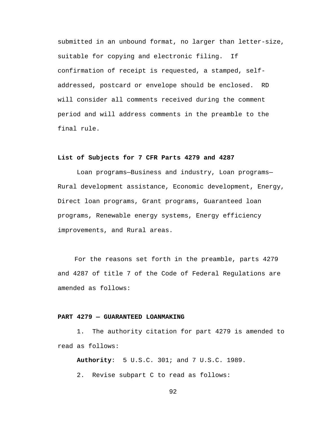submitted in an unbound format, no larger than letter-size, suitable for copying and electronic filing. If confirmation of receipt is requested, a stamped, selfaddressed, postcard or envelope should be enclosed. RD will consider all comments received during the comment period and will address comments in the preamble to the final rule.

#### **List of Subjects for 7 CFR Parts 4279 and 4287**

Loan programs—Business and industry, Loan programs— Rural development assistance, Economic development, Energy, Direct loan programs, Grant programs, Guaranteed loan programs, Renewable energy systems, Energy efficiency improvements, and Rural areas.

For the reasons set forth in the preamble, parts 4279 and 4287 of title 7 of the Code of Federal Regulations are amended as follows:

## **PART 4279 — GUARANTEED LOANMAKING**

1. The authority citation for part 4279 is amended to read as follows:

**Authority**: 5 U.S.C. 301; and 7 U.S.C. 1989.

2. Revise subpart C to read as follows: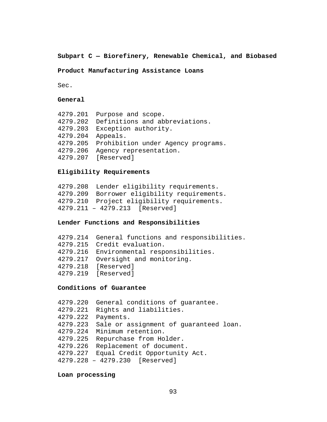# **Subpart C — Biorefinery, Renewable Chemical, and Biobased**

# **Product Manufacturing Assistance Loans**

Sec.

# **General**

|          | 4279.201 Purpose and scope.                 |
|----------|---------------------------------------------|
| 4279.202 | Definitions and abbreviations.              |
| 4279.203 | Exception authority.                        |
| 4279.204 | Appeals.                                    |
|          | 4279.205 Prohibition under Agency programs. |
| 4279.206 | Agency representation.                      |
|          | 4279.207 [Reserved]                         |
|          |                                             |

## **Eligibility Requirements**

4279.208 Lender eligibility requirements. 4279.209 Borrower eligibility requirements. 4279.210 Project eligibility requirements. 4279.211 – 4279.213 [Reserved]

# **Lender Functions and Responsibilities**

| 4279.214 General functions and responsibilities. |
|--------------------------------------------------|
| 4279.215 Credit evaluation.                      |
| 4279.216 Environmental responsibilities.         |
| 4279.217 Oversight and monitoring.               |
| 4279.218 [Reserved]                              |
| 4279.219 [Reserved]                              |
|                                                  |

# **Conditions of Guarantee**

| 4279.220 | General conditions of quarantee.       |
|----------|----------------------------------------|
| 4279.221 | Rights and liabilities.                |
| 4279.222 | Payments.                              |
| 4279.223 | Sale or assignment of guaranteed loan. |
| 4279.224 | Minimum retention.                     |
| 4279.225 | Repurchase from Holder.                |
| 4279.226 | Replacement of document.               |
| 4279.227 | Equal Credit Opportunity Act.          |
|          | 4279.228 - 4279.230 [Reserved]         |
|          |                                        |

# **Loan processing**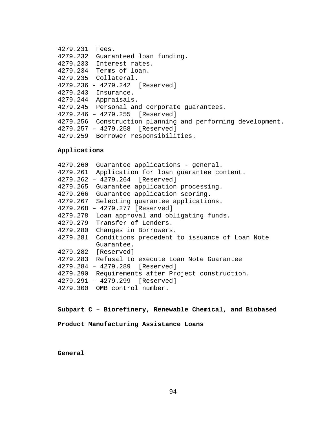```
4279.231 Fees.
4279.232 Guaranteed loan funding.
4279.233 Interest rates.
4279.234 Terms of loan.
4279.235 Collateral.
4279.236 - 4279.242 [Reserved]
4279.243 Insurance.
4279.244 Appraisals.
4279.245 Personal and corporate guarantees.
4279.246 – 4279.255 [Reserved]
4279.256 Construction planning and performing development.
4279.257 – 4279.258 [Reserved]
4279.259 Borrower responsibilities.
```
#### **Applications**

```
4279.260 Guarantee applications - general.
4279.261 Application for loan guarantee content.
4279.262 – 4279.264 [Reserved]
4279.265 Guarantee application processing.
4279.266 Guarantee application scoring.
4279.267 Selecting guarantee applications.
4279.268 – 4279.277 [Reserved]
4279.278 Loan approval and obligating funds.
4279.279 Transfer of Lenders.
4279.280 Changes in Borrowers.
4279.281 Conditions precedent to issuance of Loan Note 
         Guarantee.
4279.282 [Reserved]
4279.283 Refusal to execute Loan Note Guarantee
4279.284 – 4279.289 [Reserved]
4279.290 Requirements after Project construction.
4279.291 - 4279.299 [Reserved]
4279.300 OMB control number.
```
**Subpart C – Biorefinery, Renewable Chemical, and Biobased** 

**Product Manufacturing Assistance Loans**

**General**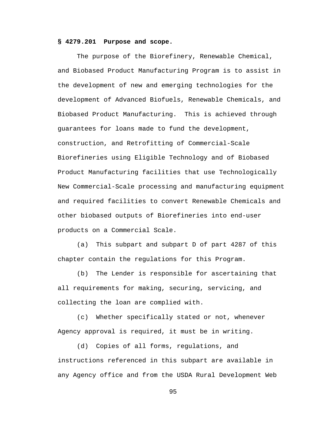## **§ 4279.201 Purpose and scope.**

The purpose of the Biorefinery, Renewable Chemical, and Biobased Product Manufacturing Program is to assist in the development of new and emerging technologies for the development of Advanced Biofuels, Renewable Chemicals, and Biobased Product Manufacturing. This is achieved through guarantees for loans made to fund the development, construction, and Retrofitting of Commercial-Scale Biorefineries using Eligible Technology and of Biobased Product Manufacturing facilities that use Technologically New Commercial-Scale processing and manufacturing equipment and required facilities to convert Renewable Chemicals and other biobased outputs of Biorefineries into end-user products on a Commercial Scale.

(a) This subpart and subpart D of part 4287 of this chapter contain the regulations for this Program.

(b) The Lender is responsible for ascertaining that all requirements for making, securing, servicing, and collecting the loan are complied with.

(c) Whether specifically stated or not, whenever Agency approval is required, it must be in writing.

(d) Copies of all forms, regulations, and instructions referenced in this subpart are available in any Agency office and from the USDA Rural Development Web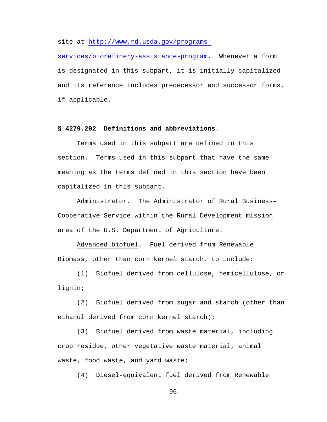site at [http://www.rd.usda.gov/programs-](http://www.rd.usda.gov/programs-services/biorefinery-assistance-program)

[services/biorefinery-assistance-program.](http://www.rd.usda.gov/programs-services/biorefinery-assistance-program) Whenever a form is designated in this subpart, it is initially capitalized and its reference includes predecessor and successor forms, if applicable.

## **§ 4279.202 Definitions and abbreviations**.

Terms used in this subpart are defined in this section. Terms used in this subpart that have the same meaning as the terms defined in this section have been capitalized in this subpart.

Administrator. The Administrator of Rural Business– Cooperative Service within the Rural Development mission area of the U.S. Department of Agriculture.

Advanced biofuel. Fuel derived from Renewable Biomass, other than corn kernel starch, to include:

(1) Biofuel derived from cellulose, hemicellulose, or lignin;

(2) Biofuel derived from sugar and starch (other than ethanol derived from corn kernel starch);

(3) Biofuel derived from waste material, including crop residue, other vegetative waste material, animal waste, food waste, and yard waste;

(4) Diesel-equivalent fuel derived from Renewable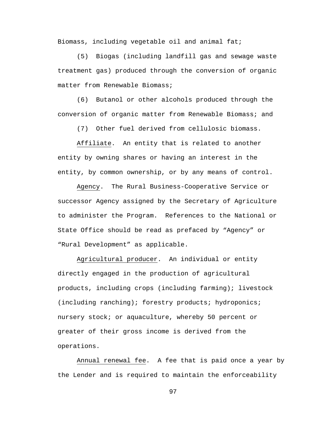Biomass, including vegetable oil and animal fat;

(5) Biogas (including landfill gas and sewage waste treatment gas) produced through the conversion of organic matter from Renewable Biomass;

(6) Butanol or other alcohols produced through the conversion of organic matter from Renewable Biomass; and

(7) Other fuel derived from cellulosic biomass.

Affiliate. An entity that is related to another entity by owning shares or having an interest in the entity, by common ownership, or by any means of control.

Agency. The Rural Business-Cooperative Service or successor Agency assigned by the Secretary of Agriculture to administer the Program. References to the National or State Office should be read as prefaced by "Agency" or "Rural Development" as applicable.

Agricultural producer. An individual or entity directly engaged in the production of agricultural products, including crops (including farming); livestock (including ranching); forestry products; hydroponics; nursery stock; or aquaculture, whereby 50 percent or greater of their gross income is derived from the operations.

Annual renewal fee. A fee that is paid once a year by the Lender and is required to maintain the enforceability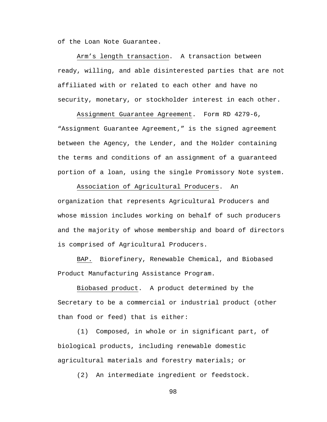of the Loan Note Guarantee.

Arm's length transaction. A transaction between ready, willing, and able disinterested parties that are not affiliated with or related to each other and have no security, monetary, or stockholder interest in each other.

Assignment Guarantee Agreement. Form RD 4279-6, "Assignment Guarantee Agreement," is the signed agreement between the Agency, the Lender, and the Holder containing the terms and conditions of an assignment of a guaranteed portion of a loan, using the single Promissory Note system.

Association of Agricultural Producers. An organization that represents Agricultural Producers and whose mission includes working on behalf of such producers and the majority of whose membership and board of directors is comprised of Agricultural Producers.

BAP. Biorefinery, Renewable Chemical, and Biobased Product Manufacturing Assistance Program.

Biobased product. A product determined by the Secretary to be a commercial or industrial product (other than food or feed) that is either:

(1) Composed, in whole or in significant part, of biological products, including renewable domestic agricultural materials and forestry materials; or

(2) An intermediate ingredient or feedstock.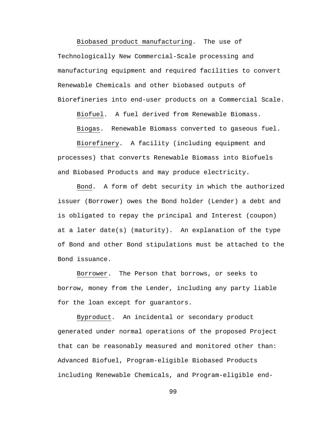Biobased product manufacturing. The use of Technologically New Commercial-Scale processing and manufacturing equipment and required facilities to convert Renewable Chemicals and other biobased outputs of Biorefineries into end-user products on a Commercial Scale.

Biofuel. A fuel derived from Renewable Biomass.

Biogas. Renewable Biomass converted to gaseous fuel.

Biorefinery. A facility (including equipment and processes) that converts Renewable Biomass into Biofuels and Biobased Products and may produce electricity.

Bond. A form of debt security in which the authorized issuer (Borrower) owes the Bond holder (Lender) a debt and is obligated to repay the principal and Interest (coupon) at a later date(s) (maturity). An explanation of the type of Bond and other Bond stipulations must be attached to the Bond issuance.

Borrower. The Person that borrows, or seeks to borrow, money from the Lender, including any party liable for the loan except for guarantors.

Byproduct. An incidental or secondary product generated under normal operations of the proposed Project that can be reasonably measured and monitored other than: Advanced Biofuel, Program-eligible Biobased Products including Renewable Chemicals, and Program-eligible end-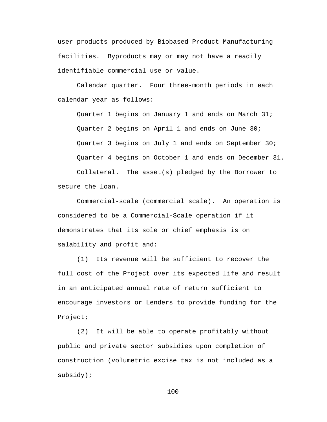user products produced by Biobased Product Manufacturing facilities. Byproducts may or may not have a readily identifiable commercial use or value.

Calendar quarter. Four three-month periods in each calendar year as follows:

Quarter 1 begins on January 1 and ends on March 31; Quarter 2 begins on April 1 and ends on June 30; Quarter 3 begins on July 1 and ends on September 30; Quarter 4 begins on October 1 and ends on December 31. Collateral. The asset(s) pledged by the Borrower to secure the loan.

Commercial-scale (commercial scale). An operation is considered to be a Commercial-Scale operation if it demonstrates that its sole or chief emphasis is on salability and profit and:

(1) Its revenue will be sufficient to recover the full cost of the Project over its expected life and result in an anticipated annual rate of return sufficient to encourage investors or Lenders to provide funding for the Project;

(2) It will be able to operate profitably without public and private sector subsidies upon completion of construction (volumetric excise tax is not included as a subsidy);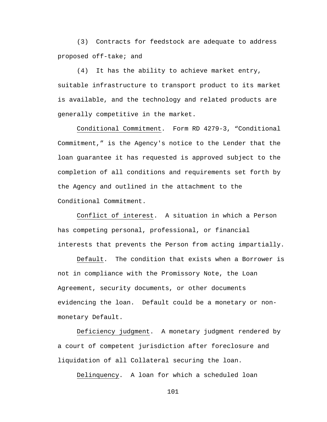(3) Contracts for feedstock are adequate to address proposed off-take; and

(4) It has the ability to achieve market entry, suitable infrastructure to transport product to its market is available, and the technology and related products are generally competitive in the market.

Conditional Commitment. Form RD 4279-3, "Conditional Commitment," is the Agency's notice to the Lender that the loan guarantee it has requested is approved subject to the completion of all conditions and requirements set forth by the Agency and outlined in the attachment to the Conditional Commitment.

Conflict of interest. A situation in which a Person has competing personal, professional, or financial interests that prevents the Person from acting impartially.

Default. The condition that exists when a Borrower is not in compliance with the Promissory Note, the Loan Agreement, security documents, or other documents evidencing the loan. Default could be a monetary or nonmonetary Default.

Deficiency judgment. A monetary judgment rendered by a court of competent jurisdiction after foreclosure and liquidation of all Collateral securing the loan.

Delinquency. A loan for which a scheduled loan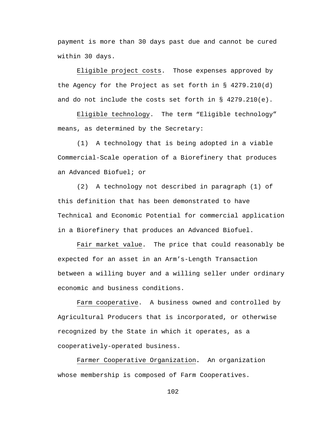payment is more than 30 days past due and cannot be cured within 30 days.

Eligible project costs. Those expenses approved by the Agency for the Project as set forth in  $\S$  4279.210(d) and do not include the costs set forth in § 4279.210(e).

Eligible technology. The term "Eligible technology" means, as determined by the Secretary:

(1) A technology that is being adopted in a viable Commercial-Scale operation of a Biorefinery that produces an Advanced Biofuel; or

(2) A technology not described in paragraph (1) of this definition that has been demonstrated to have Technical and Economic Potential for commercial application in a Biorefinery that produces an Advanced Biofuel.

Fair market value. The price that could reasonably be expected for an asset in an Arm's-Length Transaction between a willing buyer and a willing seller under ordinary economic and business conditions.

Farm cooperative. A business owned and controlled by Agricultural Producers that is incorporated, or otherwise recognized by the State in which it operates, as a cooperatively-operated business.

Farmer Cooperative Organization**.** An organization whose membership is composed of Farm Cooperatives.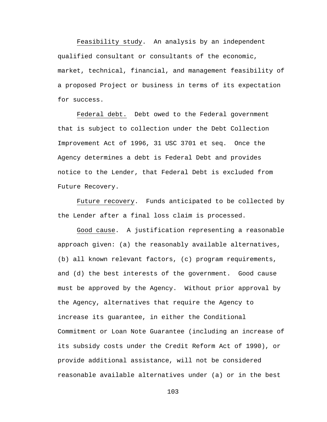Feasibility study. An analysis by an independent qualified consultant or consultants of the economic, market, technical, financial, and management feasibility of a proposed Project or business in terms of its expectation for success.

Federal debt. Debt owed to the Federal government that is subject to collection under the Debt Collection Improvement Act of 1996, 31 USC 3701 et seq. Once the Agency determines a debt is Federal Debt and provides notice to the Lender, that Federal Debt is excluded from Future Recovery.

Future recovery. Funds anticipated to be collected by the Lender after a final loss claim is processed.

Good cause. A justification representing a reasonable approach given: (a) the reasonably available alternatives, (b) all known relevant factors, (c) program requirements, and (d) the best interests of the government. Good cause must be approved by the Agency. Without prior approval by the Agency, alternatives that require the Agency to increase its guarantee, in either the Conditional Commitment or Loan Note Guarantee (including an increase of its subsidy costs under the Credit Reform Act of 1990), or provide additional assistance, will not be considered reasonable available alternatives under (a) or in the best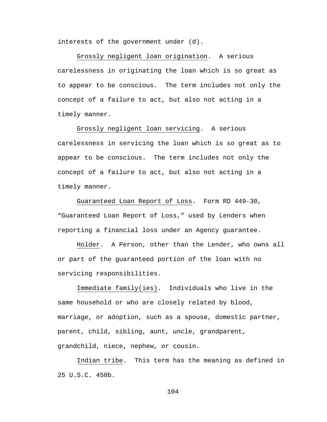interests of the government under (d).

Grossly negligent loan origination. A serious carelessness in originating the loan which is so great as to appear to be conscious. The term includes not only the concept of a failure to act, but also not acting in a timely manner.

Grossly negligent loan servicing. A serious carelessness in servicing the loan which is so great as to appear to be conscious. The term includes not only the concept of a failure to act, but also not acting in a timely manner.

Guaranteed Loan Report of Loss. Form RD 449-30, "Guaranteed Loan Report of Loss," used by Lenders when reporting a financial loss under an Agency guarantee.

Holder. A Person, other than the Lender, who owns all or part of the guaranteed portion of the loan with no servicing responsibilities.

Immediate family(ies). Individuals who live in the same household or who are closely related by blood, marriage, or adoption, such as a spouse, domestic partner, parent, child, sibling, aunt, uncle, grandparent, grandchild, niece, nephew, or cousin.

Indian tribe. This term has the meaning as defined in 25 U.S.C. 450b.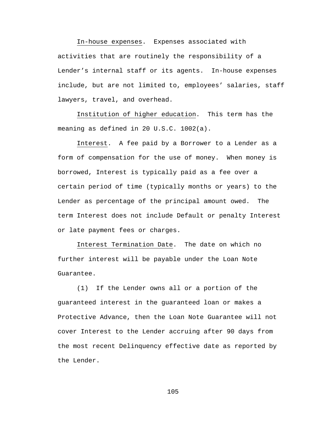In-house expenses. Expenses associated with activities that are routinely the responsibility of a Lender's internal staff or its agents. In-house expenses include, but are not limited to, employees' salaries, staff lawyers, travel, and overhead.

Institution of higher education. This term has the meaning as defined in 20 U.S.C. 1002(a).

Interest. A fee paid by a Borrower to a Lender as a form of compensation for the use of money. When money is borrowed, Interest is typically paid as a fee over a certain period of time (typically months or years) to the Lender as percentage of the principal amount owed. The term Interest does not include Default or penalty Interest or late payment fees or charges.

Interest Termination Date. The date on which no further interest will be payable under the Loan Note Guarantee.

(1) If the Lender owns all or a portion of the guaranteed interest in the guaranteed loan or makes a Protective Advance, then the Loan Note Guarantee will not cover Interest to the Lender accruing after 90 days from the most recent Delinquency effective date as reported by the Lender.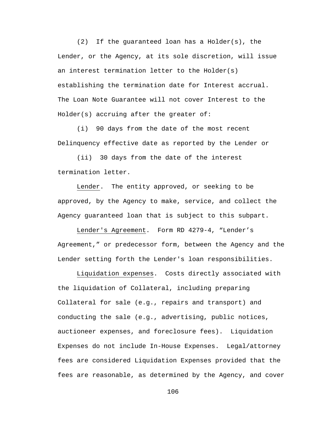(2) If the guaranteed loan has a Holder(s), the Lender, or the Agency, at its sole discretion, will issue an interest termination letter to the Holder(s) establishing the termination date for Interest accrual. The Loan Note Guarantee will not cover Interest to the Holder(s) accruing after the greater of:

(i) 90 days from the date of the most recent Delinquency effective date as reported by the Lender or

(ii) 30 days from the date of the interest termination letter.

Lender. The entity approved, or seeking to be approved, by the Agency to make, service, and collect the Agency guaranteed loan that is subject to this subpart.

Lender's Agreement. Form RD 4279-4, "Lender's Agreement," or predecessor form, between the Agency and the Lender setting forth the Lender's loan responsibilities.

Liquidation expenses. Costs directly associated with the liquidation of Collateral, including preparing Collateral for sale (e.g., repairs and transport) and conducting the sale (e.g., advertising, public notices, auctioneer expenses, and foreclosure fees). Liquidation Expenses do not include In-House Expenses. Legal/attorney fees are considered Liquidation Expenses provided that the fees are reasonable, as determined by the Agency, and cover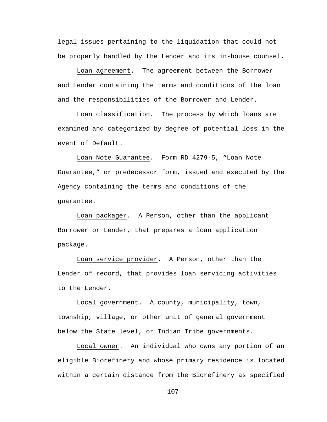legal issues pertaining to the liquidation that could not be properly handled by the Lender and its in-house counsel.

Loan agreement. The agreement between the Borrower and Lender containing the terms and conditions of the loan and the responsibilities of the Borrower and Lender.

Loan classification. The process by which loans are examined and categorized by degree of potential loss in the event of Default.

Loan Note Guarantee. Form RD 4279-5, "Loan Note Guarantee," or predecessor form, issued and executed by the Agency containing the terms and conditions of the guarantee.

Loan packager. A Person, other than the applicant Borrower or Lender, that prepares a loan application package.

Loan service provider. A Person, other than the Lender of record, that provides loan servicing activities to the Lender.

Local government. A county, municipality, town, township, village, or other unit of general government below the State level, or Indian Tribe governments.

Local owner. An individual who owns any portion of an eligible Biorefinery and whose primary residence is located within a certain distance from the Biorefinery as specified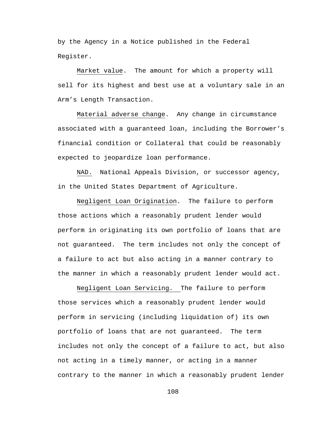by the Agency in a Notice published in the Federal Register.

Market value. The amount for which a property will sell for its highest and best use at a voluntary sale in an Arm's Length Transaction.

Material adverse change. Any change in circumstance associated with a guaranteed loan, including the Borrower's financial condition or Collateral that could be reasonably expected to jeopardize loan performance.

NAD. National Appeals Division, or successor agency, in the United States Department of Agriculture.

Negligent Loan Origination. The failure to perform those actions which a reasonably prudent lender would perform in originating its own portfolio of loans that are not guaranteed. The term includes not only the concept of a failure to act but also acting in a manner contrary to the manner in which a reasonably prudent lender would act.

Negligent Loan Servicing. The failure to perform those services which a reasonably prudent lender would perform in servicing (including liquidation of) its own portfolio of loans that are not guaranteed. The term includes not only the concept of a failure to act, but also not acting in a timely manner, or acting in a manner contrary to the manner in which a reasonably prudent lender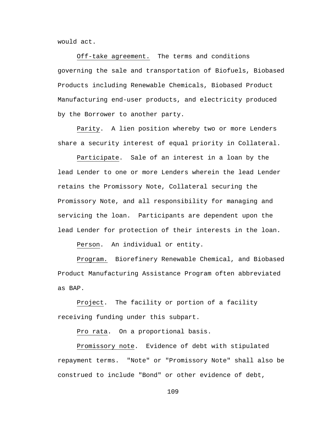would act.

Off-take agreement. The terms and conditions governing the sale and transportation of Biofuels, Biobased Products including Renewable Chemicals, Biobased Product Manufacturing end-user products, and electricity produced by the Borrower to another party.

Parity. A lien position whereby two or more Lenders share a security interest of equal priority in Collateral.

Participate. Sale of an interest in a loan by the lead Lender to one or more Lenders wherein the lead Lender retains the Promissory Note, Collateral securing the Promissory Note, and all responsibility for managing and servicing the loan. Participants are dependent upon the lead Lender for protection of their interests in the loan.

Person. An individual or entity.

Program. Biorefinery Renewable Chemical, and Biobased Product Manufacturing Assistance Program often abbreviated as BAP.

Project. The facility or portion of a facility receiving funding under this subpart.

Pro rata. On a proportional basis.

Promissory note. Evidence of debt with stipulated repayment terms. "Note" or "Promissory Note" shall also be construed to include "Bond" or other evidence of debt,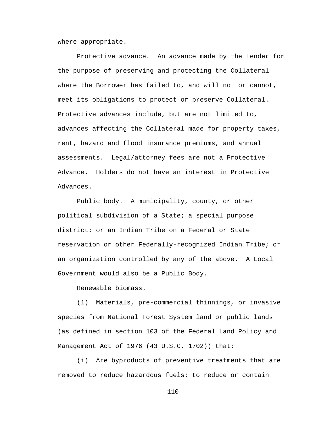where appropriate.

Protective advance. An advance made by the Lender for the purpose of preserving and protecting the Collateral where the Borrower has failed to, and will not or cannot, meet its obligations to protect or preserve Collateral. Protective advances include, but are not limited to, advances affecting the Collateral made for property taxes, rent, hazard and flood insurance premiums, and annual assessments. Legal/attorney fees are not a Protective Advance. Holders do not have an interest in Protective Advances.

Public body. A municipality, county, or other political subdivision of a State; a special purpose district; or an Indian Tribe on a Federal or State reservation or other Federally-recognized Indian Tribe; or an organization controlled by any of the above. A Local Government would also be a Public Body.

# Renewable biomass.

(1) Materials, pre-commercial thinnings, or invasive species from National Forest System land or public lands (as defined in section 103 of the Federal Land Policy and Management Act of 1976 (43 U.S.C. 1702)) that:

(i) Are byproducts of preventive treatments that are removed to reduce hazardous fuels; to reduce or contain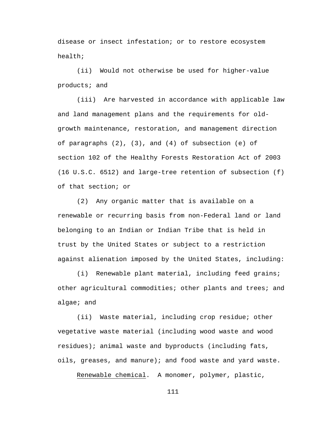disease or insect infestation; or to restore ecosystem health;

(ii) Would not otherwise be used for higher-value products; and

(iii) Are harvested in accordance with applicable law and land management plans and the requirements for oldgrowth maintenance, restoration, and management direction of paragraphs (2), (3), and (4) of subsection (e) of section 102 of the Healthy Forests Restoration Act of 2003 (16 U.S.C. 6512) and large-tree retention of subsection (f) of that section; or

(2) Any organic matter that is available on a renewable or recurring basis from non-Federal land or land belonging to an Indian or Indian Tribe that is held in trust by the United States or subject to a restriction against alienation imposed by the United States, including:

(i) Renewable plant material, including feed grains; other agricultural commodities; other plants and trees; and algae; and

(ii) Waste material, including crop residue; other vegetative waste material (including wood waste and wood residues); animal waste and byproducts (including fats, oils, greases, and manure); and food waste and yard waste.

Renewable chemical. A monomer, polymer, plastic,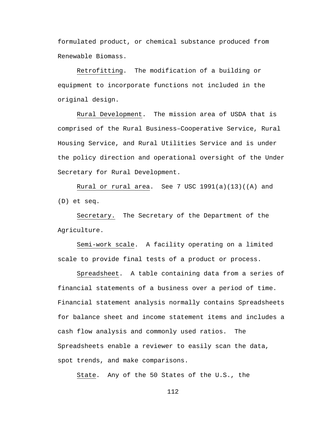formulated product, or chemical substance produced from Renewable Biomass.

Retrofitting. The modification of a building or equipment to incorporate functions not included in the original design.

Rural Development. The mission area of USDA that is comprised of the Rural Business–Cooperative Service, Rural Housing Service, and Rural Utilities Service and is under the policy direction and operational oversight of the Under Secretary for Rural Development.

Rural or rural area. See 7 USC  $1991(a)(13)((A)$  and (D) et seq.

Secretary. The Secretary of the Department of the Agriculture.

Semi-work scale. A facility operating on a limited scale to provide final tests of a product or process.

Spreadsheet. A table containing data from a series of financial statements of a business over a period of time. Financial statement analysis normally contains Spreadsheets for balance sheet and income statement items and includes a cash flow analysis and commonly used ratios. The Spreadsheets enable a reviewer to easily scan the data, spot trends, and make comparisons.

State. Any of the 50 States of the U.S., the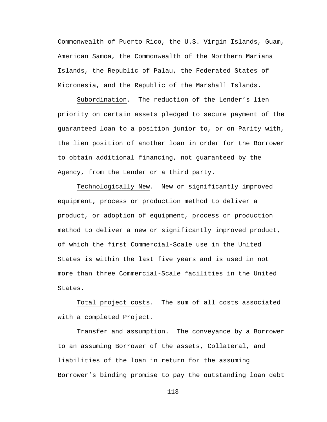Commonwealth of Puerto Rico, the U.S. Virgin Islands, Guam, American Samoa, the Commonwealth of the Northern Mariana Islands, the Republic of Palau, the Federated States of Micronesia, and the Republic of the Marshall Islands.

Subordination. The reduction of the Lender's lien priority on certain assets pledged to secure payment of the guaranteed loan to a position junior to, or on Parity with, the lien position of another loan in order for the Borrower to obtain additional financing, not guaranteed by the Agency, from the Lender or a third party.

Technologically New. New or significantly improved equipment, process or production method to deliver a product, or adoption of equipment, process or production method to deliver a new or significantly improved product, of which the first Commercial-Scale use in the United States is within the last five years and is used in not more than three Commercial-Scale facilities in the United States.

Total project costs. The sum of all costs associated with a completed Project.

Transfer and assumption. The conveyance by a Borrower to an assuming Borrower of the assets, Collateral, and liabilities of the loan in return for the assuming Borrower's binding promise to pay the outstanding loan debt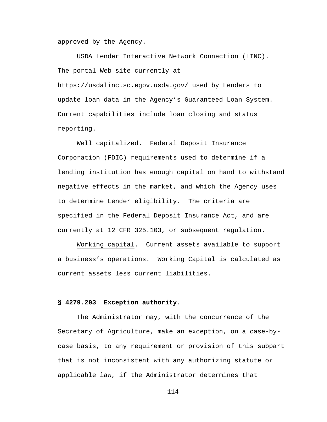approved by the Agency.

USDA Lender Interactive Network Connection (LINC). The portal Web site currently at

<https://usdalinc.sc.egov.usda.gov/> used by Lenders to update loan data in the Agency's Guaranteed Loan System. Current capabilities include loan closing and status reporting.

Well capitalized. Federal Deposit Insurance Corporation (FDIC) requirements used to determine if a lending institution has enough capital on hand to withstand negative effects in the market, and which the Agency uses to determine Lender eligibility. The criteria are specified in the Federal Deposit Insurance Act, and are currently at 12 CFR 325.103, or subsequent regulation.

Working capital. Current assets available to support a business's operations. Working Capital is calculated as current assets less current liabilities.

#### **§ 4279.203 Exception authority**.

The Administrator may, with the concurrence of the Secretary of Agriculture, make an exception, on a case-bycase basis, to any requirement or provision of this subpart that is not inconsistent with any authorizing statute or applicable law, if the Administrator determines that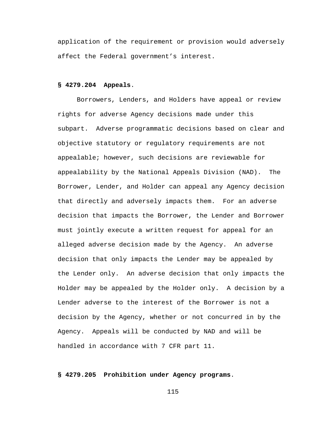application of the requirement or provision would adversely affect the Federal government's interest.

### **§ 4279.204 Appeals**.

Borrowers, Lenders, and Holders have appeal or review rights for adverse Agency decisions made under this subpart. Adverse programmatic decisions based on clear and objective statutory or regulatory requirements are not appealable; however, such decisions are reviewable for appealability by the National Appeals Division (NAD). The Borrower, Lender, and Holder can appeal any Agency decision that directly and adversely impacts them. For an adverse decision that impacts the Borrower, the Lender and Borrower must jointly execute a written request for appeal for an alleged adverse decision made by the Agency. An adverse decision that only impacts the Lender may be appealed by the Lender only. An adverse decision that only impacts the Holder may be appealed by the Holder only. A decision by a Lender adverse to the interest of the Borrower is not a decision by the Agency, whether or not concurred in by the Agency. Appeals will be conducted by NAD and will be handled in accordance with 7 CFR part 11.

# **§ 4279.205 Prohibition under Agency programs**.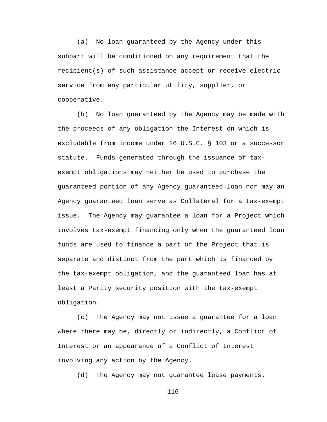(a) No loan guaranteed by the Agency under this subpart will be conditioned on any requirement that the recipient(s) of such assistance accept or receive electric service from any particular utility, supplier, or cooperative.

(b) No loan guaranteed by the Agency may be made with the proceeds of any obligation the Interest on which is excludable from income under 26 U.S.C. § 103 or a successor statute. Funds generated through the issuance of taxexempt obligations may neither be used to purchase the guaranteed portion of any Agency guaranteed loan nor may an Agency guaranteed loan serve as Collateral for a tax-exempt issue. The Agency may guarantee a loan for a Project which involves tax-exempt financing only when the guaranteed loan funds are used to finance a part of the Project that is separate and distinct from the part which is financed by the tax-exempt obligation, and the guaranteed loan has at least a Parity security position with the tax-exempt obligation.

(c) The Agency may not issue a guarantee for a loan where there may be, directly or indirectly, a Conflict of Interest or an appearance of a Conflict of Interest involving any action by the Agency.

(d) The Agency may not guarantee lease payments.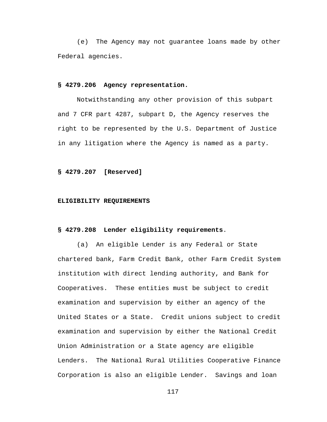(e) The Agency may not guarantee loans made by other Federal agencies.

## **§ 4279.206 Agency representation.**

Notwithstanding any other provision of this subpart and 7 CFR part 4287, subpart D, the Agency reserves the right to be represented by the U.S. Department of Justice in any litigation where the Agency is named as a party.

#### **§ 4279.207 [Reserved]**

#### **ELIGIBILITY REQUIREMENTS**

### **§ 4279.208 Lender eligibility requirements**.

(a) An eligible Lender is any Federal or State chartered bank, Farm Credit Bank, other Farm Credit System institution with direct lending authority, and Bank for Cooperatives. These entities must be subject to credit examination and supervision by either an agency of the United States or a State. Credit unions subject to credit examination and supervision by either the National Credit Union Administration or a State agency are eligible Lenders. The National Rural Utilities Cooperative Finance Corporation is also an eligible Lender. Savings and loan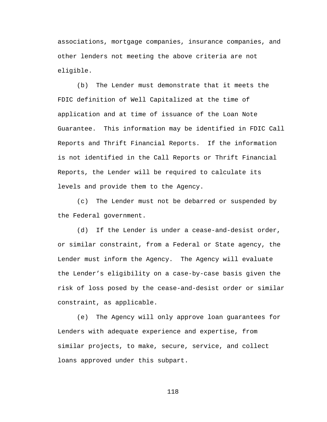associations, mortgage companies, insurance companies, and other lenders not meeting the above criteria are not eligible.

(b) The Lender must demonstrate that it meets the FDIC definition of Well Capitalized at the time of application and at time of issuance of the Loan Note Guarantee. This information may be identified in FDIC Call Reports and Thrift Financial Reports. If the information is not identified in the Call Reports or Thrift Financial Reports, the Lender will be required to calculate its levels and provide them to the Agency.

(c) The Lender must not be debarred or suspended by the Federal government.

(d) If the Lender is under a cease-and-desist order, or similar constraint, from a Federal or State agency, the Lender must inform the Agency. The Agency will evaluate the Lender's eligibility on a case-by-case basis given the risk of loss posed by the cease-and-desist order or similar constraint, as applicable.

(e) The Agency will only approve loan guarantees for Lenders with adequate experience and expertise, from similar projects, to make, secure, service, and collect loans approved under this subpart.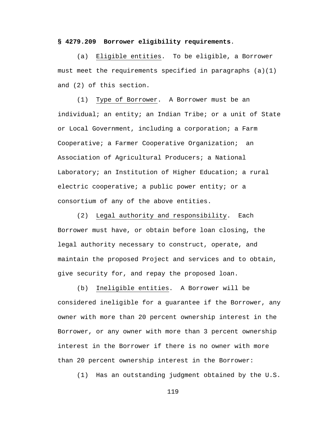### **§ 4279.209 Borrower eligibility requirements**.

(a) Eligible entities. To be eligible, a Borrower must meet the requirements specified in paragraphs  $(a)(1)$ and (2) of this section.

(1) Type of Borrower. A Borrower must be an individual; an entity; an Indian Tribe; or a unit of State or Local Government, including a corporation; a Farm Cooperative; a Farmer Cooperative Organization; an Association of Agricultural Producers; a National Laboratory; an Institution of Higher Education; a rural electric cooperative; a public power entity; or a consortium of any of the above entities.

(2) Legal authority and responsibility. Each Borrower must have, or obtain before loan closing, the legal authority necessary to construct, operate, and maintain the proposed Project and services and to obtain, give security for, and repay the proposed loan.

(b) Ineligible entities. A Borrower will be considered ineligible for a guarantee if the Borrower, any owner with more than 20 percent ownership interest in the Borrower, or any owner with more than 3 percent ownership interest in the Borrower if there is no owner with more than 20 percent ownership interest in the Borrower:

(1) Has an outstanding judgment obtained by the U.S.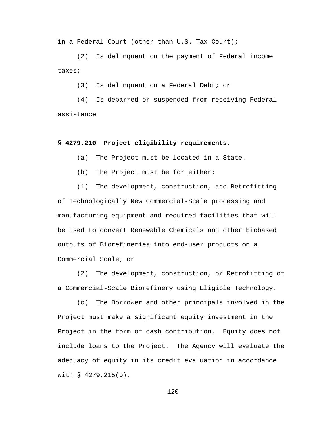in a Federal Court (other than U.S. Tax Court);

(2) Is delinquent on the payment of Federal income taxes;

(3) Is delinquent on a Federal Debt; or

(4) Is debarred or suspended from receiving Federal assistance.

#### **§ 4279.210 Project eligibility requirements**.

(a) The Project must be located in a State.

(b) The Project must be for either:

(1) The development, construction, and Retrofitting of Technologically New Commercial-Scale processing and manufacturing equipment and required facilities that will be used to convert Renewable Chemicals and other biobased outputs of Biorefineries into end-user products on a Commercial Scale; or

(2) The development, construction, or Retrofitting of a Commercial-Scale Biorefinery using Eligible Technology.

(c) The Borrower and other principals involved in the Project must make a significant equity investment in the Project in the form of cash contribution. Equity does not include loans to the Project. The Agency will evaluate the adequacy of equity in its credit evaluation in accordance with § 4279.215(b).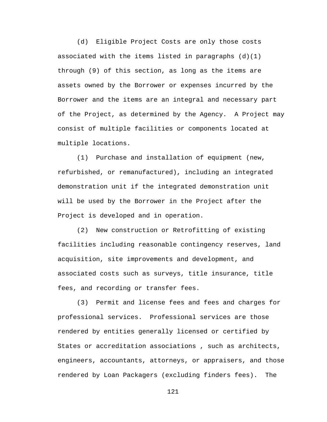(d) Eligible Project Costs are only those costs associated with the items listed in paragraphs  $(d)(1)$ through (9) of this section, as long as the items are assets owned by the Borrower or expenses incurred by the Borrower and the items are an integral and necessary part of the Project, as determined by the Agency. A Project may consist of multiple facilities or components located at multiple locations.

(1) Purchase and installation of equipment (new, refurbished, or remanufactured), including an integrated demonstration unit if the integrated demonstration unit will be used by the Borrower in the Project after the Project is developed and in operation.

(2) New construction or Retrofitting of existing facilities including reasonable contingency reserves, land acquisition, site improvements and development, and associated costs such as surveys, title insurance, title fees, and recording or transfer fees.

(3) Permit and license fees and fees and charges for professional services. Professional services are those rendered by entities generally licensed or certified by States or accreditation associations , such as architects, engineers, accountants, attorneys, or appraisers, and those rendered by Loan Packagers (excluding finders fees). The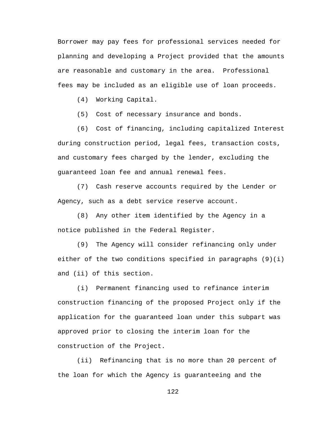Borrower may pay fees for professional services needed for planning and developing a Project provided that the amounts are reasonable and customary in the area. Professional fees may be included as an eligible use of loan proceeds.

(4) Working Capital.

(5) Cost of necessary insurance and bonds.

(6) Cost of financing, including capitalized Interest during construction period, legal fees, transaction costs, and customary fees charged by the lender, excluding the guaranteed loan fee and annual renewal fees.

(7) Cash reserve accounts required by the Lender or Agency, such as a debt service reserve account.

(8) Any other item identified by the Agency in a notice published in the Federal Register.

(9) The Agency will consider refinancing only under either of the two conditions specified in paragraphs  $(9)(i)$ and (ii) of this section.

(i) Permanent financing used to refinance interim construction financing of the proposed Project only if the application for the guaranteed loan under this subpart was approved prior to closing the interim loan for the construction of the Project.

(ii) Refinancing that is no more than 20 percent of the loan for which the Agency is guaranteeing and the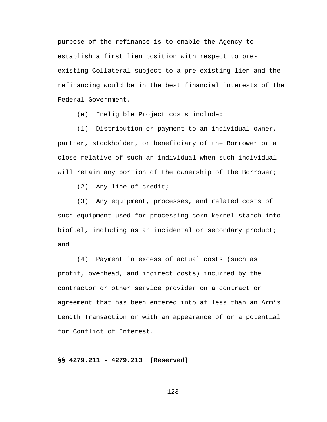purpose of the refinance is to enable the Agency to establish a first lien position with respect to preexisting Collateral subject to a pre-existing lien and the refinancing would be in the best financial interests of the Federal Government.

(e) Ineligible Project costs include:

(1) Distribution or payment to an individual owner, partner, stockholder, or beneficiary of the Borrower or a close relative of such an individual when such individual will retain any portion of the ownership of the Borrower;

(2) Any line of credit;

(3) Any equipment, processes, and related costs of such equipment used for processing corn kernel starch into biofuel, including as an incidental or secondary product; and

(4) Payment in excess of actual costs (such as profit, overhead, and indirect costs) incurred by the contractor or other service provider on a contract or agreement that has been entered into at less than an Arm's Length Transaction or with an appearance of or a potential for Conflict of Interest.

**§§ 4279.211 - 4279.213 [Reserved]**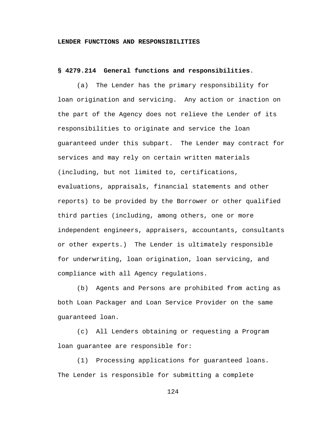## **LENDER FUNCTIONS AND RESPONSIBILITIES**

# **§ 4279.214 General functions and responsibilities**.

(a) The Lender has the primary responsibility for loan origination and servicing. Any action or inaction on the part of the Agency does not relieve the Lender of its responsibilities to originate and service the loan guaranteed under this subpart. The Lender may contract for services and may rely on certain written materials (including, but not limited to, certifications, evaluations, appraisals, financial statements and other reports) to be provided by the Borrower or other qualified third parties (including, among others, one or more independent engineers, appraisers, accountants, consultants or other experts.) The Lender is ultimately responsible for underwriting, loan origination, loan servicing, and compliance with all Agency regulations.

(b) Agents and Persons are prohibited from acting as both Loan Packager and Loan Service Provider on the same guaranteed loan.

(c) All Lenders obtaining or requesting a Program loan guarantee are responsible for:

(1) Processing applications for guaranteed loans. The Lender is responsible for submitting a complete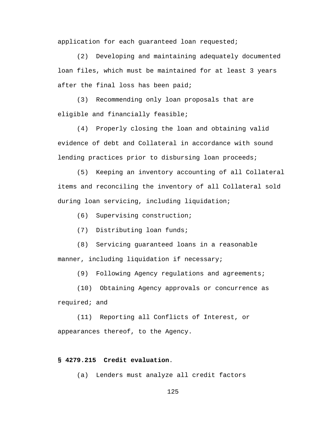application for each guaranteed loan requested;

(2) Developing and maintaining adequately documented loan files, which must be maintained for at least 3 years after the final loss has been paid;

(3) Recommending only loan proposals that are eligible and financially feasible;

(4) Properly closing the loan and obtaining valid evidence of debt and Collateral in accordance with sound lending practices prior to disbursing loan proceeds;

(5) Keeping an inventory accounting of all Collateral items and reconciling the inventory of all Collateral sold during loan servicing, including liquidation;

(6) Supervising construction;

(7) Distributing loan funds;

(8) Servicing guaranteed loans in a reasonable manner, including liquidation if necessary;

(9) Following Agency regulations and agreements;

(10) Obtaining Agency approvals or concurrence as required; and

(11) Reporting all Conflicts of Interest, or appearances thereof, to the Agency.

# **§ 4279.215 Credit evaluation**.

(a) Lenders must analyze all credit factors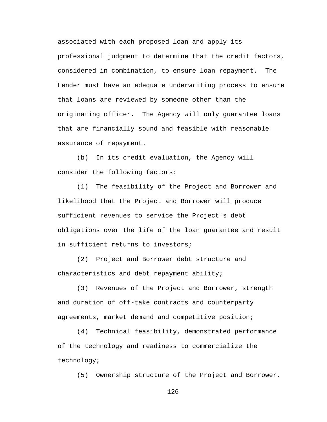associated with each proposed loan and apply its professional judgment to determine that the credit factors, considered in combination, to ensure loan repayment. The Lender must have an adequate underwriting process to ensure that loans are reviewed by someone other than the originating officer. The Agency will only guarantee loans that are financially sound and feasible with reasonable assurance of repayment.

(b) In its credit evaluation, the Agency will consider the following factors:

(1) The feasibility of the Project and Borrower and likelihood that the Project and Borrower will produce sufficient revenues to service the Project's debt obligations over the life of the loan guarantee and result in sufficient returns to investors;

(2) Project and Borrower debt structure and characteristics and debt repayment ability;

(3) Revenues of the Project and Borrower, strength and duration of off-take contracts and counterparty agreements, market demand and competitive position;

(4) Technical feasibility, demonstrated performance of the technology and readiness to commercialize the technology;

(5) Ownership structure of the Project and Borrower,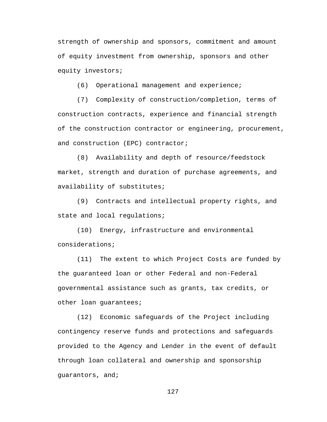strength of ownership and sponsors, commitment and amount of equity investment from ownership, sponsors and other equity investors;

(6) Operational management and experience;

(7) Complexity of construction/completion, terms of construction contracts, experience and financial strength of the construction contractor or engineering, procurement, and construction (EPC) contractor;

(8) Availability and depth of resource/feedstock market, strength and duration of purchase agreements, and availability of substitutes;

(9) Contracts and intellectual property rights, and state and local regulations;

(10) Energy, infrastructure and environmental considerations;

(11) The extent to which Project Costs are funded by the guaranteed loan or other Federal and non-Federal governmental assistance such as grants, tax credits, or other loan guarantees;

(12) Economic safeguards of the Project including contingency reserve funds and protections and safeguards provided to the Agency and Lender in the event of default through loan collateral and ownership and sponsorship guarantors, and;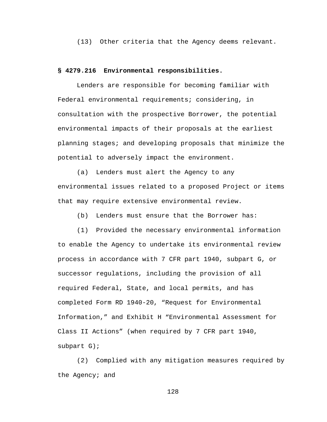(13) Other criteria that the Agency deems relevant.

# **§ 4279.216 Environmental responsibilities.**

Lenders are responsible for becoming familiar with Federal environmental requirements; considering, in consultation with the prospective Borrower, the potential environmental impacts of their proposals at the earliest planning stages; and developing proposals that minimize the potential to adversely impact the environment.

(a) Lenders must alert the Agency to any environmental issues related to a proposed Project or items that may require extensive environmental review.

(b) Lenders must ensure that the Borrower has:

(1) Provided the necessary environmental information to enable the Agency to undertake its environmental review process in accordance with 7 CFR part 1940, subpart G, or successor regulations, including the provision of all required Federal, State, and local permits, and has completed Form RD 1940-20, "Request for Environmental Information," and Exhibit H "Environmental Assessment for Class II Actions" (when required by 7 CFR part 1940, subpart G);

(2) Complied with any mitigation measures required by the Agency; and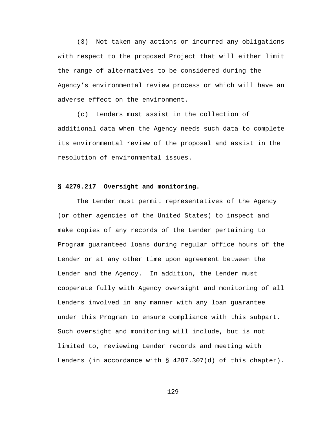(3) Not taken any actions or incurred any obligations with respect to the proposed Project that will either limit the range of alternatives to be considered during the Agency's environmental review process or which will have an adverse effect on the environment.

(c) Lenders must assist in the collection of additional data when the Agency needs such data to complete its environmental review of the proposal and assist in the resolution of environmental issues.

### **§ 4279.217 Oversight and monitoring.**

The Lender must permit representatives of the Agency (or other agencies of the United States) to inspect and make copies of any records of the Lender pertaining to Program guaranteed loans during regular office hours of the Lender or at any other time upon agreement between the Lender and the Agency. In addition, the Lender must cooperate fully with Agency oversight and monitoring of all Lenders involved in any manner with any loan guarantee under this Program to ensure compliance with this subpart. Such oversight and monitoring will include, but is not limited to, reviewing Lender records and meeting with Lenders (in accordance with § 4287.307(d) of this chapter).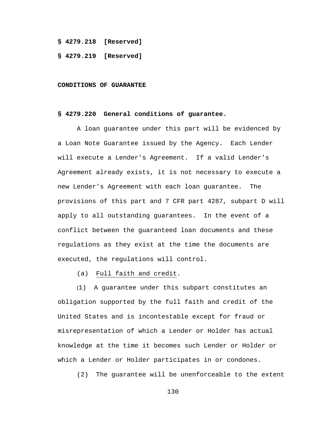**§ 4279.218 [Reserved]**

#### **§ 4279.219 [Reserved]**

#### **CONDITIONS OF GUARANTEE**

## **§ 4279.220 General conditions of guarantee.**

A loan guarantee under this part will be evidenced by a Loan Note Guarantee issued by the Agency. Each Lender will execute a Lender's Agreement. If a valid Lender's Agreement already exists, it is not necessary to execute a new Lender's Agreement with each loan guarantee. The provisions of this part and 7 CFR part 4287, subpart D will apply to all outstanding guarantees. In the event of a conflict between the guaranteed loan documents and these regulations as they exist at the time the documents are executed, the regulations will control.

(a) Full faith and credit.

(1) A guarantee under this subpart constitutes an obligation supported by the full faith and credit of the United States and is incontestable except for fraud or misrepresentation of which a Lender or Holder has actual knowledge at the time it becomes such Lender or Holder or which a Lender or Holder participates in or condones.

(2) The guarantee will be unenforceable to the extent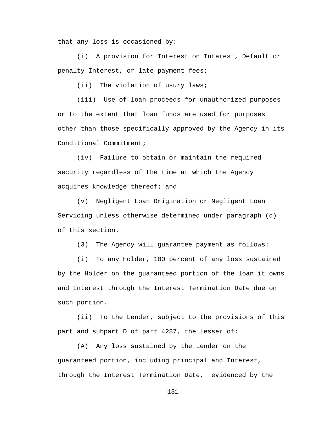that any loss is occasioned by:

(i) A provision for Interest on Interest, Default or penalty Interest, or late payment fees;

(ii) The violation of usury laws;

(iii) Use of loan proceeds for unauthorized purposes or to the extent that loan funds are used for purposes other than those specifically approved by the Agency in its Conditional Commitment;

(iv) Failure to obtain or maintain the required security regardless of the time at which the Agency acquires knowledge thereof; and

(v) Negligent Loan Origination or Negligent Loan Servicing unless otherwise determined under paragraph (d) of this section.

(3) The Agency will guarantee payment as follows:

(i) To any Holder, 100 percent of any loss sustained by the Holder on the guaranteed portion of the loan it owns and Interest through the Interest Termination Date due on such portion.

(ii) To the Lender, subject to the provisions of this part and subpart D of part 4287, the lesser of:

(A) Any loss sustained by the Lender on the guaranteed portion, including principal and Interest, through the Interest Termination Date, evidenced by the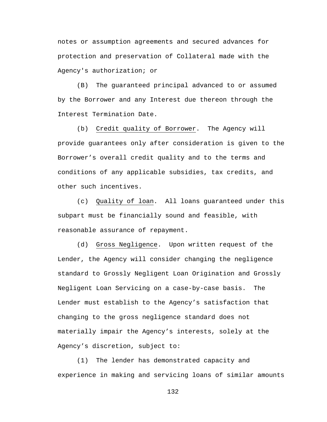notes or assumption agreements and secured advances for protection and preservation of Collateral made with the Agency's authorization; or

(B) The guaranteed principal advanced to or assumed by the Borrower and any Interest due thereon through the Interest Termination Date.

(b) Credit quality of Borrower. The Agency will provide guarantees only after consideration is given to the Borrower's overall credit quality and to the terms and conditions of any applicable subsidies, tax credits, and other such incentives.

(c) Quality of loan. All loans guaranteed under this subpart must be financially sound and feasible, with reasonable assurance of repayment.

(d) Gross Negligence. Upon written request of the Lender, the Agency will consider changing the negligence standard to Grossly Negligent Loan Origination and Grossly Negligent Loan Servicing on a case-by-case basis. The Lender must establish to the Agency's satisfaction that changing to the gross negligence standard does not materially impair the Agency's interests, solely at the Agency's discretion, subject to:

(1) The lender has demonstrated capacity and experience in making and servicing loans of similar amounts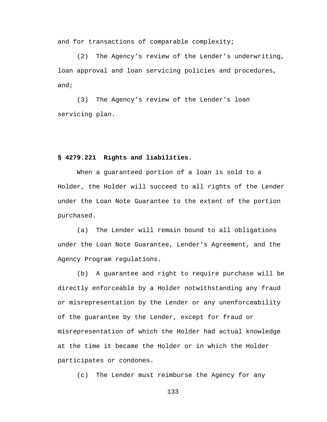and for transactions of comparable complexity;

(2) The Agency's review of the Lender's underwriting, loan approval and loan servicing policies and procedures, and;

(3) The Agency's review of the Lender's loan servicing plan.

### **§ 4279.221 Rights and liabilities.**

When a guaranteed portion of a loan is sold to a Holder, the Holder will succeed to all rights of the Lender under the Loan Note Guarantee to the extent of the portion purchased.

(a) The Lender will remain bound to all obligations under the Loan Note Guarantee, Lender's Agreement, and the Agency Program regulations.

(b) A guarantee and right to require purchase will be directly enforceable by a Holder notwithstanding any fraud or misrepresentation by the Lender or any unenforceability of the guarantee by the Lender, except for fraud or misrepresentation of which the Holder had actual knowledge at the time it became the Holder or in which the Holder participates or condones.

(c) The Lender must reimburse the Agency for any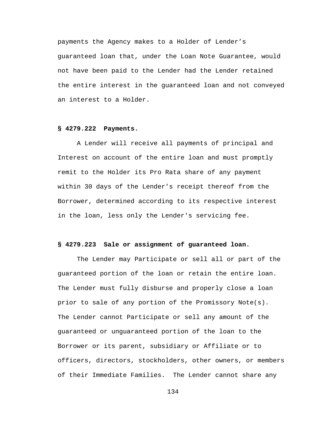payments the Agency makes to a Holder of Lender's guaranteed loan that, under the Loan Note Guarantee, would not have been paid to the Lender had the Lender retained the entire interest in the guaranteed loan and not conveyed an interest to a Holder.

# **§ 4279.222 Payments.**

A Lender will receive all payments of principal and Interest on account of the entire loan and must promptly remit to the Holder its Pro Rata share of any payment within 30 days of the Lender's receipt thereof from the Borrower, determined according to its respective interest in the loan, less only the Lender's servicing fee.

# **§ 4279.223 Sale or assignment of guaranteed loan.**

The Lender may Participate or sell all or part of the guaranteed portion of the loan or retain the entire loan. The Lender must fully disburse and properly close a loan prior to sale of any portion of the Promissory Note(s). The Lender cannot Participate or sell any amount of the guaranteed or unguaranteed portion of the loan to the Borrower or its parent, subsidiary or Affiliate or to officers, directors, stockholders, other owners, or members of their Immediate Families. The Lender cannot share any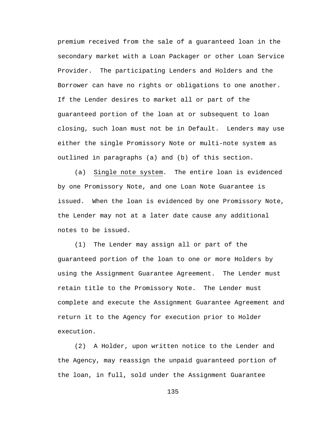premium received from the sale of a guaranteed loan in the secondary market with a Loan Packager or other Loan Service Provider. The participating Lenders and Holders and the Borrower can have no rights or obligations to one another. If the Lender desires to market all or part of the guaranteed portion of the loan at or subsequent to loan closing, such loan must not be in Default. Lenders may use either the single Promissory Note or multi-note system as outlined in paragraphs (a) and (b) of this section.

(a) Single note system. The entire loan is evidenced by one Promissory Note, and one Loan Note Guarantee is issued. When the loan is evidenced by one Promissory Note, the Lender may not at a later date cause any additional notes to be issued.

(1) The Lender may assign all or part of the guaranteed portion of the loan to one or more Holders by using the Assignment Guarantee Agreement. The Lender must retain title to the Promissory Note. The Lender must complete and execute the Assignment Guarantee Agreement and return it to the Agency for execution prior to Holder execution.

(2) A Holder, upon written notice to the Lender and the Agency, may reassign the unpaid guaranteed portion of the loan, in full, sold under the Assignment Guarantee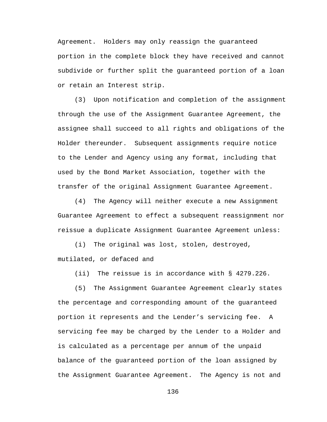Agreement. Holders may only reassign the guaranteed portion in the complete block they have received and cannot subdivide or further split the guaranteed portion of a loan or retain an Interest strip.

(3) Upon notification and completion of the assignment through the use of the Assignment Guarantee Agreement, the assignee shall succeed to all rights and obligations of the Holder thereunder. Subsequent assignments require notice to the Lender and Agency using any format, including that used by the Bond Market Association, together with the transfer of the original Assignment Guarantee Agreement.

(4) The Agency will neither execute a new Assignment Guarantee Agreement to effect a subsequent reassignment nor reissue a duplicate Assignment Guarantee Agreement unless:

(i) The original was lost, stolen, destroyed, mutilated, or defaced and

(ii) The reissue is in accordance with § 4279.226.

(5) The Assignment Guarantee Agreement clearly states the percentage and corresponding amount of the guaranteed portion it represents and the Lender's servicing fee. A servicing fee may be charged by the Lender to a Holder and is calculated as a percentage per annum of the unpaid balance of the guaranteed portion of the loan assigned by the Assignment Guarantee Agreement. The Agency is not and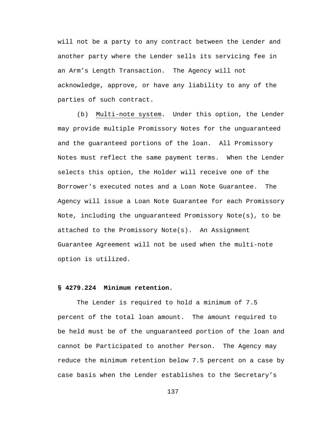will not be a party to any contract between the Lender and another party where the Lender sells its servicing fee in an Arm's Length Transaction. The Agency will not acknowledge, approve, or have any liability to any of the parties of such contract.

(b) Multi-note system. Under this option, the Lender may provide multiple Promissory Notes for the unguaranteed and the guaranteed portions of the loan. All Promissory Notes must reflect the same payment terms. When the Lender selects this option, the Holder will receive one of the Borrower's executed notes and a Loan Note Guarantee. The Agency will issue a Loan Note Guarantee for each Promissory Note, including the unguaranteed Promissory Note(s), to be attached to the Promissory Note(s). An Assignment Guarantee Agreement will not be used when the multi-note option is utilized.

# **§ 4279.224 Minimum retention.**

The Lender is required to hold a minimum of 7.5 percent of the total loan amount. The amount required to be held must be of the unguaranteed portion of the loan and cannot be Participated to another Person. The Agency may reduce the minimum retention below 7.5 percent on a case by case basis when the Lender establishes to the Secretary's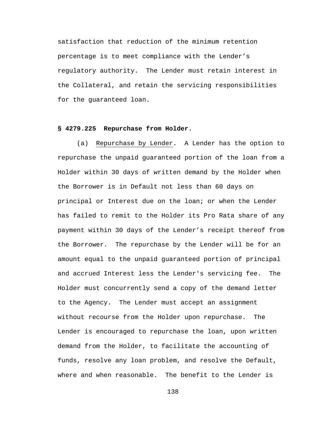satisfaction that reduction of the minimum retention percentage is to meet compliance with the Lender's regulatory authority. The Lender must retain interest in the Collateral, and retain the servicing responsibilities for the guaranteed loan.

# **§ 4279.225 Repurchase from Holder.**

(a) Repurchase by Lender. A Lender has the option to repurchase the unpaid guaranteed portion of the loan from a Holder within 30 days of written demand by the Holder when the Borrower is in Default not less than 60 days on principal or Interest due on the loan; or when the Lender has failed to remit to the Holder its Pro Rata share of any payment within 30 days of the Lender's receipt thereof from the Borrower. The repurchase by the Lender will be for an amount equal to the unpaid guaranteed portion of principal and accrued Interest less the Lender's servicing fee. The Holder must concurrently send a copy of the demand letter to the Agency. The Lender must accept an assignment without recourse from the Holder upon repurchase. The Lender is encouraged to repurchase the loan, upon written demand from the Holder, to facilitate the accounting of funds, resolve any loan problem, and resolve the Default, where and when reasonable. The benefit to the Lender is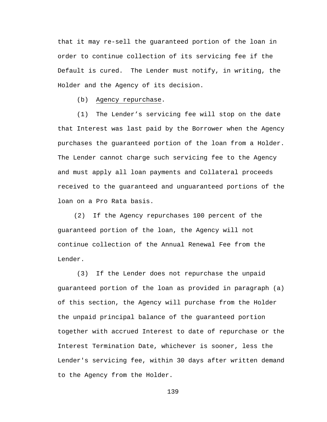that it may re-sell the guaranteed portion of the loan in order to continue collection of its servicing fee if the Default is cured. The Lender must notify, in writing, the Holder and the Agency of its decision.

(b) Agency repurchase.

(1) The Lender's servicing fee will stop on the date that Interest was last paid by the Borrower when the Agency purchases the guaranteed portion of the loan from a Holder. The Lender cannot charge such servicing fee to the Agency and must apply all loan payments and Collateral proceeds received to the guaranteed and unguaranteed portions of the loan on a Pro Rata basis.

(2) If the Agency repurchases 100 percent of the guaranteed portion of the loan, the Agency will not continue collection of the Annual Renewal Fee from the Lender.

(3) If the Lender does not repurchase the unpaid guaranteed portion of the loan as provided in paragraph (a) of this section, the Agency will purchase from the Holder the unpaid principal balance of the guaranteed portion together with accrued Interest to date of repurchase or the Interest Termination Date, whichever is sooner, less the Lender's servicing fee, within 30 days after written demand to the Agency from the Holder.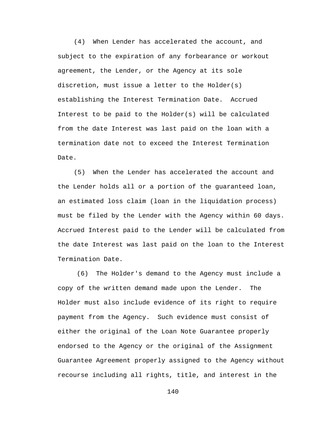(4) When Lender has accelerated the account, and subject to the expiration of any forbearance or workout agreement, the Lender, or the Agency at its sole discretion, must issue a letter to the Holder(s) establishing the Interest Termination Date. Accrued Interest to be paid to the Holder(s) will be calculated from the date Interest was last paid on the loan with a termination date not to exceed the Interest Termination Date.

(5) When the Lender has accelerated the account and the Lender holds all or a portion of the guaranteed loan, an estimated loss claim (loan in the liquidation process) must be filed by the Lender with the Agency within 60 days. Accrued Interest paid to the Lender will be calculated from the date Interest was last paid on the loan to the Interest Termination Date.

(6) The Holder's demand to the Agency must include a copy of the written demand made upon the Lender. The Holder must also include evidence of its right to require payment from the Agency. Such evidence must consist of either the original of the Loan Note Guarantee properly endorsed to the Agency or the original of the Assignment Guarantee Agreement properly assigned to the Agency without recourse including all rights, title, and interest in the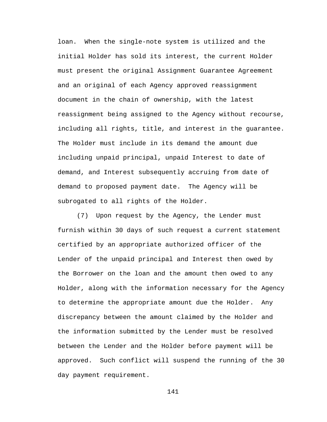loan. When the single-note system is utilized and the initial Holder has sold its interest, the current Holder must present the original Assignment Guarantee Agreement and an original of each Agency approved reassignment document in the chain of ownership, with the latest reassignment being assigned to the Agency without recourse, including all rights, title, and interest in the guarantee. The Holder must include in its demand the amount due including unpaid principal, unpaid Interest to date of demand, and Interest subsequently accruing from date of demand to proposed payment date. The Agency will be subrogated to all rights of the Holder.

(7) Upon request by the Agency, the Lender must furnish within 30 days of such request a current statement certified by an appropriate authorized officer of the Lender of the unpaid principal and Interest then owed by the Borrower on the loan and the amount then owed to any Holder, along with the information necessary for the Agency to determine the appropriate amount due the Holder. Any discrepancy between the amount claimed by the Holder and the information submitted by the Lender must be resolved between the Lender and the Holder before payment will be approved. Such conflict will suspend the running of the 30 day payment requirement.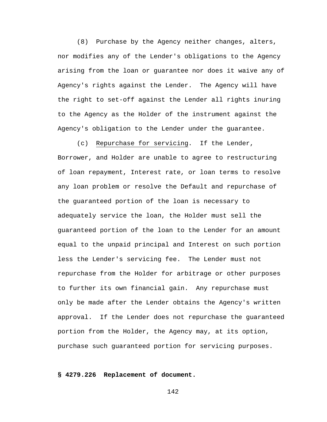(8) Purchase by the Agency neither changes, alters, nor modifies any of the Lender's obligations to the Agency arising from the loan or guarantee nor does it waive any of Agency's rights against the Lender. The Agency will have the right to set-off against the Lender all rights inuring to the Agency as the Holder of the instrument against the Agency's obligation to the Lender under the guarantee.

(c) Repurchase for servicing. If the Lender, Borrower, and Holder are unable to agree to restructuring of loan repayment, Interest rate, or loan terms to resolve any loan problem or resolve the Default and repurchase of the guaranteed portion of the loan is necessary to adequately service the loan, the Holder must sell the guaranteed portion of the loan to the Lender for an amount equal to the unpaid principal and Interest on such portion less the Lender's servicing fee. The Lender must not repurchase from the Holder for arbitrage or other purposes to further its own financial gain. Any repurchase must only be made after the Lender obtains the Agency's written approval. If the Lender does not repurchase the guaranteed portion from the Holder, the Agency may, at its option, purchase such guaranteed portion for servicing purposes.

# **§ 4279.226 Replacement of document.**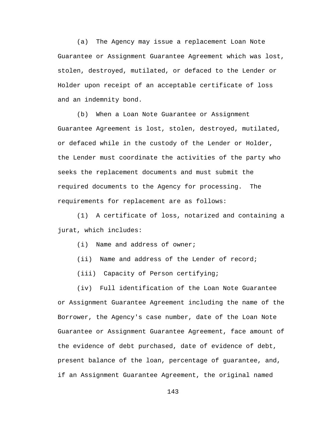(a) The Agency may issue a replacement Loan Note Guarantee or Assignment Guarantee Agreement which was lost, stolen, destroyed, mutilated, or defaced to the Lender or Holder upon receipt of an acceptable certificate of loss and an indemnity bond.

(b) When a Loan Note Guarantee or Assignment Guarantee Agreement is lost, stolen, destroyed, mutilated, or defaced while in the custody of the Lender or Holder, the Lender must coordinate the activities of the party who seeks the replacement documents and must submit the required documents to the Agency for processing. The requirements for replacement are as follows:

(1) A certificate of loss, notarized and containing a jurat, which includes:

- (i) Name and address of owner;
- (ii) Name and address of the Lender of record;
- (iii) Capacity of Person certifying;

(iv) Full identification of the Loan Note Guarantee or Assignment Guarantee Agreement including the name of the Borrower, the Agency's case number, date of the Loan Note Guarantee or Assignment Guarantee Agreement, face amount of the evidence of debt purchased, date of evidence of debt, present balance of the loan, percentage of guarantee, and, if an Assignment Guarantee Agreement, the original named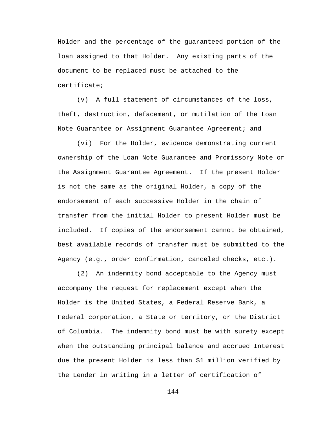Holder and the percentage of the guaranteed portion of the loan assigned to that Holder. Any existing parts of the document to be replaced must be attached to the certificate;

(v) A full statement of circumstances of the loss, theft, destruction, defacement, or mutilation of the Loan Note Guarantee or Assignment Guarantee Agreement; and

(vi) For the Holder, evidence demonstrating current ownership of the Loan Note Guarantee and Promissory Note or the Assignment Guarantee Agreement. If the present Holder is not the same as the original Holder, a copy of the endorsement of each successive Holder in the chain of transfer from the initial Holder to present Holder must be included. If copies of the endorsement cannot be obtained, best available records of transfer must be submitted to the Agency (e.g., order confirmation, canceled checks, etc.).

(2) An indemnity bond acceptable to the Agency must accompany the request for replacement except when the Holder is the United States, a Federal Reserve Bank, a Federal corporation, a State or territory, or the District of Columbia. The indemnity bond must be with surety except when the outstanding principal balance and accrued Interest due the present Holder is less than \$1 million verified by the Lender in writing in a letter of certification of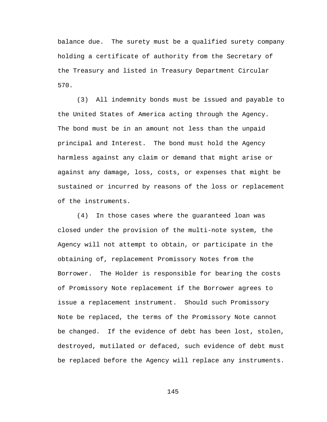balance due. The surety must be a qualified surety company holding a certificate of authority from the Secretary of the Treasury and listed in Treasury Department Circular 570.

(3) All indemnity bonds must be issued and payable to the United States of America acting through the Agency. The bond must be in an amount not less than the unpaid principal and Interest. The bond must hold the Agency harmless against any claim or demand that might arise or against any damage, loss, costs, or expenses that might be sustained or incurred by reasons of the loss or replacement of the instruments.

(4) In those cases where the guaranteed loan was closed under the provision of the multi-note system, the Agency will not attempt to obtain, or participate in the obtaining of, replacement Promissory Notes from the Borrower. The Holder is responsible for bearing the costs of Promissory Note replacement if the Borrower agrees to issue a replacement instrument. Should such Promissory Note be replaced, the terms of the Promissory Note cannot be changed. If the evidence of debt has been lost, stolen, destroyed, mutilated or defaced, such evidence of debt must be replaced before the Agency will replace any instruments.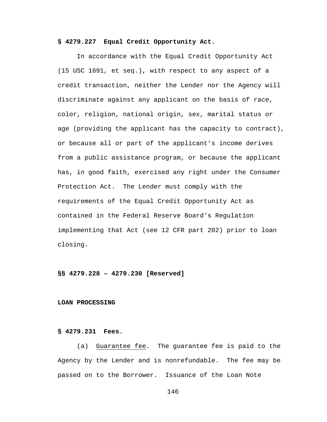## **§ 4279.227 Equal Credit Opportunity Act.**

In accordance with the Equal Credit Opportunity Act (15 USC 1691, et seq.), with respect to any aspect of a credit transaction, neither the Lender nor the Agency will discriminate against any applicant on the basis of race, color, religion, national origin, sex, marital status or age (providing the applicant has the capacity to contract), or because all or part of the applicant's income derives from a public assistance program, or because the applicant has, in good faith, exercised any right under the Consumer Protection Act. The Lender must comply with the requirements of the Equal Credit Opportunity Act as contained in the Federal Reserve Board's Regulation implementing that Act (see 12 CFR part 202) prior to loan closing.

**§§ 4279.228 – 4279.230 [Reserved]**

#### **LOAN PROCESSING**

## **§ 4279.231 Fees**.

(a) Guarantee fee. The guarantee fee is paid to the Agency by the Lender and is nonrefundable. The fee may be passed on to the Borrower. Issuance of the Loan Note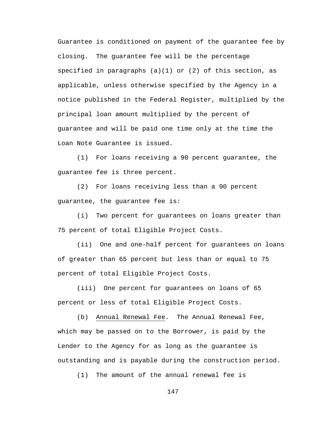Guarantee is conditioned on payment of the guarantee fee by closing. The guarantee fee will be the percentage specified in paragraphs (a)(1) or (2) of this section, as applicable, unless otherwise specified by the Agency in a notice published in the Federal Register, multiplied by the principal loan amount multiplied by the percent of guarantee and will be paid one time only at the time the Loan Note Guarantee is issued.

(1) For loans receiving a 90 percent guarantee, the guarantee fee is three percent.

(2) For loans receiving less than a 90 percent guarantee, the guarantee fee is:

(i) Two percent for guarantees on loans greater than 75 percent of total Eligible Project Costs.

(ii) One and one-half percent for guarantees on loans of greater than 65 percent but less than or equal to 75 percent of total Eligible Project Costs.

(iii) One percent for guarantees on loans of 65 percent or less of total Eligible Project Costs.

(b) Annual Renewal Fee. The Annual Renewal Fee, which may be passed on to the Borrower, is paid by the Lender to the Agency for as long as the guarantee is outstanding and is payable during the construction period.

(1) The amount of the annual renewal fee is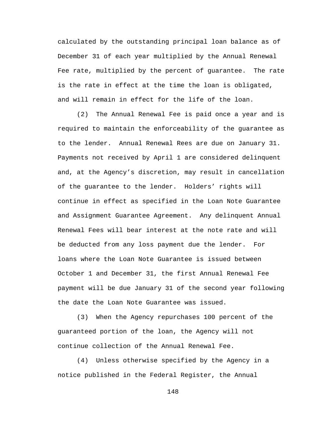calculated by the outstanding principal loan balance as of December 31 of each year multiplied by the Annual Renewal Fee rate, multiplied by the percent of guarantee. The rate is the rate in effect at the time the loan is obligated, and will remain in effect for the life of the loan.

(2) The Annual Renewal Fee is paid once a year and is required to maintain the enforceability of the guarantee as to the lender. Annual Renewal Rees are due on January 31. Payments not received by April 1 are considered delinquent and, at the Agency's discretion, may result in cancellation of the guarantee to the lender. Holders' rights will continue in effect as specified in the Loan Note Guarantee and Assignment Guarantee Agreement. Any delinquent Annual Renewal Fees will bear interest at the note rate and will be deducted from any loss payment due the lender. For loans where the Loan Note Guarantee is issued between October 1 and December 31, the first Annual Renewal Fee payment will be due January 31 of the second year following the date the Loan Note Guarantee was issued.

(3) When the Agency repurchases 100 percent of the guaranteed portion of the loan, the Agency will not continue collection of the Annual Renewal Fee.

(4) Unless otherwise specified by the Agency in a notice published in the Federal Register, the Annual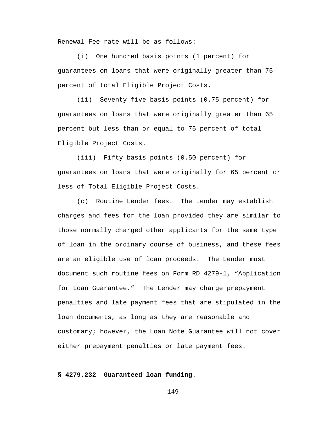Renewal Fee rate will be as follows:

(i) One hundred basis points (1 percent) for guarantees on loans that were originally greater than 75 percent of total Eligible Project Costs.

(ii) Seventy five basis points (0.75 percent) for guarantees on loans that were originally greater than 65 percent but less than or equal to 75 percent of total Eligible Project Costs.

(iii) Fifty basis points (0.50 percent) for guarantees on loans that were originally for 65 percent or less of Total Eligible Project Costs.

(c) Routine Lender fees. The Lender may establish charges and fees for the loan provided they are similar to those normally charged other applicants for the same type of loan in the ordinary course of business, and these fees are an eligible use of loan proceeds. The Lender must document such routine fees on Form RD 4279-1, "Application for Loan Guarantee." The Lender may charge prepayment penalties and late payment fees that are stipulated in the loan documents, as long as they are reasonable and customary; however, the Loan Note Guarantee will not cover either prepayment penalties or late payment fees.

## **§ 4279.232 Guaranteed loan funding**.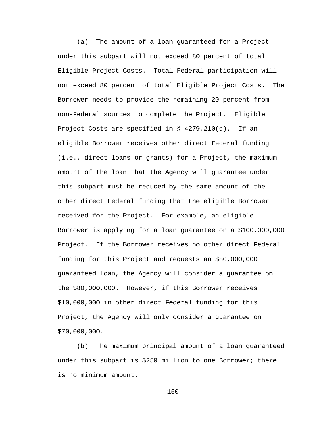(a) The amount of a loan guaranteed for a Project under this subpart will not exceed 80 percent of total Eligible Project Costs. Total Federal participation will not exceed 80 percent of total Eligible Project Costs. The Borrower needs to provide the remaining 20 percent from non-Federal sources to complete the Project. Eligible Project Costs are specified in § 4279.210(d). If an eligible Borrower receives other direct Federal funding (i.e., direct loans or grants) for a Project, the maximum amount of the loan that the Agency will guarantee under this subpart must be reduced by the same amount of the other direct Federal funding that the eligible Borrower received for the Project. For example, an eligible Borrower is applying for a loan guarantee on a \$100,000,000 Project. If the Borrower receives no other direct Federal funding for this Project and requests an \$80,000,000 guaranteed loan, the Agency will consider a guarantee on the \$80,000,000. However, if this Borrower receives \$10,000,000 in other direct Federal funding for this Project, the Agency will only consider a guarantee on \$70,000,000.

(b) The maximum principal amount of a loan guaranteed under this subpart is \$250 million to one Borrower; there is no minimum amount.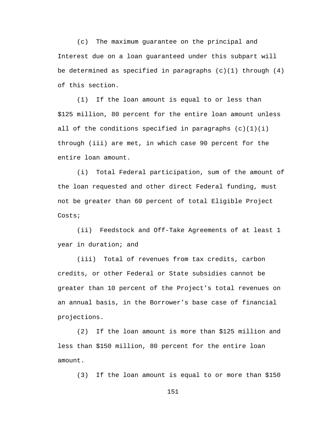(c) The maximum guarantee on the principal and Interest due on a loan guaranteed under this subpart will be determined as specified in paragraphs (c)(1) through (4) of this section.

(1) If the loan amount is equal to or less than \$125 million, 80 percent for the entire loan amount unless all of the conditions specified in paragraphs  $(c)(1)(i)$ through (iii) are met, in which case 90 percent for the entire loan amount.

(i) Total Federal participation, sum of the amount of the loan requested and other direct Federal funding, must not be greater than 60 percent of total Eligible Project Costs;

(ii) Feedstock and Off-Take Agreements of at least 1 year in duration; and

(iii) Total of revenues from tax credits, carbon credits, or other Federal or State subsidies cannot be greater than 10 percent of the Project's total revenues on an annual basis, in the Borrower's base case of financial projections.

(2) If the loan amount is more than \$125 million and less than \$150 million, 80 percent for the entire loan amount.

(3) If the loan amount is equal to or more than \$150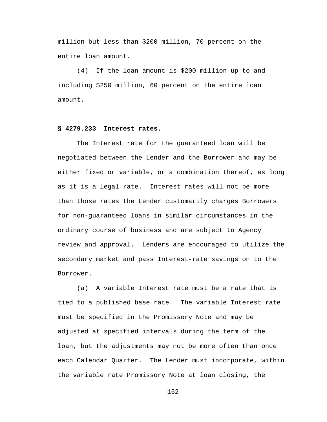million but less than \$200 million, 70 percent on the entire loan amount.

(4) If the loan amount is \$200 million up to and including \$250 million, 60 percent on the entire loan amount.

## **§ 4279.233 Interest rates.**

The Interest rate for the guaranteed loan will be negotiated between the Lender and the Borrower and may be either fixed or variable, or a combination thereof, as long as it is a legal rate. Interest rates will not be more than those rates the Lender customarily charges Borrowers for non-guaranteed loans in similar circumstances in the ordinary course of business and are subject to Agency review and approval. Lenders are encouraged to utilize the secondary market and pass Interest-rate savings on to the Borrower.

(a) A variable Interest rate must be a rate that is tied to a published base rate. The variable Interest rate must be specified in the Promissory Note and may be adjusted at specified intervals during the term of the loan, but the adjustments may not be more often than once each Calendar Quarter. The Lender must incorporate, within the variable rate Promissory Note at loan closing, the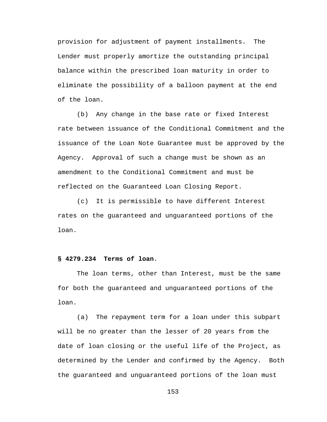provision for adjustment of payment installments. The Lender must properly amortize the outstanding principal balance within the prescribed loan maturity in order to eliminate the possibility of a balloon payment at the end of the loan.

(b) Any change in the base rate or fixed Interest rate between issuance of the Conditional Commitment and the issuance of the Loan Note Guarantee must be approved by the Agency. Approval of such a change must be shown as an amendment to the Conditional Commitment and must be reflected on the Guaranteed Loan Closing Report.

(c) It is permissible to have different Interest rates on the guaranteed and unguaranteed portions of the loan.

#### **§ 4279.234 Terms of loan**.

The loan terms, other than Interest, must be the same for both the guaranteed and unguaranteed portions of the loan.

(a) The repayment term for a loan under this subpart will be no greater than the lesser of 20 years from the date of loan closing or the useful life of the Project, as determined by the Lender and confirmed by the Agency. Both the guaranteed and unguaranteed portions of the loan must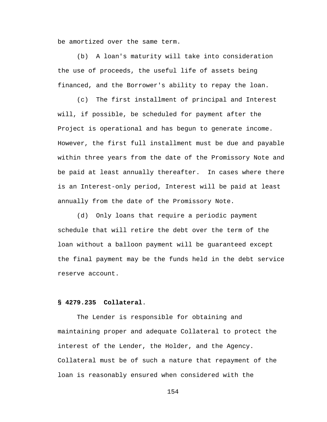be amortized over the same term.

(b) A loan's maturity will take into consideration the use of proceeds, the useful life of assets being financed, and the Borrower's ability to repay the loan.

(c) The first installment of principal and Interest will, if possible, be scheduled for payment after the Project is operational and has begun to generate income. However, the first full installment must be due and payable within three years from the date of the Promissory Note and be paid at least annually thereafter. In cases where there is an Interest-only period, Interest will be paid at least annually from the date of the Promissory Note.

(d) Only loans that require a periodic payment schedule that will retire the debt over the term of the loan without a balloon payment will be guaranteed except the final payment may be the funds held in the debt service reserve account.

## **§ 4279.235 Collateral**.

The Lender is responsible for obtaining and maintaining proper and adequate Collateral to protect the interest of the Lender, the Holder, and the Agency. Collateral must be of such a nature that repayment of the loan is reasonably ensured when considered with the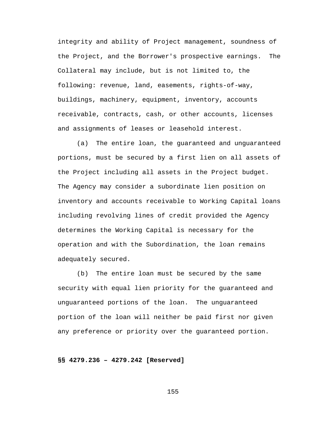integrity and ability of Project management, soundness of the Project, and the Borrower's prospective earnings. The Collateral may include, but is not limited to, the following: revenue, land, easements, rights-of-way, buildings, machinery, equipment, inventory, accounts receivable, contracts, cash, or other accounts, licenses and assignments of leases or leasehold interest.

(a) The entire loan, the guaranteed and unguaranteed portions, must be secured by a first lien on all assets of the Project including all assets in the Project budget. The Agency may consider a subordinate lien position on inventory and accounts receivable to Working Capital loans including revolving lines of credit provided the Agency determines the Working Capital is necessary for the operation and with the Subordination, the loan remains adequately secured.

(b) The entire loan must be secured by the same security with equal lien priority for the guaranteed and unguaranteed portions of the loan. The unguaranteed portion of the loan will neither be paid first nor given any preference or priority over the guaranteed portion.

## **§§ 4279.236 – 4279.242 [Reserved]**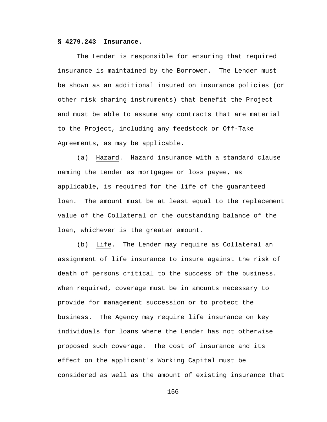#### **§ 4279.243 Insurance.**

The Lender is responsible for ensuring that required insurance is maintained by the Borrower. The Lender must be shown as an additional insured on insurance policies (or other risk sharing instruments) that benefit the Project and must be able to assume any contracts that are material to the Project, including any feedstock or Off-Take Agreements, as may be applicable.

(a) Hazard. Hazard insurance with a standard clause naming the Lender as mortgagee or loss payee, as applicable, is required for the life of the guaranteed loan. The amount must be at least equal to the replacement value of the Collateral or the outstanding balance of the loan, whichever is the greater amount.

(b) Life. The Lender may require as Collateral an assignment of life insurance to insure against the risk of death of persons critical to the success of the business. When required, coverage must be in amounts necessary to provide for management succession or to protect the business. The Agency may require life insurance on key individuals for loans where the Lender has not otherwise proposed such coverage. The cost of insurance and its effect on the applicant's Working Capital must be considered as well as the amount of existing insurance that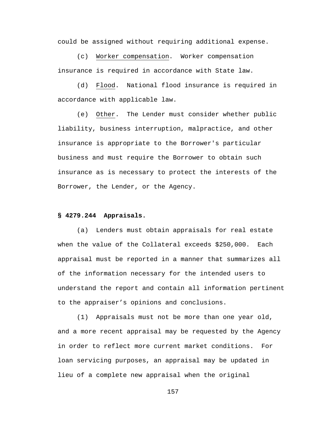could be assigned without requiring additional expense.

(c) Worker compensation. Worker compensation insurance is required in accordance with State law.

(d) Flood. National flood insurance is required in accordance with applicable law.

(e) Other. The Lender must consider whether public liability, business interruption, malpractice, and other insurance is appropriate to the Borrower's particular business and must require the Borrower to obtain such insurance as is necessary to protect the interests of the Borrower, the Lender, or the Agency.

#### **§ 4279.244 Appraisals.**

(a) Lenders must obtain appraisals for real estate when the value of the Collateral exceeds \$250,000. Each appraisal must be reported in a manner that summarizes all of the information necessary for the intended users to understand the report and contain all information pertinent to the appraiser's opinions and conclusions.

(1) Appraisals must not be more than one year old, and a more recent appraisal may be requested by the Agency in order to reflect more current market conditions. For loan servicing purposes, an appraisal may be updated in lieu of a complete new appraisal when the original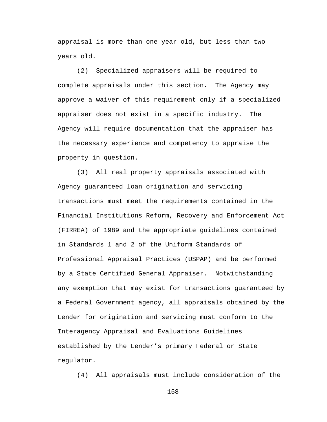appraisal is more than one year old, but less than two years old.

(2) Specialized appraisers will be required to complete appraisals under this section. The Agency may approve a waiver of this requirement only if a specialized appraiser does not exist in a specific industry. The Agency will require documentation that the appraiser has the necessary experience and competency to appraise the property in question.

(3) All real property appraisals associated with Agency guaranteed loan origination and servicing transactions must meet the requirements contained in the Financial Institutions Reform, Recovery and Enforcement Act (FIRREA) of 1989 and the appropriate guidelines contained in Standards 1 and 2 of the Uniform Standards of Professional Appraisal Practices (USPAP) and be performed by a State Certified General Appraiser. Notwithstanding any exemption that may exist for transactions guaranteed by a Federal Government agency, all appraisals obtained by the Lender for origination and servicing must conform to the Interagency Appraisal and Evaluations Guidelines established by the Lender's primary Federal or State regulator.

(4) All appraisals must include consideration of the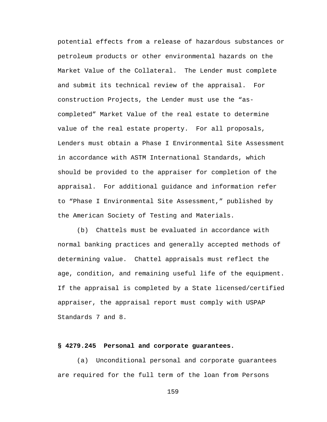potential effects from a release of hazardous substances or petroleum products or other environmental hazards on the Market Value of the Collateral. The Lender must complete and submit its technical review of the appraisal. For construction Projects, the Lender must use the "ascompleted" Market Value of the real estate to determine value of the real estate property. For all proposals, Lenders must obtain a Phase I Environmental Site Assessment in accordance with ASTM International Standards, which should be provided to the appraiser for completion of the appraisal. For additional guidance and information refer to "Phase I Environmental Site Assessment," published by the American Society of Testing and Materials.

(b) Chattels must be evaluated in accordance with normal banking practices and generally accepted methods of determining value. Chattel appraisals must reflect the age, condition, and remaining useful life of the equipment. If the appraisal is completed by a State licensed/certified appraiser, the appraisal report must comply with USPAP Standards 7 and 8.

## **§ 4279.245 Personal and corporate guarantees.**

(a) Unconditional personal and corporate guarantees are required for the full term of the loan from Persons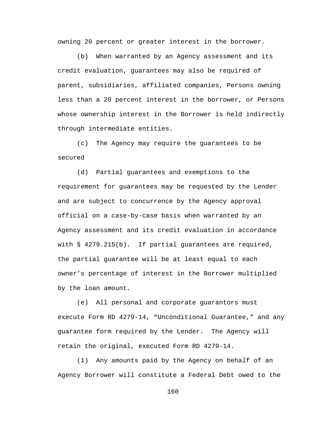owning 20 percent or greater interest in the borrower.

(b) When warranted by an Agency assessment and its credit evaluation, guarantees may also be required of parent, subsidiaries, affiliated companies, Persons owning less than a 20 percent interest in the borrower, or Persons whose ownership interest in the Borrower is held indirectly through intermediate entities.

(c) The Agency may require the guarantees to be secured

(d) Partial guarantees and exemptions to the requirement for guarantees may be requested by the Lender and are subject to concurrence by the Agency approval official on a case-by-case basis when warranted by an Agency assessment and its credit evaluation in accordance with § 4279.215(b). If partial guarantees are required, the partial guarantee will be at least equal to each owner's percentage of interest in the Borrower multiplied by the loan amount.

(e) All personal and corporate guarantors must execute Form RD 4279-14, "Unconditional Guarantee," and any guarantee form required by the Lender. The Agency will retain the original, executed Form RD 4279-14.

(1) Any amounts paid by the Agency on behalf of an Agency Borrower will constitute a Federal Debt owed to the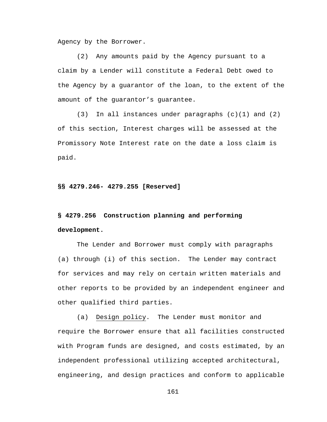Agency by the Borrower.

(2) Any amounts paid by the Agency pursuant to a claim by a Lender will constitute a Federal Debt owed to the Agency by a guarantor of the loan, to the extent of the amount of the guarantor's guarantee.

(3) In all instances under paragraphs (c)(1) and (2) of this section, Interest charges will be assessed at the Promissory Note Interest rate on the date a loss claim is paid.

**§§ 4279.246- 4279.255 [Reserved]**

# **§ 4279.256 Construction planning and performing development.**

The Lender and Borrower must comply with paragraphs (a) through (i) of this section. The Lender may contract for services and may rely on certain written materials and other reports to be provided by an independent engineer and other qualified third parties.

(a) Design policy. The Lender must monitor and require the Borrower ensure that all facilities constructed with Program funds are designed, and costs estimated, by an independent professional utilizing accepted architectural, engineering, and design practices and conform to applicable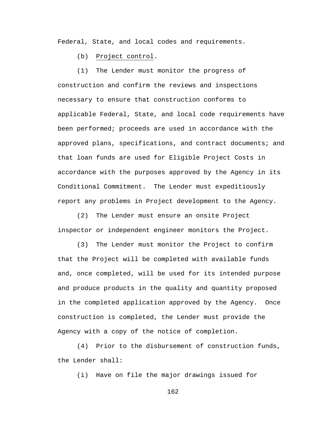Federal, State, and local codes and requirements.

(b) Project control.

(1) The Lender must monitor the progress of construction and confirm the reviews and inspections necessary to ensure that construction conforms to applicable Federal, State, and local code requirements have been performed; proceeds are used in accordance with the approved plans, specifications, and contract documents; and that loan funds are used for Eligible Project Costs in accordance with the purposes approved by the Agency in its Conditional Commitment. The Lender must expeditiously report any problems in Project development to the Agency.

(2) The Lender must ensure an onsite Project inspector or independent engineer monitors the Project.

(3) The Lender must monitor the Project to confirm that the Project will be completed with available funds and, once completed, will be used for its intended purpose and produce products in the quality and quantity proposed in the completed application approved by the Agency. Once construction is completed, the Lender must provide the Agency with a copy of the notice of completion.

(4) Prior to the disbursement of construction funds, the Lender shall:

(i) Have on file the major drawings issued for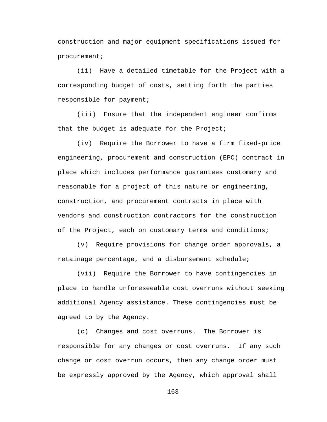construction and major equipment specifications issued for procurement;

(ii) Have a detailed timetable for the Project with a corresponding budget of costs, setting forth the parties responsible for payment;

(iii) Ensure that the independent engineer confirms that the budget is adequate for the Project;

(iv) Require the Borrower to have a firm fixed-price engineering, procurement and construction (EPC) contract in place which includes performance guarantees customary and reasonable for a project of this nature or engineering, construction, and procurement contracts in place with vendors and construction contractors for the construction of the Project, each on customary terms and conditions;

(v) Require provisions for change order approvals, a retainage percentage, and a disbursement schedule;

(vii) Require the Borrower to have contingencies in place to handle unforeseeable cost overruns without seeking additional Agency assistance. These contingencies must be agreed to by the Agency.

(c) Changes and cost overruns. The Borrower is responsible for any changes or cost overruns. If any such change or cost overrun occurs, then any change order must be expressly approved by the Agency, which approval shall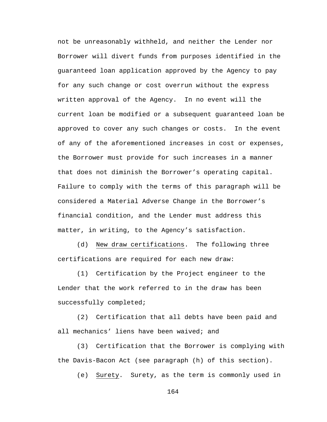not be unreasonably withheld, and neither the Lender nor Borrower will divert funds from purposes identified in the guaranteed loan application approved by the Agency to pay for any such change or cost overrun without the express written approval of the Agency. In no event will the current loan be modified or a subsequent guaranteed loan be approved to cover any such changes or costs. In the event of any of the aforementioned increases in cost or expenses, the Borrower must provide for such increases in a manner that does not diminish the Borrower's operating capital. Failure to comply with the terms of this paragraph will be considered a Material Adverse Change in the Borrower's financial condition, and the Lender must address this matter, in writing, to the Agency's satisfaction.

(d) New draw certifications. The following three certifications are required for each new draw:

(1) Certification by the Project engineer to the Lender that the work referred to in the draw has been successfully completed;

(2) Certification that all debts have been paid and all mechanics' liens have been waived; and

(3) Certification that the Borrower is complying with the Davis-Bacon Act (see paragraph (h) of this section).

(e) Surety. Surety, as the term is commonly used in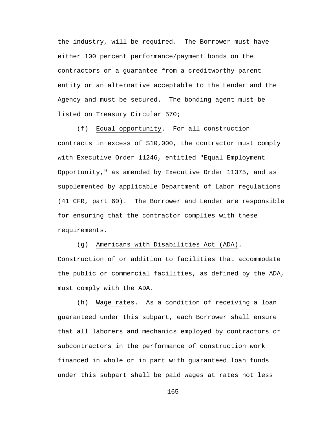the industry, will be required. The Borrower must have either 100 percent performance/payment bonds on the contractors or a guarantee from a creditworthy parent entity or an alternative acceptable to the Lender and the Agency and must be secured. The bonding agent must be listed on Treasury Circular 570;

(f) Equal opportunity. For all construction contracts in excess of \$10,000, the contractor must comply with Executive Order 11246, entitled "Equal Employment Opportunity," as amended by Executive Order 11375, and as supplemented by applicable Department of Labor regulations (41 CFR, part 60). The Borrower and Lender are responsible for ensuring that the contractor complies with these requirements.

(g) Americans with Disabilities Act (ADA). Construction of or addition to facilities that accommodate the public or commercial facilities, as defined by the ADA, must comply with the ADA.

(h) Wage rates. As a condition of receiving a loan guaranteed under this subpart, each Borrower shall ensure that all laborers and mechanics employed by contractors or subcontractors in the performance of construction work financed in whole or in part with guaranteed loan funds under this subpart shall be paid wages at rates not less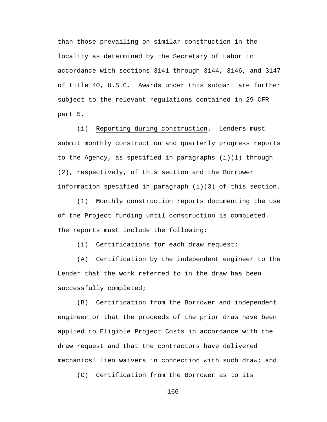than those prevailing on similar construction in the locality as determined by the Secretary of Labor in accordance with sections 3141 through 3144, 3146, and 3147 of title 40, U.S.C. Awards under this subpart are further subject to the relevant regulations contained in 29 CFR part 5.

(i) Reporting during construction. Lenders must submit monthly construction and quarterly progress reports to the Agency, as specified in paragraphs (i)(1) through (2), respectively, of this section and the Borrower information specified in paragraph (i)(3) of this section.

(1) Monthly construction reports documenting the use of the Project funding until construction is completed. The reports must include the following:

(i) Certifications for each draw request:

(A) Certification by the independent engineer to the Lender that the work referred to in the draw has been successfully completed;

(B) Certification from the Borrower and independent engineer or that the proceeds of the prior draw have been applied to Eligible Project Costs in accordance with the draw request and that the contractors have delivered mechanics' lien waivers in connection with such draw; and

(C) Certification from the Borrower as to its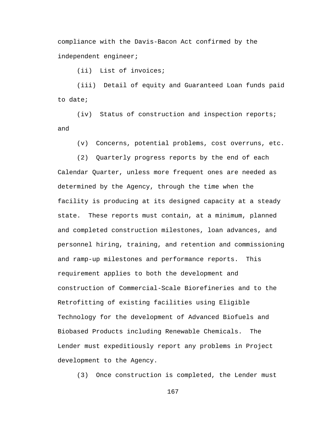compliance with the Davis-Bacon Act confirmed by the independent engineer;

(ii) List of invoices;

(iii) Detail of equity and Guaranteed Loan funds paid to date;

(iv) Status of construction and inspection reports; and

(v) Concerns, potential problems, cost overruns, etc.

(2) Quarterly progress reports by the end of each

Calendar Quarter, unless more frequent ones are needed as determined by the Agency, through the time when the facility is producing at its designed capacity at a steady state. These reports must contain, at a minimum, planned and completed construction milestones, loan advances, and personnel hiring, training, and retention and commissioning and ramp-up milestones and performance reports. This requirement applies to both the development and construction of Commercial-Scale Biorefineries and to the Retrofitting of existing facilities using Eligible Technology for the development of Advanced Biofuels and Biobased Products including Renewable Chemicals. The Lender must expeditiously report any problems in Project development to the Agency.

(3) Once construction is completed, the Lender must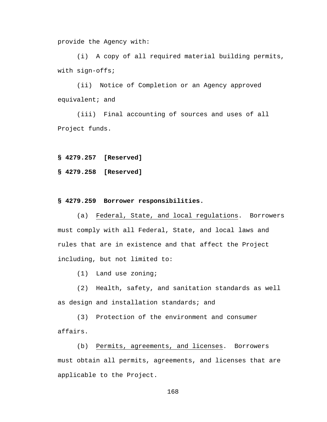provide the Agency with:

(i) A copy of all required material building permits, with sign-offs;

(ii) Notice of Completion or an Agency approved equivalent; and

(iii) Final accounting of sources and uses of all Project funds.

**§ 4279.257 [Reserved]**

**§ 4279.258 [Reserved]**

#### **§ 4279.259 Borrower responsibilities.**

(a) Federal, State, and local regulations. Borrowers must comply with all Federal, State, and local laws and rules that are in existence and that affect the Project including, but not limited to:

(1) Land use zoning;

(2) Health, safety, and sanitation standards as well as design and installation standards; and

(3) Protection of the environment and consumer affairs.

(b) Permits, agreements, and licenses. Borrowers must obtain all permits, agreements, and licenses that are applicable to the Project.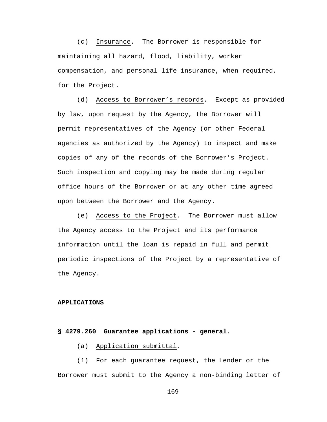(c) Insurance. The Borrower is responsible for maintaining all hazard, flood, liability, worker compensation, and personal life insurance, when required, for the Project.

(d) Access to Borrower's records. Except as provided by law, upon request by the Agency, the Borrower will permit representatives of the Agency (or other Federal agencies as authorized by the Agency) to inspect and make copies of any of the records of the Borrower's Project. Such inspection and copying may be made during regular office hours of the Borrower or at any other time agreed upon between the Borrower and the Agency.

(e) Access to the Project. The Borrower must allow the Agency access to the Project and its performance information until the loan is repaid in full and permit periodic inspections of the Project by a representative of the Agency.

#### **APPLICATIONS**

#### **§ 4279.260 Guarantee applications - general.**

(a) Application submittal.

(1) For each guarantee request, the Lender or the Borrower must submit to the Agency a non-binding letter of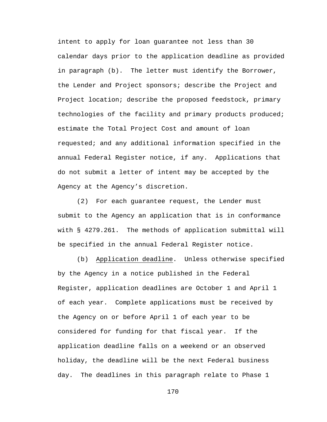intent to apply for loan guarantee not less than 30 calendar days prior to the application deadline as provided in paragraph (b). The letter must identify the Borrower, the Lender and Project sponsors; describe the Project and Project location; describe the proposed feedstock, primary technologies of the facility and primary products produced; estimate the Total Project Cost and amount of loan requested; and any additional information specified in the annual Federal Register notice, if any. Applications that do not submit a letter of intent may be accepted by the Agency at the Agency's discretion.

(2) For each guarantee request, the Lender must submit to the Agency an application that is in conformance with § 4279.261. The methods of application submittal will be specified in the annual Federal Register notice.

(b) Application deadline. Unless otherwise specified by the Agency in a notice published in the Federal Register, application deadlines are October 1 and April 1 of each year. Complete applications must be received by the Agency on or before April 1 of each year to be considered for funding for that fiscal year. If the application deadline falls on a weekend or an observed holiday, the deadline will be the next Federal business day. The deadlines in this paragraph relate to Phase 1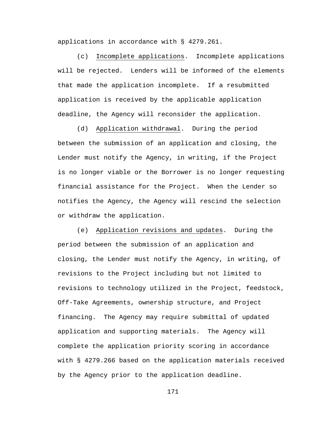applications in accordance with § 4279.261.

(c) Incomplete applications. Incomplete applications will be rejected. Lenders will be informed of the elements that made the application incomplete. If a resubmitted application is received by the applicable application deadline, the Agency will reconsider the application.

(d) Application withdrawal. During the period between the submission of an application and closing, the Lender must notify the Agency, in writing, if the Project is no longer viable or the Borrower is no longer requesting financial assistance for the Project. When the Lender so notifies the Agency, the Agency will rescind the selection or withdraw the application.

(e) Application revisions and updates. During the period between the submission of an application and closing, the Lender must notify the Agency, in writing, of revisions to the Project including but not limited to revisions to technology utilized in the Project, feedstock, Off-Take Agreements, ownership structure, and Project financing. The Agency may require submittal of updated application and supporting materials. The Agency will complete the application priority scoring in accordance with § 4279.266 based on the application materials received by the Agency prior to the application deadline.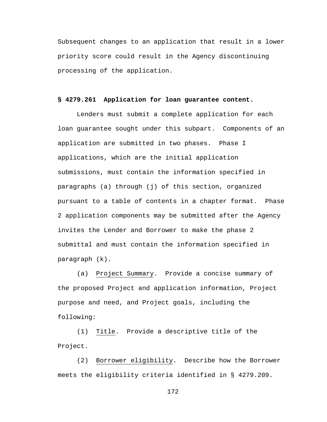Subsequent changes to an application that result in a lower priority score could result in the Agency discontinuing processing of the application.

## **§ 4279.261 Application for loan guarantee content.**

Lenders must submit a complete application for each loan guarantee sought under this subpart. Components of an application are submitted in two phases. Phase I applications, which are the initial application submissions, must contain the information specified in paragraphs (a) through (j) of this section, organized pursuant to a table of contents in a chapter format. Phase 2 application components may be submitted after the Agency invites the Lender and Borrower to make the phase 2 submittal and must contain the information specified in paragraph (k).

(a) Project Summary. Provide a concise summary of the proposed Project and application information, Project purpose and need, and Project goals, including the following:

(1) Title. Provide a descriptive title of the Project.

(2) Borrower eligibility. Describe how the Borrower meets the eligibility criteria identified in § 4279.209.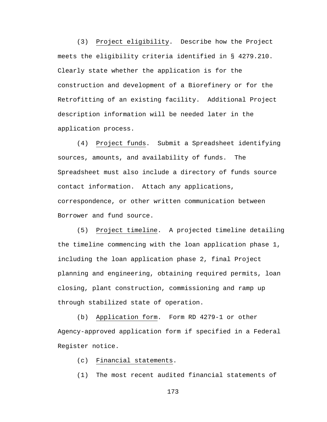(3) Project eligibility. Describe how the Project meets the eligibility criteria identified in § 4279.210. Clearly state whether the application is for the construction and development of a Biorefinery or for the Retrofitting of an existing facility. Additional Project description information will be needed later in the application process.

(4) Project funds. Submit a Spreadsheet identifying sources, amounts, and availability of funds. The Spreadsheet must also include a directory of funds source contact information. Attach any applications, correspondence, or other written communication between Borrower and fund source.

(5) Project timeline. A projected timeline detailing the timeline commencing with the loan application phase 1, including the loan application phase 2, final Project planning and engineering, obtaining required permits, loan closing, plant construction, commissioning and ramp up through stabilized state of operation.

(b) Application form. Form RD 4279-1 or other Agency-approved application form if specified in a Federal Register notice.

(c) Financial statements.

(1) The most recent audited financial statements of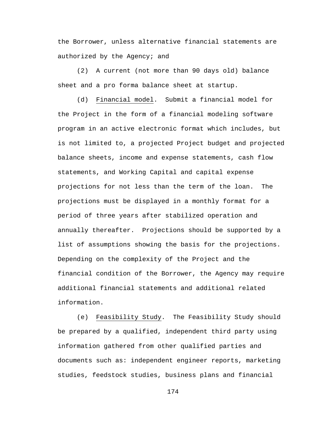the Borrower, unless alternative financial statements are authorized by the Agency; and

(2) A current (not more than 90 days old) balance sheet and a pro forma balance sheet at startup.

(d) Financial model. Submit a financial model for the Project in the form of a financial modeling software program in an active electronic format which includes, but is not limited to, a projected Project budget and projected balance sheets, income and expense statements, cash flow statements, and Working Capital and capital expense projections for not less than the term of the loan. The projections must be displayed in a monthly format for a period of three years after stabilized operation and annually thereafter. Projections should be supported by a list of assumptions showing the basis for the projections. Depending on the complexity of the Project and the financial condition of the Borrower, the Agency may require additional financial statements and additional related information.

(e) Feasibility Study. The Feasibility Study should be prepared by a qualified, independent third party using information gathered from other qualified parties and documents such as: independent engineer reports, marketing studies, feedstock studies, business plans and financial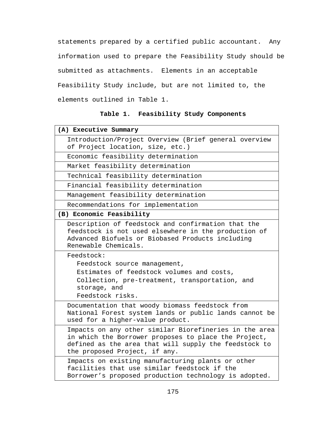statements prepared by a certified public accountant. Any information used to prepare the Feasibility Study should be submitted as attachments. Elements in an acceptable Feasibility Study include, but are not limited to, the elements outlined in Table 1.

## **Table 1. Feasibility Study Components**

| (A) Executive Summary                                                                                                                                                                                    |
|----------------------------------------------------------------------------------------------------------------------------------------------------------------------------------------------------------|
| Introduction/Project Overview (Brief general overview<br>of Project location, size, etc.)                                                                                                                |
| Economic feasibility determination                                                                                                                                                                       |
| Market feasibility determination                                                                                                                                                                         |
| Technical feasibility determination                                                                                                                                                                      |
| Financial feasibility determination                                                                                                                                                                      |
| Management feasibility determination                                                                                                                                                                     |
| Recommendations for implementation                                                                                                                                                                       |
| (B) Economic Feasibility                                                                                                                                                                                 |
| Description of feedstock and confirmation that the<br>feedstock is not used elsewhere in the production of<br>Advanced Biofuels or Biobased Products including<br>Renewable Chemicals.                   |
| Feedstock:                                                                                                                                                                                               |
| Feedstock source management,                                                                                                                                                                             |
| Estimates of feedstock volumes and costs,                                                                                                                                                                |
| Collection, pre-treatment, transportation, and<br>storage, and                                                                                                                                           |
| Feedstock risks.                                                                                                                                                                                         |
| Documentation that woody biomass feedstock from<br>National Forest system lands or public lands cannot be<br>used for a higher-value product.                                                            |
| Impacts on any other similar Biorefineries in the area<br>in which the Borrower proposes to place the Project,<br>defined as the area that will supply the feedstock to<br>the proposed Project, if any. |
| Impacts on existing manufacturing plants or other<br>facilities that use similar feedstock if the<br>Borrower's proposed production technology is adopted.                                               |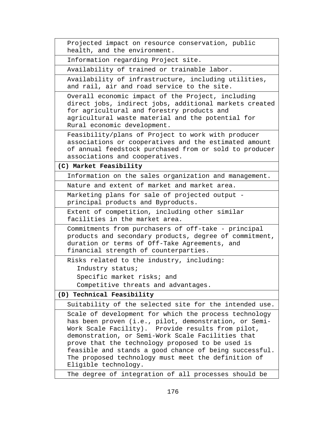```
Projected impact on resource conservation, public 
health, and the environment.
```
Information regarding Project site.

Availability of trained or trainable labor.

Availability of infrastructure, including utilities, and rail, air and road service to the site.

Overall economic impact of the Project, including direct jobs, indirect jobs, additional markets created for agricultural and forestry products and agricultural waste material and the potential for Rural economic development.

Feasibility/plans of Project to work with producer associations or cooperatives and the estimated amount of annual feedstock purchased from or sold to producer associations and cooperatives.

**(C) Market Feasibility** 

Information on the sales organization and management.

Nature and extent of market and market area.

Marketing plans for sale of projected output principal products and Byproducts.

Extent of competition, including other similar facilities in the market area.

Commitments from purchasers of off-take - principal products and secondary products, degree of commitment, duration or terms of Off-Take Agreements, and financial strength of counterparties.

Risks related to the industry, including:

Industry status;

Specific market risks; and

Competitive threats and advantages.

**(D) Technical Feasibility**

Suitability of the selected site for the intended use.

Scale of development for which the process technology has been proven (i.e., pilot, demonstration, or Semi-Work Scale Facility). Provide results from pilot, demonstration, or Semi-Work Scale Facilities that prove that the technology proposed to be used is feasible and stands a good chance of being successful. The proposed technology must meet the definition of Eligible technology.

The degree of integration of all processes should be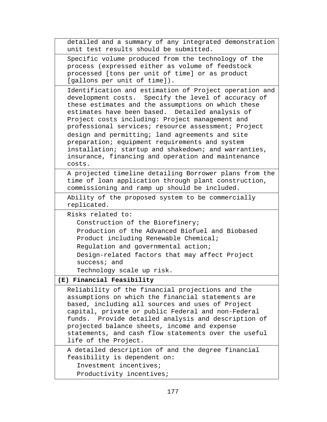| detailed and a summary of any integrated demonstration<br>unit test results should be submitted.                                                                                                                                                                                                                                                                                                                                                                                                                                                              |
|---------------------------------------------------------------------------------------------------------------------------------------------------------------------------------------------------------------------------------------------------------------------------------------------------------------------------------------------------------------------------------------------------------------------------------------------------------------------------------------------------------------------------------------------------------------|
| Specific volume produced from the technology of the<br>process (expressed either as volume of feedstock<br>processed [tons per unit of time] or as product<br>[gallons per unit of time]).                                                                                                                                                                                                                                                                                                                                                                    |
| Identification and estimation of Project operation and<br>development costs. Specify the level of accuracy of<br>these estimates and the assumptions on which these<br>estimates have been based. Detailed analysis of<br>Project costs including: Project management and<br>professional services; resource assessment; Project<br>design and permitting; land agreements and site<br>preparation; equipment requirements and system<br>installation; startup and shakedown; and warranties,<br>insurance, financing and operation and maintenance<br>costs. |
| A projected timeline detailing Borrower plans from the<br>time of loan application through plant construction,<br>commissioning and ramp up should be included.                                                                                                                                                                                                                                                                                                                                                                                               |
| Ability of the proposed system to be commercially<br>replicated.                                                                                                                                                                                                                                                                                                                                                                                                                                                                                              |
| Risks related to:<br>Construction of the Biorefinery;<br>Production of the Advanced Biofuel and Biobased<br>Product including Renewable Chemical;<br>Regulation and governmental action;<br>Design-related factors that may affect Project<br>success; and<br>Technology scale up risk.                                                                                                                                                                                                                                                                       |
| (E) Financial Feasibility                                                                                                                                                                                                                                                                                                                                                                                                                                                                                                                                     |
| Reliability of the financial projections and the<br>assumptions on which the financial statements are<br>based, including all sources and uses of Project<br>capital, private or public Federal and non-Federal<br>funds. Provide detailed analysis and description of<br>projected balance sheets, income and expense<br>statements, and cash flow statements over the useful<br>life of the Project.                                                                                                                                                        |
| A detailed description of and the degree financial<br>feasibility is dependent on:<br>Investment incentives;<br>Productivity incentives;                                                                                                                                                                                                                                                                                                                                                                                                                      |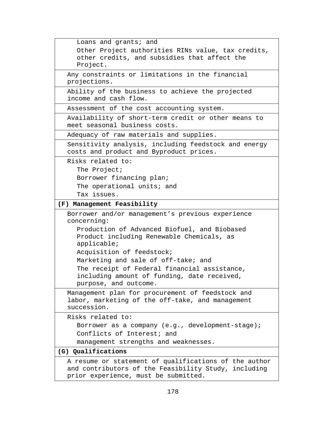```
Loans and grants; and
     Other Project authorities RINs value, tax credits, 
     other credits, and subsidies that affect the 
     Project.
  Any constraints or limitations in the financial 
  projections. 
  Ability of the business to achieve the projected 
  income and cash flow.
  Assessment of the cost accounting system.
  Availability of short-term credit or other means to 
  meet seasonal business costs.
  Adequacy of raw materials and supplies.
  Sensitivity analysis, including feedstock and energy 
  costs and product and Byproduct prices. 
  Risks related to:
    The Project;
    Borrower financing plan; 
     The operational units; and
    Tax issues.
(F) Management Feasibility
  Borrower and/or management's previous experience 
  concerning:
     Production of Advanced Biofuel, and Biobased 
     Product including Renewable Chemicals, as 
     applicable;
    Acquisition of feedstock;
    Marketing and sale of off-take; and
     The receipt of Federal financial assistance, 
     including amount of funding, date received, 
    purpose, and outcome.
  Management plan for procurement of feedstock and 
  labor, marketing of the off-take, and management 
  succession.
  Risks related to:
     Borrower as a company (e.g., development-stage); 
     Conflicts of Interest; and
    management strengths and weaknesses.
(G) Qualifications
  A resume or statement of qualifications of the author 
  and contributors of the Feasibility Study, including 
  prior experience, must be submitted.
```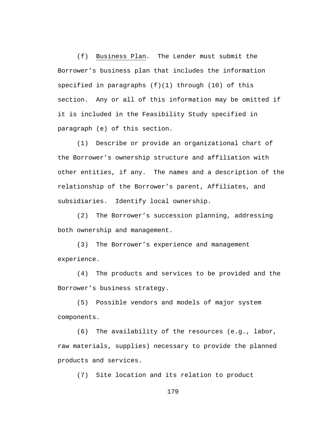(f) Business Plan. The Lender must submit the Borrower's business plan that includes the information specified in paragraphs  $(f)(1)$  through  $(10)$  of this section. Any or all of this information may be omitted if it is included in the Feasibility Study specified in paragraph (e) of this section.

(1) Describe or provide an organizational chart of the Borrower's ownership structure and affiliation with other entities, if any. The names and a description of the relationship of the Borrower's parent, Affiliates, and subsidiaries. Identify local ownership.

(2) The Borrower's succession planning, addressing both ownership and management.

(3) The Borrower's experience and management experience.

(4) The products and services to be provided and the Borrower's business strategy.

(5) Possible vendors and models of major system components.

(6) The availability of the resources (e.g., labor, raw materials, supplies) necessary to provide the planned products and services.

(7) Site location and its relation to product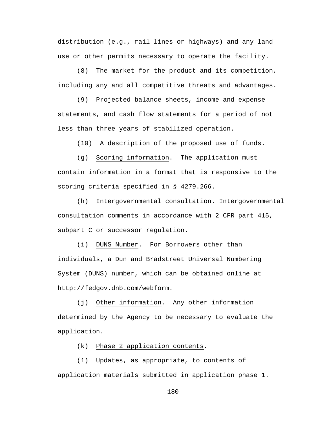distribution (e.g., rail lines or highways) and any land use or other permits necessary to operate the facility.

(8) The market for the product and its competition, including any and all competitive threats and advantages.

(9) Projected balance sheets, income and expense statements, and cash flow statements for a period of not less than three years of stabilized operation.

(10) A description of the proposed use of funds.

(g) Scoring information. The application must contain information in a format that is responsive to the scoring criteria specified in § 4279.266.

(h) Intergovernmental consultation. Intergovernmental consultation comments in accordance with 2 CFR part 415, subpart C or successor regulation.

(i) DUNS Number. For Borrowers other than individuals, a Dun and Bradstreet Universal Numbering System (DUNS) number, which can be obtained online at http://fedgov.dnb.com/webform.

(j) Other information. Any other information determined by the Agency to be necessary to evaluate the application.

(k) Phase 2 application contents.

(1) Updates, as appropriate, to contents of application materials submitted in application phase 1.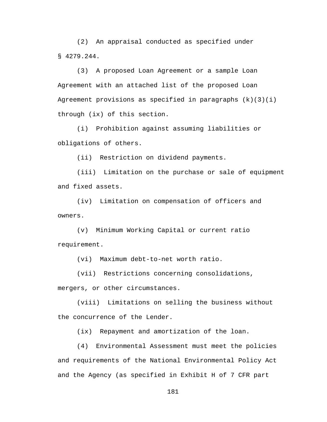(2) An appraisal conducted as specified under § 4279.244.

(3) A proposed Loan Agreement or a sample Loan Agreement with an attached list of the proposed Loan Agreement provisions as specified in paragraphs  $(k)(3)(i)$ through (ix) of this section.

(i) Prohibition against assuming liabilities or obligations of others.

(ii) Restriction on dividend payments.

(iii) Limitation on the purchase or sale of equipment and fixed assets.

(iv) Limitation on compensation of officers and owners.

(v) Minimum Working Capital or current ratio requirement.

(vi) Maximum debt-to-net worth ratio.

(vii) Restrictions concerning consolidations,

mergers, or other circumstances.

(viii) Limitations on selling the business without the concurrence of the Lender.

(ix) Repayment and amortization of the loan.

(4) Environmental Assessment must meet the policies and requirements of the National Environmental Policy Act and the Agency (as specified in Exhibit H of 7 CFR part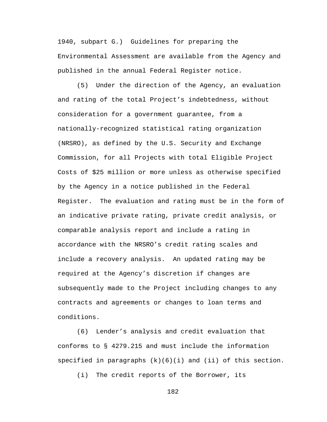1940, subpart G.) Guidelines for preparing the Environmental Assessment are available from the Agency and published in the annual Federal Register notice.

(5) Under the direction of the Agency, an evaluation and rating of the total Project's indebtedness, without consideration for a government guarantee, from a nationally-recognized statistical rating organization (NRSRO), as defined by the U.S. Security and Exchange Commission, for all Projects with total Eligible Project Costs of \$25 million or more unless as otherwise specified by the Agency in a notice published in the Federal Register. The evaluation and rating must be in the form of an indicative private rating, private credit analysis, or comparable analysis report and include a rating in accordance with the NRSRO's credit rating scales and include a recovery analysis. An updated rating may be required at the Agency's discretion if changes are subsequently made to the Project including changes to any contracts and agreements or changes to loan terms and conditions.

(6) Lender's analysis and credit evaluation that conforms to § 4279.215 and must include the information specified in paragraphs  $(k)(6)(i)$  and  $(ii)$  of this section.

(i) The credit reports of the Borrower, its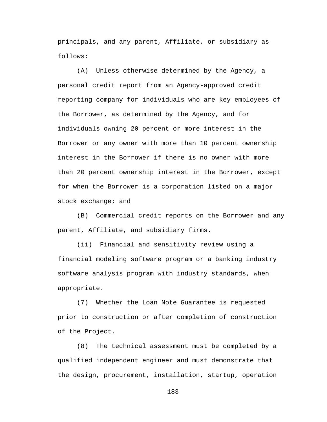principals, and any parent, Affiliate, or subsidiary as follows:

(A) Unless otherwise determined by the Agency, a personal credit report from an Agency-approved credit reporting company for individuals who are key employees of the Borrower, as determined by the Agency, and for individuals owning 20 percent or more interest in the Borrower or any owner with more than 10 percent ownership interest in the Borrower if there is no owner with more than 20 percent ownership interest in the Borrower, except for when the Borrower is a corporation listed on a major stock exchange; and

(B) Commercial credit reports on the Borrower and any parent, Affiliate, and subsidiary firms.

(ii) Financial and sensitivity review using a financial modeling software program or a banking industry software analysis program with industry standards, when appropriate.

(7) Whether the Loan Note Guarantee is requested prior to construction or after completion of construction of the Project.

(8) The technical assessment must be completed by a qualified independent engineer and must demonstrate that the design, procurement, installation, startup, operation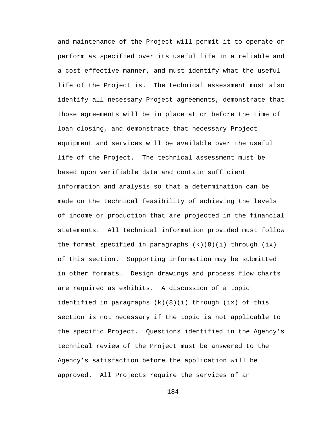and maintenance of the Project will permit it to operate or perform as specified over its useful life in a reliable and a cost effective manner, and must identify what the useful life of the Project is. The technical assessment must also identify all necessary Project agreements, demonstrate that those agreements will be in place at or before the time of loan closing, and demonstrate that necessary Project equipment and services will be available over the useful life of the Project. The technical assessment must be based upon verifiable data and contain sufficient information and analysis so that a determination can be made on the technical feasibility of achieving the levels of income or production that are projected in the financial statements. All technical information provided must follow the format specified in paragraphs  $(k)(8)(i)$  through  $(ix)$ of this section. Supporting information may be submitted in other formats. Design drawings and process flow charts are required as exhibits. A discussion of a topic identified in paragraphs (k)(8)(i) through (ix) of this section is not necessary if the topic is not applicable to the specific Project. Questions identified in the Agency's technical review of the Project must be answered to the Agency's satisfaction before the application will be approved. All Projects require the services of an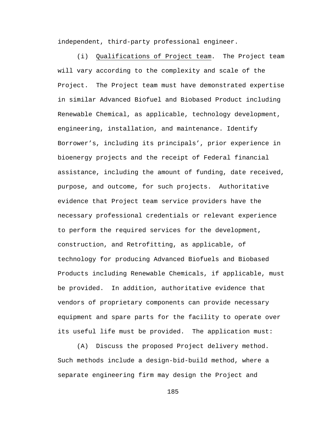independent, third-party professional engineer.

(i) Qualifications of Project team. The Project team will vary according to the complexity and scale of the Project. The Project team must have demonstrated expertise in similar Advanced Biofuel and Biobased Product including Renewable Chemical, as applicable, technology development, engineering, installation, and maintenance. Identify Borrower's, including its principals', prior experience in bioenergy projects and the receipt of Federal financial assistance, including the amount of funding, date received, purpose, and outcome, for such projects. Authoritative evidence that Project team service providers have the necessary professional credentials or relevant experience to perform the required services for the development, construction, and Retrofitting, as applicable, of technology for producing Advanced Biofuels and Biobased Products including Renewable Chemicals, if applicable, must be provided. In addition, authoritative evidence that vendors of proprietary components can provide necessary equipment and spare parts for the facility to operate over its useful life must be provided. The application must:

(A) Discuss the proposed Project delivery method. Such methods include a design-bid-build method, where a separate engineering firm may design the Project and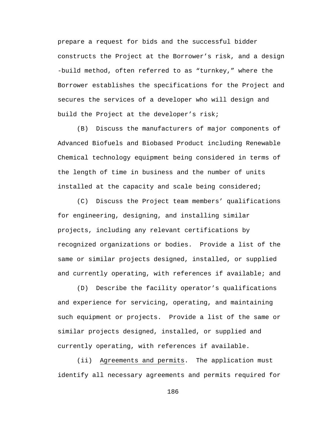prepare a request for bids and the successful bidder constructs the Project at the Borrower's risk, and a design -build method, often referred to as "turnkey," where the Borrower establishes the specifications for the Project and secures the services of a developer who will design and build the Project at the developer's risk;

(B) Discuss the manufacturers of major components of Advanced Biofuels and Biobased Product including Renewable Chemical technology equipment being considered in terms of the length of time in business and the number of units installed at the capacity and scale being considered;

(C) Discuss the Project team members' qualifications for engineering, designing, and installing similar projects, including any relevant certifications by recognized organizations or bodies. Provide a list of the same or similar projects designed, installed, or supplied and currently operating, with references if available; and

(D) Describe the facility operator's qualifications and experience for servicing, operating, and maintaining such equipment or projects. Provide a list of the same or similar projects designed, installed, or supplied and currently operating, with references if available.

(ii) Agreements and permits. The application must identify all necessary agreements and permits required for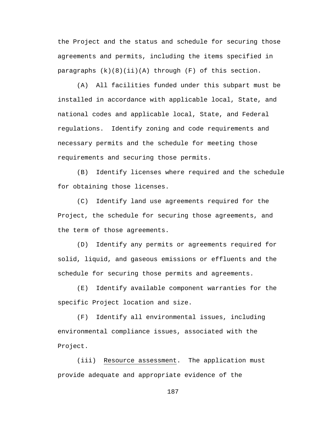the Project and the status and schedule for securing those agreements and permits, including the items specified in paragraphs  $(k)(8)(ii)(A)$  through  $(F)$  of this section.

(A) All facilities funded under this subpart must be installed in accordance with applicable local, State, and national codes and applicable local, State, and Federal regulations. Identify zoning and code requirements and necessary permits and the schedule for meeting those requirements and securing those permits.

(B) Identify licenses where required and the schedule for obtaining those licenses.

(C) Identify land use agreements required for the Project, the schedule for securing those agreements, and the term of those agreements.

(D) Identify any permits or agreements required for solid, liquid, and gaseous emissions or effluents and the schedule for securing those permits and agreements.

(E) Identify available component warranties for the specific Project location and size.

(F) Identify all environmental issues, including environmental compliance issues, associated with the Project.

(iii) Resource assessment. The application must provide adequate and appropriate evidence of the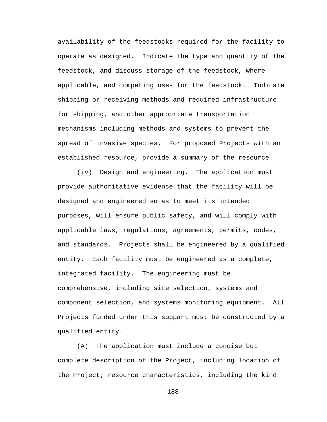availability of the feedstocks required for the facility to operate as designed. Indicate the type and quantity of the feedstock, and discuss storage of the feedstock, where applicable, and competing uses for the feedstock. Indicate shipping or receiving methods and required infrastructure for shipping, and other appropriate transportation mechanisms including methods and systems to prevent the spread of invasive species. For proposed Projects with an established resource, provide a summary of the resource.

(iv) Design and engineering. The application must provide authoritative evidence that the facility will be designed and engineered so as to meet its intended purposes, will ensure public safety, and will comply with applicable laws, regulations, agreements, permits, codes, and standards. Projects shall be engineered by a qualified entity. Each facility must be engineered as a complete, integrated facility. The engineering must be comprehensive, including site selection, systems and component selection, and systems monitoring equipment. All Projects funded under this subpart must be constructed by a qualified entity.

(A) The application must include a concise but complete description of the Project, including location of the Project; resource characteristics, including the kind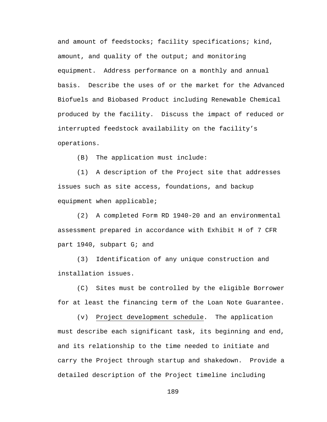and amount of feedstocks; facility specifications; kind, amount, and quality of the output; and monitoring equipment. Address performance on a monthly and annual basis. Describe the uses of or the market for the Advanced Biofuels and Biobased Product including Renewable Chemical produced by the facility. Discuss the impact of reduced or interrupted feedstock availability on the facility's operations.

(B) The application must include:

(1) A description of the Project site that addresses issues such as site access, foundations, and backup equipment when applicable;

(2) A completed Form RD 1940-20 and an environmental assessment prepared in accordance with Exhibit H of 7 CFR part 1940, subpart G; and

(3) Identification of any unique construction and installation issues.

(C) Sites must be controlled by the eligible Borrower for at least the financing term of the Loan Note Guarantee.

(v) Project development schedule. The application must describe each significant task, its beginning and end, and its relationship to the time needed to initiate and carry the Project through startup and shakedown. Provide a detailed description of the Project timeline including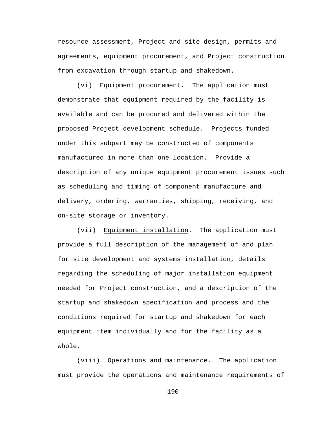resource assessment, Project and site design, permits and agreements, equipment procurement, and Project construction from excavation through startup and shakedown.

(vi) Equipment procurement. The application must demonstrate that equipment required by the facility is available and can be procured and delivered within the proposed Project development schedule. Projects funded under this subpart may be constructed of components manufactured in more than one location. Provide a description of any unique equipment procurement issues such as scheduling and timing of component manufacture and delivery, ordering, warranties, shipping, receiving, and on-site storage or inventory.

(vii) Equipment installation. The application must provide a full description of the management of and plan for site development and systems installation, details regarding the scheduling of major installation equipment needed for Project construction, and a description of the startup and shakedown specification and process and the conditions required for startup and shakedown for each equipment item individually and for the facility as a whole.

(viii) Operations and maintenance. The application must provide the operations and maintenance requirements of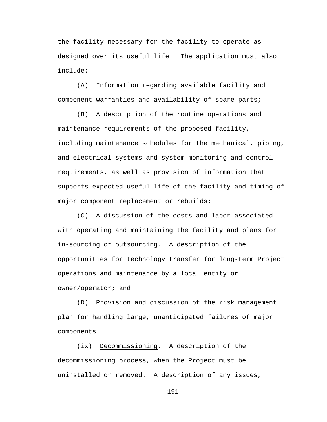the facility necessary for the facility to operate as designed over its useful life. The application must also include:

(A) Information regarding available facility and component warranties and availability of spare parts;

(B) A description of the routine operations and maintenance requirements of the proposed facility, including maintenance schedules for the mechanical, piping, and electrical systems and system monitoring and control requirements, as well as provision of information that supports expected useful life of the facility and timing of major component replacement or rebuilds;

(C) A discussion of the costs and labor associated with operating and maintaining the facility and plans for in-sourcing or outsourcing. A description of the opportunities for technology transfer for long-term Project operations and maintenance by a local entity or owner/operator; and

(D) Provision and discussion of the risk management plan for handling large, unanticipated failures of major components.

(ix) Decommissioning. A description of the decommissioning process, when the Project must be uninstalled or removed. A description of any issues,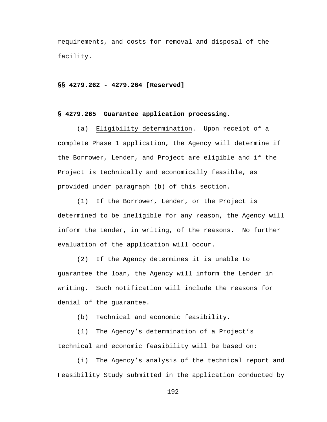requirements, and costs for removal and disposal of the facility.

#### **§§ 4279.262 - 4279.264 [Reserved]**

### **§ 4279.265 Guarantee application processing**.

(a) Eligibility determination. Upon receipt of a complete Phase 1 application, the Agency will determine if the Borrower, Lender, and Project are eligible and if the Project is technically and economically feasible, as provided under paragraph (b) of this section.

(1) If the Borrower, Lender, or the Project is determined to be ineligible for any reason, the Agency will inform the Lender, in writing, of the reasons. No further evaluation of the application will occur.

(2) If the Agency determines it is unable to guarantee the loan, the Agency will inform the Lender in writing. Such notification will include the reasons for denial of the guarantee.

(b) Technical and economic feasibility.

(1) The Agency's determination of a Project's technical and economic feasibility will be based on:

(i) The Agency's analysis of the technical report and Feasibility Study submitted in the application conducted by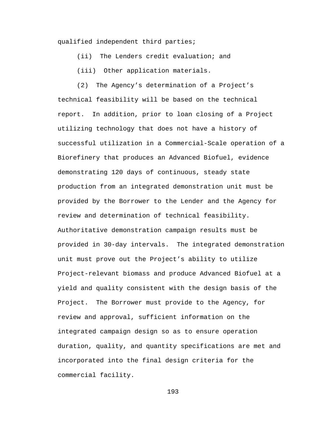qualified independent third parties;

(ii) The Lenders credit evaluation; and

(iii) Other application materials.

(2) The Agency's determination of a Project's technical feasibility will be based on the technical report. In addition, prior to loan closing of a Project utilizing technology that does not have a history of successful utilization in a Commercial-Scale operation of a Biorefinery that produces an Advanced Biofuel, evidence demonstrating 120 days of continuous, steady state production from an integrated demonstration unit must be provided by the Borrower to the Lender and the Agency for review and determination of technical feasibility. Authoritative demonstration campaign results must be provided in 30-day intervals. The integrated demonstration unit must prove out the Project's ability to utilize Project-relevant biomass and produce Advanced Biofuel at a yield and quality consistent with the design basis of the Project. The Borrower must provide to the Agency, for review and approval, sufficient information on the integrated campaign design so as to ensure operation duration, quality, and quantity specifications are met and incorporated into the final design criteria for the commercial facility.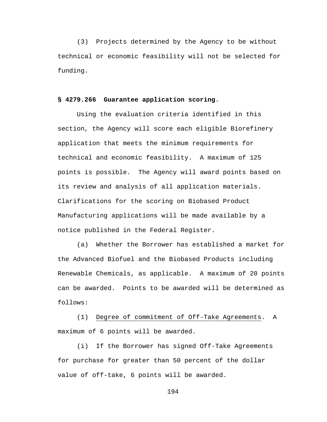(3) Projects determined by the Agency to be without technical or economic feasibility will not be selected for funding.

## **§ 4279.266 Guarantee application scoring**.

Using the evaluation criteria identified in this section, the Agency will score each eligible Biorefinery application that meets the minimum requirements for technical and economic feasibility. A maximum of 125 points is possible. The Agency will award points based on its review and analysis of all application materials. Clarifications for the scoring on Biobased Product Manufacturing applications will be made available by a notice published in the Federal Register.

(a) Whether the Borrower has established a market for the Advanced Biofuel and the Biobased Products including Renewable Chemicals, as applicable. A maximum of 20 points can be awarded. Points to be awarded will be determined as follows:

(1) Degree of commitment of Off-Take Agreements. A maximum of 6 points will be awarded.

(i) If the Borrower has signed Off-Take Agreements for purchase for greater than 50 percent of the dollar value of off-take, 6 points will be awarded.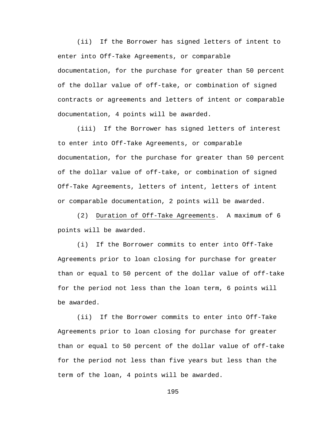(ii) If the Borrower has signed letters of intent to enter into Off-Take Agreements, or comparable documentation, for the purchase for greater than 50 percent of the dollar value of off-take, or combination of signed contracts or agreements and letters of intent or comparable documentation, 4 points will be awarded.

(iii) If the Borrower has signed letters of interest to enter into Off-Take Agreements, or comparable documentation, for the purchase for greater than 50 percent of the dollar value of off-take, or combination of signed Off-Take Agreements, letters of intent, letters of intent or comparable documentation, 2 points will be awarded.

(2) Duration of Off-Take Agreements. A maximum of 6 points will be awarded.

(i) If the Borrower commits to enter into Off-Take Agreements prior to loan closing for purchase for greater than or equal to 50 percent of the dollar value of off-take for the period not less than the loan term, 6 points will be awarded.

(ii) If the Borrower commits to enter into Off-Take Agreements prior to loan closing for purchase for greater than or equal to 50 percent of the dollar value of off-take for the period not less than five years but less than the term of the loan, 4 points will be awarded.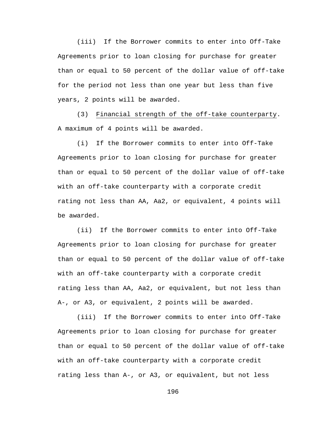(iii) If the Borrower commits to enter into Off-Take Agreements prior to loan closing for purchase for greater than or equal to 50 percent of the dollar value of off-take for the period not less than one year but less than five years, 2 points will be awarded.

(3) Financial strength of the off-take counterparty. A maximum of 4 points will be awarded.

(i) If the Borrower commits to enter into Off-Take Agreements prior to loan closing for purchase for greater than or equal to 50 percent of the dollar value of off-take with an off-take counterparty with a corporate credit rating not less than AA, Aa2, or equivalent, 4 points will be awarded.

(ii) If the Borrower commits to enter into Off-Take Agreements prior to loan closing for purchase for greater than or equal to 50 percent of the dollar value of off-take with an off-take counterparty with a corporate credit rating less than AA, Aa2, or equivalent, but not less than A-, or A3, or equivalent, 2 points will be awarded.

(iii) If the Borrower commits to enter into Off-Take Agreements prior to loan closing for purchase for greater than or equal to 50 percent of the dollar value of off-take with an off-take counterparty with a corporate credit rating less than A-, or A3, or equivalent, but not less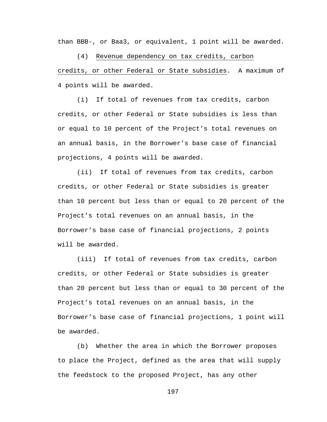than BBB-, or Baa3, or equivalent, 1 point will be awarded.

(4) Revenue dependency on tax credits, carbon credits, or other Federal or State subsidies. A maximum of 4 points will be awarded.

(i) If total of revenues from tax credits, carbon credits, or other Federal or State subsidies is less than or equal to 10 percent of the Project's total revenues on an annual basis, in the Borrower's base case of financial projections, 4 points will be awarded.

(ii) If total of revenues from tax credits, carbon credits, or other Federal or State subsidies is greater than 10 percent but less than or equal to 20 percent of the Project's total revenues on an annual basis, in the Borrower's base case of financial projections, 2 points will be awarded.

(iii) If total of revenues from tax credits, carbon credits, or other Federal or State subsidies is greater than 20 percent but less than or equal to 30 percent of the Project's total revenues on an annual basis, in the Borrower's base case of financial projections, 1 point will be awarded.

(b) Whether the area in which the Borrower proposes to place the Project, defined as the area that will supply the feedstock to the proposed Project, has any other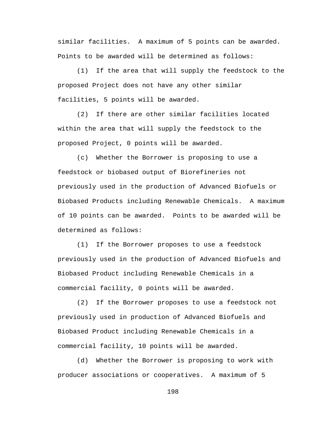similar facilities. A maximum of 5 points can be awarded. Points to be awarded will be determined as follows:

(1) If the area that will supply the feedstock to the proposed Project does not have any other similar facilities, 5 points will be awarded.

(2) If there are other similar facilities located within the area that will supply the feedstock to the proposed Project, 0 points will be awarded.

(c) Whether the Borrower is proposing to use a feedstock or biobased output of Biorefineries not previously used in the production of Advanced Biofuels or Biobased Products including Renewable Chemicals. A maximum of 10 points can be awarded. Points to be awarded will be determined as follows:

(1) If the Borrower proposes to use a feedstock previously used in the production of Advanced Biofuels and Biobased Product including Renewable Chemicals in a commercial facility, 0 points will be awarded.

(2) If the Borrower proposes to use a feedstock not previously used in production of Advanced Biofuels and Biobased Product including Renewable Chemicals in a commercial facility, 10 points will be awarded.

(d) Whether the Borrower is proposing to work with producer associations or cooperatives. A maximum of 5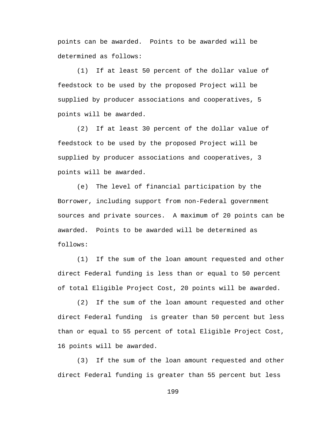points can be awarded. Points to be awarded will be determined as follows:

(1) If at least 50 percent of the dollar value of feedstock to be used by the proposed Project will be supplied by producer associations and cooperatives, 5 points will be awarded.

(2) If at least 30 percent of the dollar value of feedstock to be used by the proposed Project will be supplied by producer associations and cooperatives, 3 points will be awarded.

(e) The level of financial participation by the Borrower, including support from non-Federal government sources and private sources. A maximum of 20 points can be awarded. Points to be awarded will be determined as follows:

(1) If the sum of the loan amount requested and other direct Federal funding is less than or equal to 50 percent of total Eligible Project Cost, 20 points will be awarded.

(2) If the sum of the loan amount requested and other direct Federal funding is greater than 50 percent but less than or equal to 55 percent of total Eligible Project Cost, 16 points will be awarded.

(3) If the sum of the loan amount requested and other direct Federal funding is greater than 55 percent but less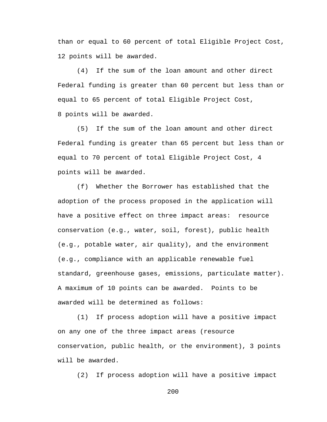than or equal to 60 percent of total Eligible Project Cost, 12 points will be awarded.

(4) If the sum of the loan amount and other direct Federal funding is greater than 60 percent but less than or equal to 65 percent of total Eligible Project Cost, 8 points will be awarded.

(5) If the sum of the loan amount and other direct Federal funding is greater than 65 percent but less than or equal to 70 percent of total Eligible Project Cost, 4 points will be awarded.

(f) Whether the Borrower has established that the adoption of the process proposed in the application will have a positive effect on three impact areas: resource conservation (e.g., water, soil, forest), public health (e.g., potable water, air quality), and the environment (e.g., compliance with an applicable renewable fuel standard, greenhouse gases, emissions, particulate matter). A maximum of 10 points can be awarded. Points to be awarded will be determined as follows:

(1) If process adoption will have a positive impact on any one of the three impact areas (resource conservation, public health, or the environment), 3 points will be awarded.

(2) If process adoption will have a positive impact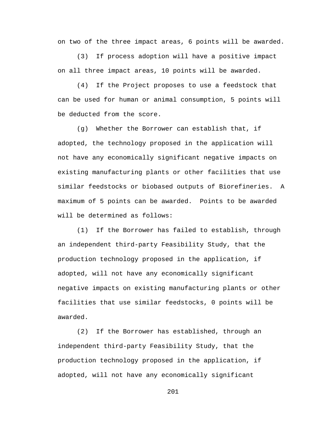on two of the three impact areas, 6 points will be awarded.

(3) If process adoption will have a positive impact on all three impact areas, 10 points will be awarded.

(4) If the Project proposes to use a feedstock that can be used for human or animal consumption, 5 points will be deducted from the score.

(g) Whether the Borrower can establish that, if adopted, the technology proposed in the application will not have any economically significant negative impacts on existing manufacturing plants or other facilities that use similar feedstocks or biobased outputs of Biorefineries. A maximum of 5 points can be awarded. Points to be awarded will be determined as follows:

(1) If the Borrower has failed to establish, through an independent third-party Feasibility Study, that the production technology proposed in the application, if adopted, will not have any economically significant negative impacts on existing manufacturing plants or other facilities that use similar feedstocks, 0 points will be awarded.

(2) If the Borrower has established, through an independent third-party Feasibility Study, that the production technology proposed in the application, if adopted, will not have any economically significant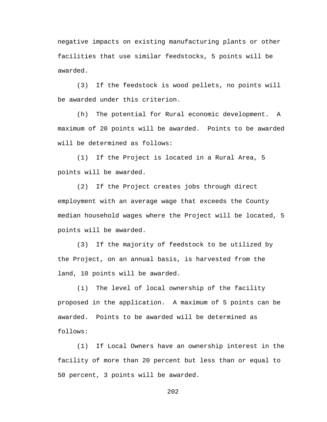negative impacts on existing manufacturing plants or other facilities that use similar feedstocks, 5 points will be awarded.

(3) If the feedstock is wood pellets, no points will be awarded under this criterion.

(h) The potential for Rural economic development. A maximum of 20 points will be awarded. Points to be awarded will be determined as follows:

(1) If the Project is located in a Rural Area, 5 points will be awarded.

(2) If the Project creates jobs through direct employment with an average wage that exceeds the County median household wages where the Project will be located, 5 points will be awarded.

(3) If the majority of feedstock to be utilized by the Project, on an annual basis, is harvested from the land, 10 points will be awarded.

(i) The level of local ownership of the facility proposed in the application. A maximum of 5 points can be awarded. Points to be awarded will be determined as follows:

(1) If Local Owners have an ownership interest in the facility of more than 20 percent but less than or equal to 50 percent, 3 points will be awarded.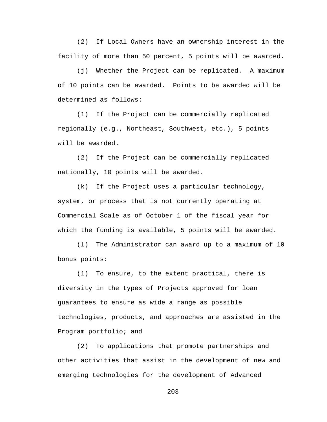(2) If Local Owners have an ownership interest in the facility of more than 50 percent, 5 points will be awarded.

(j) Whether the Project can be replicated. A maximum of 10 points can be awarded. Points to be awarded will be determined as follows:

(1) If the Project can be commercially replicated regionally (e.g., Northeast, Southwest, etc.), 5 points will be awarded.

(2) If the Project can be commercially replicated nationally, 10 points will be awarded.

(k) If the Project uses a particular technology, system, or process that is not currently operating at Commercial Scale as of October 1 of the fiscal year for which the funding is available, 5 points will be awarded.

(l) The Administrator can award up to a maximum of 10 bonus points:

(1) To ensure, to the extent practical, there is diversity in the types of Projects approved for loan guarantees to ensure as wide a range as possible technologies, products, and approaches are assisted in the Program portfolio; and

(2) To applications that promote partnerships and other activities that assist in the development of new and emerging technologies for the development of Advanced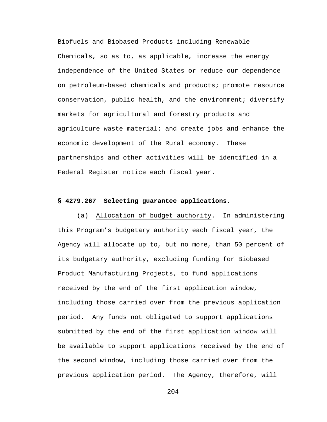Biofuels and Biobased Products including Renewable Chemicals, so as to, as applicable, increase the energy independence of the United States or reduce our dependence on petroleum-based chemicals and products; promote resource conservation, public health, and the environment; diversify markets for agricultural and forestry products and agriculture waste material; and create jobs and enhance the economic development of the Rural economy. These partnerships and other activities will be identified in a Federal Register notice each fiscal year.

#### **§ 4279.267 Selecting guarantee applications.**

(a) Allocation of budget authority. In administering this Program's budgetary authority each fiscal year, the Agency will allocate up to, but no more, than 50 percent of its budgetary authority, excluding funding for Biobased Product Manufacturing Projects, to fund applications received by the end of the first application window, including those carried over from the previous application period. Any funds not obligated to support applications submitted by the end of the first application window will be available to support applications received by the end of the second window, including those carried over from the previous application period. The Agency, therefore, will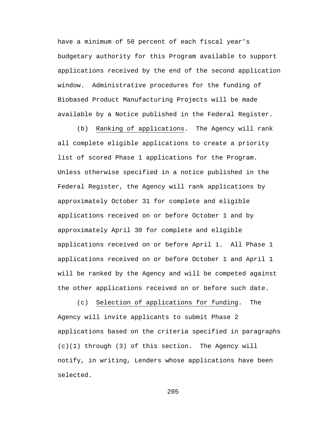have a minimum of 50 percent of each fiscal year's budgetary authority for this Program available to support applications received by the end of the second application window. Administrative procedures for the funding of Biobased Product Manufacturing Projects will be made available by a Notice published in the Federal Register.

(b) Ranking of applications. The Agency will rank all complete eligible applications to create a priority list of scored Phase 1 applications for the Program. Unless otherwise specified in a notice published in the Federal Register, the Agency will rank applications by approximately October 31 for complete and eligible applications received on or before October 1 and by approximately April 30 for complete and eligible applications received on or before April 1. All Phase 1 applications received on or before October 1 and April 1 will be ranked by the Agency and will be competed against the other applications received on or before such date.

(c) Selection of applications for funding. The Agency will invite applicants to submit Phase 2 applications based on the criteria specified in paragraphs (c)(1) through (3) of this section. The Agency will notify, in writing, Lenders whose applications have been selected.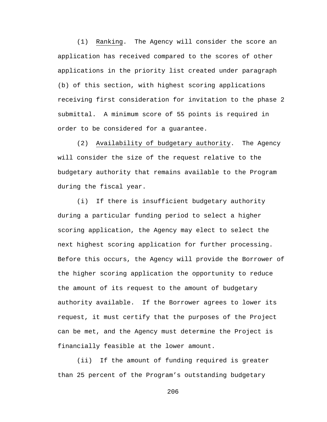(1) Ranking. The Agency will consider the score an application has received compared to the scores of other applications in the priority list created under paragraph (b) of this section, with highest scoring applications receiving first consideration for invitation to the phase 2 submittal. A minimum score of 55 points is required in order to be considered for a guarantee.

(2) Availability of budgetary authority. The Agency will consider the size of the request relative to the budgetary authority that remains available to the Program during the fiscal year.

(i) If there is insufficient budgetary authority during a particular funding period to select a higher scoring application, the Agency may elect to select the next highest scoring application for further processing. Before this occurs, the Agency will provide the Borrower of the higher scoring application the opportunity to reduce the amount of its request to the amount of budgetary authority available. If the Borrower agrees to lower its request, it must certify that the purposes of the Project can be met, and the Agency must determine the Project is financially feasible at the lower amount.

(ii) If the amount of funding required is greater than 25 percent of the Program's outstanding budgetary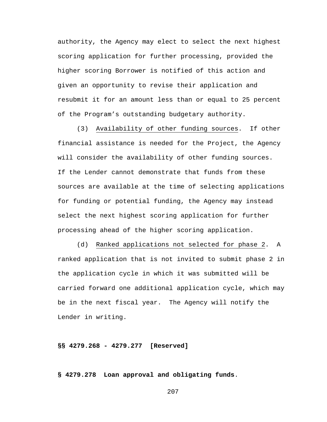authority, the Agency may elect to select the next highest scoring application for further processing, provided the higher scoring Borrower is notified of this action and given an opportunity to revise their application and resubmit it for an amount less than or equal to 25 percent of the Program's outstanding budgetary authority.

(3) Availability of other funding sources. If other financial assistance is needed for the Project, the Agency will consider the availability of other funding sources. If the Lender cannot demonstrate that funds from these sources are available at the time of selecting applications for funding or potential funding, the Agency may instead select the next highest scoring application for further processing ahead of the higher scoring application.

(d) Ranked applications not selected for phase 2. A ranked application that is not invited to submit phase 2 in the application cycle in which it was submitted will be carried forward one additional application cycle, which may be in the next fiscal year. The Agency will notify the Lender in writing.

**§§ 4279.268 - 4279.277 [Reserved]**

**§ 4279.278 Loan approval and obligating funds**.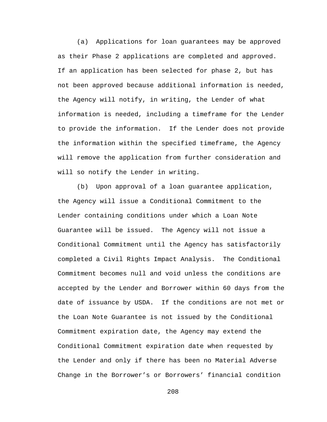(a) Applications for loan guarantees may be approved as their Phase 2 applications are completed and approved. If an application has been selected for phase 2, but has not been approved because additional information is needed, the Agency will notify, in writing, the Lender of what information is needed, including a timeframe for the Lender to provide the information. If the Lender does not provide the information within the specified timeframe, the Agency will remove the application from further consideration and will so notify the Lender in writing.

(b) Upon approval of a loan guarantee application, the Agency will issue a Conditional Commitment to the Lender containing conditions under which a Loan Note Guarantee will be issued. The Agency will not issue a Conditional Commitment until the Agency has satisfactorily completed a Civil Rights Impact Analysis. The Conditional Commitment becomes null and void unless the conditions are accepted by the Lender and Borrower within 60 days from the date of issuance by USDA. If the conditions are not met or the Loan Note Guarantee is not issued by the Conditional Commitment expiration date, the Agency may extend the Conditional Commitment expiration date when requested by the Lender and only if there has been no Material Adverse Change in the Borrower's or Borrowers' financial condition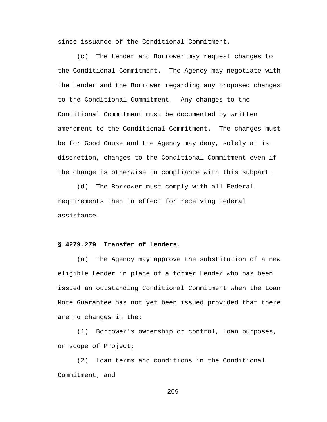since issuance of the Conditional Commitment.

(c) The Lender and Borrower may request changes to the Conditional Commitment. The Agency may negotiate with the Lender and the Borrower regarding any proposed changes to the Conditional Commitment. Any changes to the Conditional Commitment must be documented by written amendment to the Conditional Commitment. The changes must be for Good Cause and the Agency may deny, solely at is discretion, changes to the Conditional Commitment even if the change is otherwise in compliance with this subpart.

(d) The Borrower must comply with all Federal requirements then in effect for receiving Federal assistance.

## **§ 4279.279 Transfer of Lenders**.

(a) The Agency may approve the substitution of a new eligible Lender in place of a former Lender who has been issued an outstanding Conditional Commitment when the Loan Note Guarantee has not yet been issued provided that there are no changes in the:

(1) Borrower's ownership or control, loan purposes, or scope of Project;

(2) Loan terms and conditions in the Conditional Commitment; and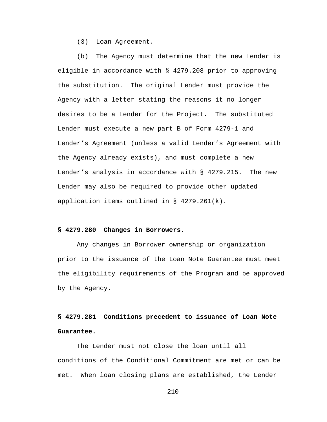(3) Loan Agreement.

(b) The Agency must determine that the new Lender is eligible in accordance with § 4279.208 prior to approving the substitution. The original Lender must provide the Agency with a letter stating the reasons it no longer desires to be a Lender for the Project. The substituted Lender must execute a new part B of Form 4279-1 and Lender's Agreement (unless a valid Lender's Agreement with the Agency already exists), and must complete a new Lender's analysis in accordance with § 4279.215. The new Lender may also be required to provide other updated application items outlined in § 4279.261(k).

## **§ 4279.280 Changes in Borrowers.**

Any changes in Borrower ownership or organization prior to the issuance of the Loan Note Guarantee must meet the eligibility requirements of the Program and be approved by the Agency.

# **§ 4279.281 Conditions precedent to issuance of Loan Note Guarantee.**

The Lender must not close the loan until all conditions of the Conditional Commitment are met or can be met. When loan closing plans are established, the Lender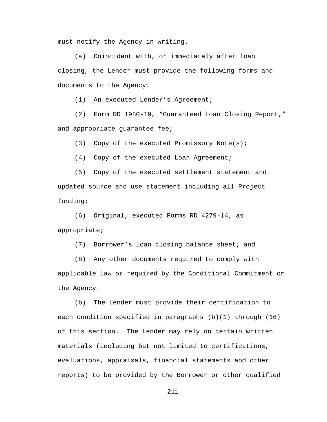must notify the Agency in writing.

(a) Coincident with, or immediately after loan closing, the Lender must provide the following forms and documents to the Agency:

(1) An executed Lender's Agreement;

(2) Form RD 1980-19, "Guaranteed Loan Closing Report," and appropriate guarantee fee;

(3) Copy of the executed Promissory Note(s);

(4) Copy of the executed Loan Agreement;

(5) Copy of the executed settlement statement and updated source and use statement including all Project funding;

(6) Original, executed Forms RD 4279-14, as appropriate;

(7) Borrower's loan closing balance sheet; and

(8) Any other documents required to comply with applicable law or required by the Conditional Commitment or the Agency.

(b) The Lender must provide their certification to each condition specified in paragraphs (b)(1) through (16) of this section. The Lender may rely on certain written materials (including but not limited to certifications, evaluations, appraisals, financial statements and other reports) to be provided by the Borrower or other qualified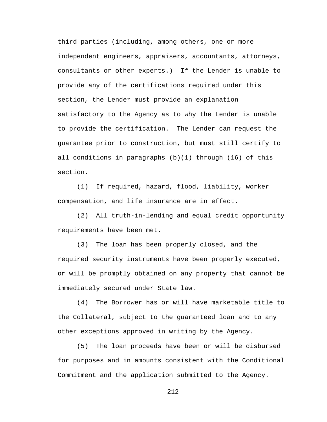third parties (including, among others, one or more independent engineers, appraisers, accountants, attorneys, consultants or other experts.) If the Lender is unable to provide any of the certifications required under this section, the Lender must provide an explanation satisfactory to the Agency as to why the Lender is unable to provide the certification. The Lender can request the guarantee prior to construction, but must still certify to all conditions in paragraphs (b)(1) through (16) of this section.

(1) If required, hazard, flood, liability, worker compensation, and life insurance are in effect.

(2) All truth-in-lending and equal credit opportunity requirements have been met.

(3) The loan has been properly closed, and the required security instruments have been properly executed, or will be promptly obtained on any property that cannot be immediately secured under State law.

(4) The Borrower has or will have marketable title to the Collateral, subject to the guaranteed loan and to any other exceptions approved in writing by the Agency.

(5) The loan proceeds have been or will be disbursed for purposes and in amounts consistent with the Conditional Commitment and the application submitted to the Agency.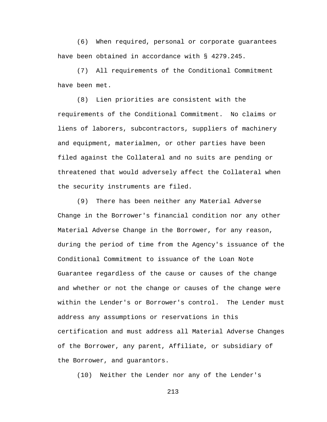(6) When required, personal or corporate guarantees have been obtained in accordance with § 4279.245.

(7) All requirements of the Conditional Commitment have been met.

(8) Lien priorities are consistent with the requirements of the Conditional Commitment. No claims or liens of laborers, subcontractors, suppliers of machinery and equipment, materialmen, or other parties have been filed against the Collateral and no suits are pending or threatened that would adversely affect the Collateral when the security instruments are filed.

(9) There has been neither any Material Adverse Change in the Borrower's financial condition nor any other Material Adverse Change in the Borrower, for any reason, during the period of time from the Agency's issuance of the Conditional Commitment to issuance of the Loan Note Guarantee regardless of the cause or causes of the change and whether or not the change or causes of the change were within the Lender's or Borrower's control. The Lender must address any assumptions or reservations in this certification and must address all Material Adverse Changes of the Borrower, any parent, Affiliate, or subsidiary of the Borrower, and guarantors.

(10) Neither the Lender nor any of the Lender's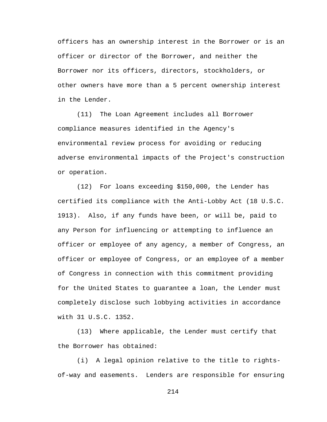officers has an ownership interest in the Borrower or is an officer or director of the Borrower, and neither the Borrower nor its officers, directors, stockholders, or other owners have more than a 5 percent ownership interest in the Lender.

(11) The Loan Agreement includes all Borrower compliance measures identified in the Agency's environmental review process for avoiding or reducing adverse environmental impacts of the Project's construction or operation.

(12) For loans exceeding \$150,000, the Lender has certified its compliance with the Anti-Lobby Act (18 U.S.C. 1913). Also, if any funds have been, or will be, paid to any Person for influencing or attempting to influence an officer or employee of any agency, a member of Congress, an officer or employee of Congress, or an employee of a member of Congress in connection with this commitment providing for the United States to guarantee a loan, the Lender must completely disclose such lobbying activities in accordance with 31 U.S.C. 1352.

(13) Where applicable, the Lender must certify that the Borrower has obtained:

(i) A legal opinion relative to the title to rightsof-way and easements. Lenders are responsible for ensuring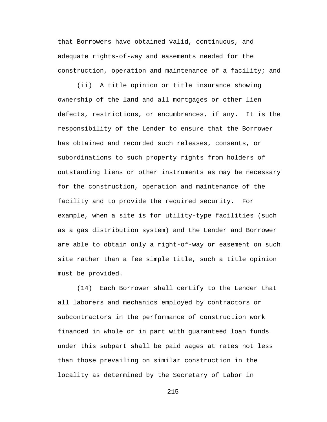that Borrowers have obtained valid, continuous, and adequate rights-of-way and easements needed for the construction, operation and maintenance of a facility; and

(ii) A title opinion or title insurance showing ownership of the land and all mortgages or other lien defects, restrictions, or encumbrances, if any. It is the responsibility of the Lender to ensure that the Borrower has obtained and recorded such releases, consents, or subordinations to such property rights from holders of outstanding liens or other instruments as may be necessary for the construction, operation and maintenance of the facility and to provide the required security. For example, when a site is for utility-type facilities (such as a gas distribution system) and the Lender and Borrower are able to obtain only a right-of-way or easement on such site rather than a fee simple title, such a title opinion must be provided.

(14) Each Borrower shall certify to the Lender that all laborers and mechanics employed by contractors or subcontractors in the performance of construction work financed in whole or in part with guaranteed loan funds under this subpart shall be paid wages at rates not less than those prevailing on similar construction in the locality as determined by the Secretary of Labor in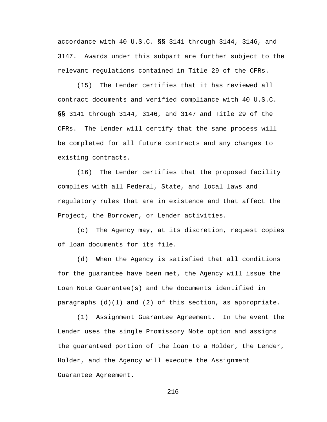accordance with 40 U.S.C. **§§** 3141 through 3144, 3146, and 3147. Awards under this subpart are further subject to the relevant regulations contained in Title 29 of the CFRs.

(15) The Lender certifies that it has reviewed all contract documents and verified compliance with 40 U.S.C. **§§** 3141 through 3144, 3146, and 3147 and Title 29 of the CFRs. The Lender will certify that the same process will be completed for all future contracts and any changes to existing contracts.

(16) The Lender certifies that the proposed facility complies with all Federal, State, and local laws and regulatory rules that are in existence and that affect the Project, the Borrower, or Lender activities.

(c) The Agency may, at its discretion, request copies of loan documents for its file.

(d) When the Agency is satisfied that all conditions for the guarantee have been met, the Agency will issue the Loan Note Guarantee(s) and the documents identified in paragraphs  $(d)(1)$  and  $(2)$  of this section, as appropriate.

(1) Assignment Guarantee Agreement. In the event the Lender uses the single Promissory Note option and assigns the guaranteed portion of the loan to a Holder, the Lender, Holder, and the Agency will execute the Assignment Guarantee Agreement.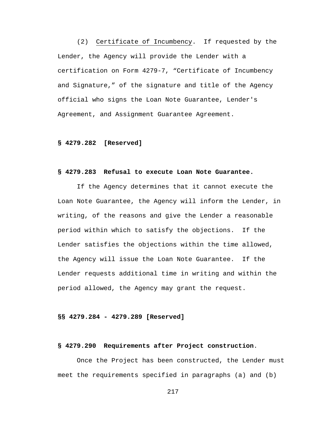(2) Certificate of Incumbency. If requested by the Lender, the Agency will provide the Lender with a certification on Form 4279-7, "Certificate of Incumbency and Signature," of the signature and title of the Agency official who signs the Loan Note Guarantee, Lender's Agreement, and Assignment Guarantee Agreement.

#### **§ 4279.282 [Reserved]**

### **§ 4279.283 Refusal to execute Loan Note Guarantee.**

If the Agency determines that it cannot execute the Loan Note Guarantee, the Agency will inform the Lender, in writing, of the reasons and give the Lender a reasonable period within which to satisfy the objections. If the Lender satisfies the objections within the time allowed, the Agency will issue the Loan Note Guarantee. If the Lender requests additional time in writing and within the period allowed, the Agency may grant the request.

# **§§ 4279.284 - 4279.289 [Reserved]**

#### **§ 4279.290 Requirements after Project construction**.

Once the Project has been constructed, the Lender must meet the requirements specified in paragraphs (a) and (b)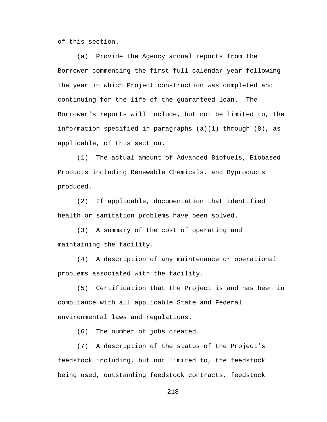of this section.

(a) Provide the Agency annual reports from the Borrower commencing the first full calendar year following the year in which Project construction was completed and continuing for the life of the guaranteed loan. The Borrower's reports will include, but not be limited to, the information specified in paragraphs (a)(1) through (8), as applicable, of this section.

(1) The actual amount of Advanced Biofuels, Biobased Products including Renewable Chemicals, and Byproducts produced.

(2) If applicable, documentation that identified health or sanitation problems have been solved.

(3) A summary of the cost of operating and maintaining the facility.

(4) A description of any maintenance or operational problems associated with the facility.

(5) Certification that the Project is and has been in compliance with all applicable State and Federal environmental laws and regulations.

(6) The number of jobs created.

(7) A description of the status of the Project's feedstock including, but not limited to, the feedstock being used, outstanding feedstock contracts, feedstock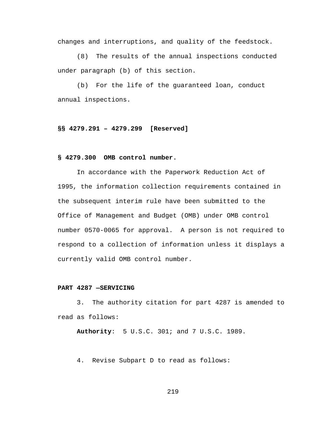changes and interruptions, and quality of the feedstock.

(8) The results of the annual inspections conducted under paragraph (b) of this section.

(b) For the life of the guaranteed loan, conduct annual inspections.

## **§§ 4279.291 – 4279.299 [Reserved]**

#### **§ 4279.300 OMB control number.**

In accordance with the Paperwork Reduction Act of 1995, the information collection requirements contained in the subsequent interim rule have been submitted to the Office of Management and Budget (OMB) under OMB control number 0570-0065 for approval. A person is not required to respond to a collection of information unless it displays a currently valid OMB control number.

#### **PART 4287 —SERVICING**

3. The authority citation for part 4287 is amended to read as follows:

**Authority**: 5 U.S.C. 301; and 7 U.S.C. 1989.

4. Revise Subpart D to read as follows: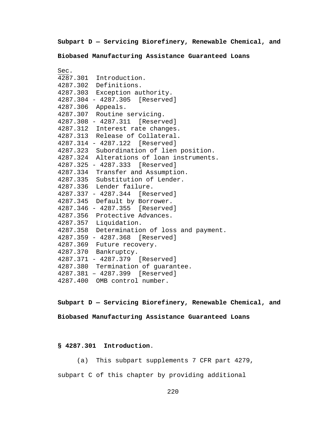**Subpart D — Servicing Biorefinery, Renewable Chemical, and** 

**Biobased Manufacturing Assistance Guaranteed Loans**

| Sec. |                                             |
|------|---------------------------------------------|
|      | 4287.301 Introduction.                      |
|      | 4287.302 Definitions.                       |
|      | 4287.303 Exception authority.               |
|      | 4287.304 - 4287.305 [Reserved]              |
|      | 4287.306 Appeals.                           |
|      | 4287.307 Routine servicing.                 |
|      | 4287.308 - 4287.311 [Reserved]              |
|      | 4287.312 Interest rate changes.             |
|      | 4287.313 Release of Collateral.             |
|      | 4287.314 - 4287.122 [Reserved]              |
|      | 4287.323 Subordination of lien position.    |
|      | 4287.324 Alterations of loan instruments.   |
|      | 4287.325 - 4287.333 [Reserved]              |
|      | 4287.334 Transfer and Assumption.           |
|      | 4287.335 Substitution of Lender.            |
|      | 4287.336 Lender failure.                    |
|      | 4287.337 - 4287.344 [Reserved]              |
|      | 4287.345 Default by Borrower.               |
|      | 4287.346 - 4287.355 [Reserved]              |
|      | 4287.356 Protective Advances.               |
|      | 4287.357 Liquidation.                       |
|      | 4287.358 Determination of loss and payment. |
|      | 4287.359 - 4287.368 [Reserved]              |
|      | 4287.369 Future recovery.                   |
|      | 4287.370 Bankruptcy.                        |
|      | 4287.371 - 4287.379 [Reserved]              |
|      | 4287.380 Termination of guarantee.          |
|      | 4287.381 - 4287.399 [Reserved]              |
|      | 4287.400 OMB control number.                |

**Subpart D — Servicing Biorefinery, Renewable Chemical, and Biobased Manufacturing Assistance Guaranteed Loans**

# **§ 4287.301 Introduction**.

(a) This subpart supplements 7 CFR part 4279, subpart C of this chapter by providing additional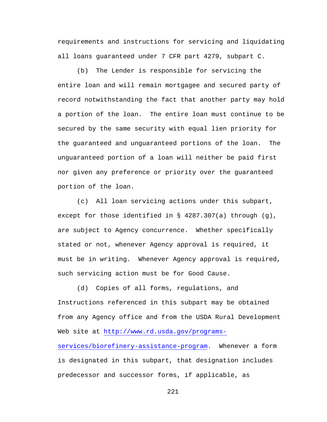requirements and instructions for servicing and liquidating all loans guaranteed under 7 CFR part 4279, subpart C.

(b) The Lender is responsible for servicing the entire loan and will remain mortgagee and secured party of record notwithstanding the fact that another party may hold a portion of the loan. The entire loan must continue to be secured by the same security with equal lien priority for the guaranteed and unguaranteed portions of the loan. The unguaranteed portion of a loan will neither be paid first nor given any preference or priority over the guaranteed portion of the loan.

(c) All loan servicing actions under this subpart, except for those identified in § 4287.307(a) through (g), are subject to Agency concurrence. Whether specifically stated or not, whenever Agency approval is required, it must be in writing. Whenever Agency approval is required, such servicing action must be for Good Cause.

(d) Copies of all forms, regulations, and Instructions referenced in this subpart may be obtained from any Agency office and from the USDA Rural Development Web site at [http://www.rd.usda.gov/programs](http://www.rd.usda.gov/programs-services/biorefinery-assistance-program)[services/biorefinery-assistance-program.](http://www.rd.usda.gov/programs-services/biorefinery-assistance-program) Whenever a form is designated in this subpart, that designation includes predecessor and successor forms, if applicable, as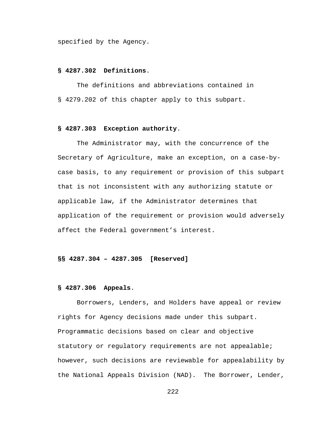specified by the Agency.

## **§ 4287.302 Definitions**.

The definitions and abbreviations contained in § 4279.202 of this chapter apply to this subpart.

# **§ 4287.303 Exception authority**.

The Administrator may, with the concurrence of the Secretary of Agriculture, make an exception, on a case-bycase basis, to any requirement or provision of this subpart that is not inconsistent with any authorizing statute or applicable law, if the Administrator determines that application of the requirement or provision would adversely affect the Federal government's interest.

#### **§§ 4287.304 – 4287.305 [Reserved]**

#### **§ 4287.306 Appeals**.

Borrowers, Lenders, and Holders have appeal or review rights for Agency decisions made under this subpart. Programmatic decisions based on clear and objective statutory or regulatory requirements are not appealable; however, such decisions are reviewable for appealability by the National Appeals Division (NAD). The Borrower, Lender,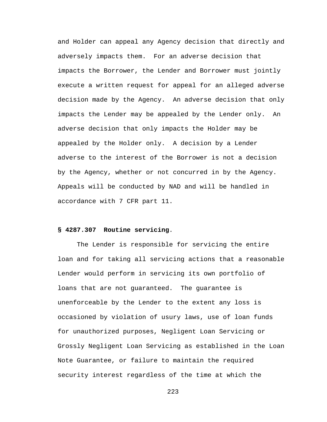and Holder can appeal any Agency decision that directly and adversely impacts them. For an adverse decision that impacts the Borrower, the Lender and Borrower must jointly execute a written request for appeal for an alleged adverse decision made by the Agency. An adverse decision that only impacts the Lender may be appealed by the Lender only. An adverse decision that only impacts the Holder may be appealed by the Holder only. A decision by a Lender adverse to the interest of the Borrower is not a decision by the Agency, whether or not concurred in by the Agency. Appeals will be conducted by NAD and will be handled in accordance with 7 CFR part 11.

# **§ 4287.307 Routine servicing**.

The Lender is responsible for servicing the entire loan and for taking all servicing actions that a reasonable Lender would perform in servicing its own portfolio of loans that are not guaranteed. The guarantee is unenforceable by the Lender to the extent any loss is occasioned by violation of usury laws, use of loan funds for unauthorized purposes, Negligent Loan Servicing or Grossly Negligent Loan Servicing as established in the Loan Note Guarantee, or failure to maintain the required security interest regardless of the time at which the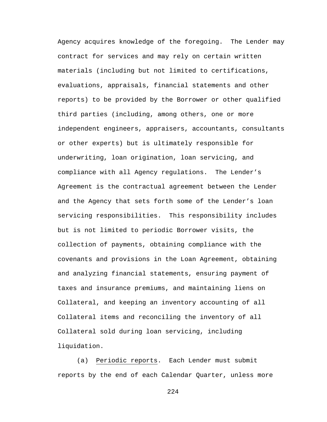Agency acquires knowledge of the foregoing. The Lender may contract for services and may rely on certain written materials (including but not limited to certifications, evaluations, appraisals, financial statements and other reports) to be provided by the Borrower or other qualified third parties (including, among others, one or more independent engineers, appraisers, accountants, consultants or other experts) but is ultimately responsible for underwriting, loan origination, loan servicing, and compliance with all Agency regulations. The Lender's Agreement is the contractual agreement between the Lender and the Agency that sets forth some of the Lender's loan servicing responsibilities. This responsibility includes but is not limited to periodic Borrower visits, the collection of payments, obtaining compliance with the covenants and provisions in the Loan Agreement, obtaining and analyzing financial statements, ensuring payment of taxes and insurance premiums, and maintaining liens on Collateral, and keeping an inventory accounting of all Collateral items and reconciling the inventory of all Collateral sold during loan servicing, including liquidation.

(a) Periodic reports. Each Lender must submit reports by the end of each Calendar Quarter, unless more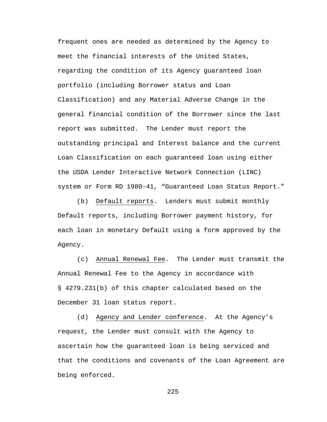frequent ones are needed as determined by the Agency to meet the financial interests of the United States, regarding the condition of its Agency guaranteed loan portfolio (including Borrower status and Loan Classification) and any Material Adverse Change in the general financial condition of the Borrower since the last report was submitted. The Lender must report the outstanding principal and Interest balance and the current Loan Classification on each guaranteed loan using either the USDA Lender Interactive Network Connection (LINC) system or Form RD 1980-41, "Guaranteed Loan Status Report."

(b) Default reports. Lenders must submit monthly Default reports, including Borrower payment history, for each loan in monetary Default using a form approved by the Agency.

(c) Annual Renewal Fee. The Lender must transmit the Annual Renewal Fee to the Agency in accordance with § 4279.231(b) of this chapter calculated based on the December 31 loan status report.

(d) Agency and Lender conference. At the Agency's request, the Lender must consult with the Agency to ascertain how the guaranteed loan is being serviced and that the conditions and covenants of the Loan Agreement are being enforced.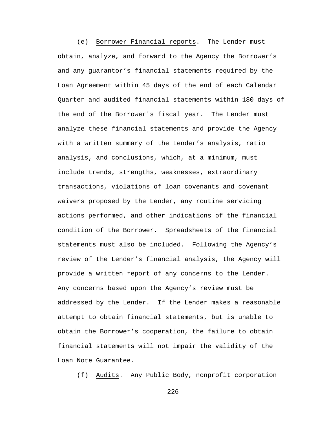(e) Borrower Financial reports. The Lender must obtain, analyze, and forward to the Agency the Borrower's and any guarantor's financial statements required by the Loan Agreement within 45 days of the end of each Calendar Quarter and audited financial statements within 180 days of the end of the Borrower's fiscal year. The Lender must analyze these financial statements and provide the Agency with a written summary of the Lender's analysis, ratio analysis, and conclusions, which, at a minimum, must include trends, strengths, weaknesses, extraordinary transactions, violations of loan covenants and covenant waivers proposed by the Lender, any routine servicing actions performed, and other indications of the financial condition of the Borrower. Spreadsheets of the financial statements must also be included. Following the Agency's review of the Lender's financial analysis, the Agency will provide a written report of any concerns to the Lender. Any concerns based upon the Agency's review must be addressed by the Lender. If the Lender makes a reasonable attempt to obtain financial statements, but is unable to obtain the Borrower's cooperation, the failure to obtain financial statements will not impair the validity of the Loan Note Guarantee.

(f) Audits. Any Public Body, nonprofit corporation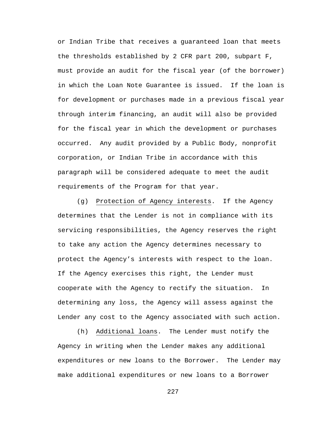or Indian Tribe that receives a guaranteed loan that meets the thresholds established by 2 CFR part 200, subpart F, must provide an audit for the fiscal year (of the borrower) in which the Loan Note Guarantee is issued. If the loan is for development or purchases made in a previous fiscal year through interim financing, an audit will also be provided for the fiscal year in which the development or purchases occurred. Any audit provided by a Public Body, nonprofit corporation, or Indian Tribe in accordance with this paragraph will be considered adequate to meet the audit requirements of the Program for that year.

(g) Protection of Agency interests. If the Agency determines that the Lender is not in compliance with its servicing responsibilities, the Agency reserves the right to take any action the Agency determines necessary to protect the Agency's interests with respect to the loan. If the Agency exercises this right, the Lender must cooperate with the Agency to rectify the situation. In determining any loss, the Agency will assess against the Lender any cost to the Agency associated with such action.

(h) Additional loans. The Lender must notify the Agency in writing when the Lender makes any additional expenditures or new loans to the Borrower. The Lender may make additional expenditures or new loans to a Borrower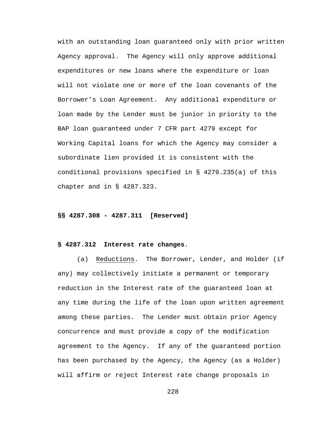with an outstanding loan guaranteed only with prior written Agency approval. The Agency will only approve additional expenditures or new loans where the expenditure or loan will not violate one or more of the loan covenants of the Borrower's Loan Agreement. Any additional expenditure or loan made by the Lender must be junior in priority to the BAP loan guaranteed under 7 CFR part 4279 except for Working Capital loans for which the Agency may consider a subordinate lien provided it is consistent with the conditional provisions specified in § 4279.235(a) of this chapter and in § 4287.323.

#### **§§ 4287.308 - 4287.311 [Reserved]**

### **§ 4287.312 Interest rate changes**.

(a) Reductions. The Borrower, Lender, and Holder (if any) may collectively initiate a permanent or temporary reduction in the Interest rate of the guaranteed loan at any time during the life of the loan upon written agreement among these parties. The Lender must obtain prior Agency concurrence and must provide a copy of the modification agreement to the Agency. If any of the guaranteed portion has been purchased by the Agency, the Agency (as a Holder) will affirm or reject Interest rate change proposals in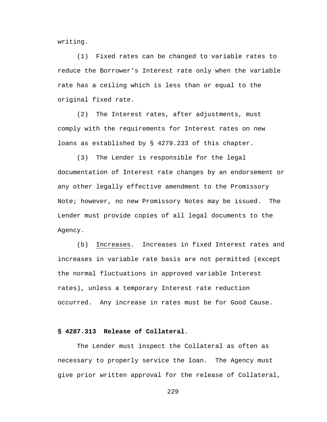writing.

(1) Fixed rates can be changed to variable rates to reduce the Borrower's Interest rate only when the variable rate has a ceiling which is less than or equal to the original fixed rate.

(2) The Interest rates, after adjustments, must comply with the requirements for Interest rates on new loans as established by § 4279.233 of this chapter.

(3) The Lender is responsible for the legal documentation of Interest rate changes by an endorsement or any other legally effective amendment to the Promissory Note; however, no new Promissory Notes may be issued. The Lender must provide copies of all legal documents to the Agency.

(b) Increases. Increases in fixed Interest rates and increases in variable rate basis are not permitted (except the normal fluctuations in approved variable Interest rates), unless a temporary Interest rate reduction occurred. Any increase in rates must be for Good Cause.

# **§ 4287.313 Release of Collateral**.

The Lender must inspect the Collateral as often as necessary to properly service the loan. The Agency must give prior written approval for the release of Collateral,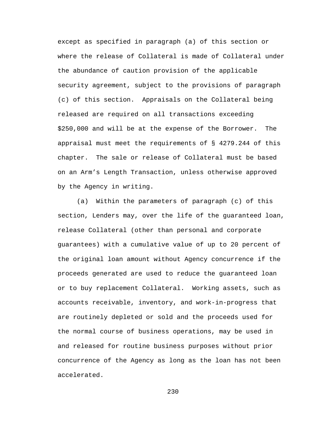except as specified in paragraph (a) of this section or where the release of Collateral is made of Collateral under the abundance of caution provision of the applicable security agreement, subject to the provisions of paragraph (c) of this section. Appraisals on the Collateral being released are required on all transactions exceeding \$250,000 and will be at the expense of the Borrower. The appraisal must meet the requirements of § 4279.244 of this chapter. The sale or release of Collateral must be based on an Arm's Length Transaction, unless otherwise approved by the Agency in writing.

(a) Within the parameters of paragraph (c) of this section, Lenders may, over the life of the guaranteed loan, release Collateral (other than personal and corporate guarantees) with a cumulative value of up to 20 percent of the original loan amount without Agency concurrence if the proceeds generated are used to reduce the guaranteed loan or to buy replacement Collateral. Working assets, such as accounts receivable, inventory, and work-in-progress that are routinely depleted or sold and the proceeds used for the normal course of business operations, may be used in and released for routine business purposes without prior concurrence of the Agency as long as the loan has not been accelerated.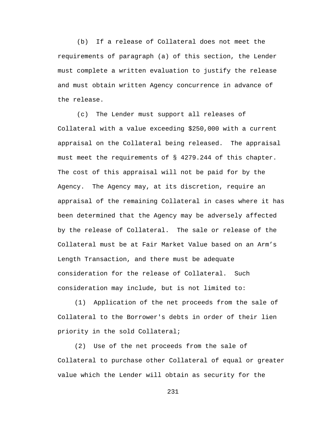(b) If a release of Collateral does not meet the requirements of paragraph (a) of this section, the Lender must complete a written evaluation to justify the release and must obtain written Agency concurrence in advance of the release.

(c) The Lender must support all releases of Collateral with a value exceeding \$250,000 with a current appraisal on the Collateral being released. The appraisal must meet the requirements of § 4279.244 of this chapter. The cost of this appraisal will not be paid for by the Agency. The Agency may, at its discretion, require an appraisal of the remaining Collateral in cases where it has been determined that the Agency may be adversely affected by the release of Collateral. The sale or release of the Collateral must be at Fair Market Value based on an Arm's Length Transaction, and there must be adequate consideration for the release of Collateral. Such consideration may include, but is not limited to:

(1) Application of the net proceeds from the sale of Collateral to the Borrower's debts in order of their lien priority in the sold Collateral;

(2) Use of the net proceeds from the sale of Collateral to purchase other Collateral of equal or greater value which the Lender will obtain as security for the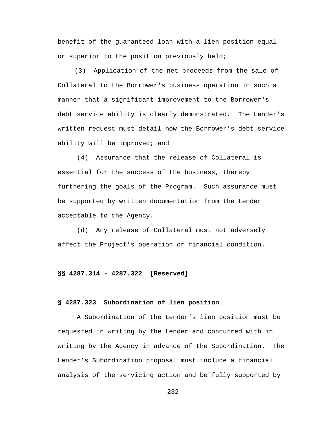benefit of the guaranteed loan with a lien position equal or superior to the position previously held;

(3) Application of the net proceeds from the sale of Collateral to the Borrower's business operation in such a manner that a significant improvement to the Borrower's debt service ability is clearly demonstrated. The Lender's written request must detail how the Borrower's debt service ability will be improved; and

(4) Assurance that the release of Collateral is essential for the success of the business, thereby furthering the goals of the Program. Such assurance must be supported by written documentation from the Lender acceptable to the Agency.

(d) Any release of Collateral must not adversely affect the Project's operation or financial condition.

**§§ 4287.314 - 4287.322 [Reserved]**

#### **§ 4287.323 Subordination of lien position**.

A Subordination of the Lender's lien position must be requested in writing by the Lender and concurred with in writing by the Agency in advance of the Subordination. The Lender's Subordination proposal must include a financial analysis of the servicing action and be fully supported by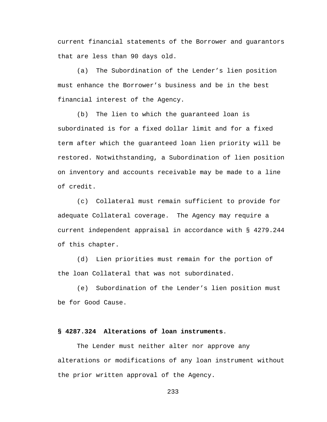current financial statements of the Borrower and guarantors that are less than 90 days old.

(a) The Subordination of the Lender's lien position must enhance the Borrower's business and be in the best financial interest of the Agency.

(b) The lien to which the guaranteed loan is subordinated is for a fixed dollar limit and for a fixed term after which the guaranteed loan lien priority will be restored. Notwithstanding, a Subordination of lien position on inventory and accounts receivable may be made to a line of credit.

(c) Collateral must remain sufficient to provide for adequate Collateral coverage. The Agency may require a current independent appraisal in accordance with § 4279.244 of this chapter.

(d) Lien priorities must remain for the portion of the loan Collateral that was not subordinated.

(e) Subordination of the Lender's lien position must be for Good Cause.

# **§ 4287.324 Alterations of loan instruments**.

The Lender must neither alter nor approve any alterations or modifications of any loan instrument without the prior written approval of the Agency.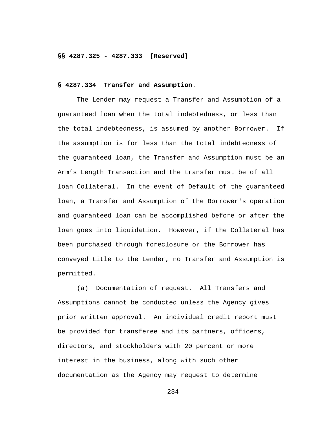#### **§§ 4287.325 - 4287.333 [Reserved]**

# **§ 4287.334 Transfer and Assumption**.

The Lender may request a Transfer and Assumption of a guaranteed loan when the total indebtedness, or less than the total indebtedness, is assumed by another Borrower. If the assumption is for less than the total indebtedness of the guaranteed loan, the Transfer and Assumption must be an Arm's Length Transaction and the transfer must be of all loan Collateral. In the event of Default of the guaranteed loan, a Transfer and Assumption of the Borrower's operation and guaranteed loan can be accomplished before or after the loan goes into liquidation. However, if the Collateral has been purchased through foreclosure or the Borrower has conveyed title to the Lender, no Transfer and Assumption is permitted.

(a) Documentation of request. All Transfers and Assumptions cannot be conducted unless the Agency gives prior written approval. An individual credit report must be provided for transferee and its partners, officers, directors, and stockholders with 20 percent or more interest in the business, along with such other documentation as the Agency may request to determine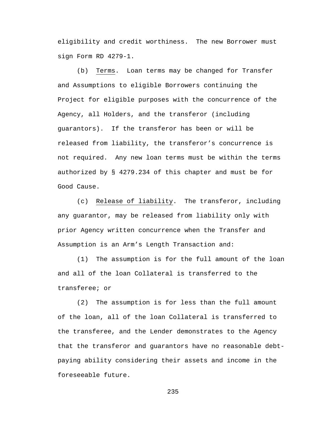eligibility and credit worthiness. The new Borrower must sign Form RD 4279-1.

(b) Terms. Loan terms may be changed for Transfer and Assumptions to eligible Borrowers continuing the Project for eligible purposes with the concurrence of the Agency, all Holders, and the transferor (including guarantors). If the transferor has been or will be released from liability, the transferor's concurrence is not required. Any new loan terms must be within the terms authorized by § 4279.234 of this chapter and must be for Good Cause.

(c) Release of liability. The transferor, including any guarantor, may be released from liability only with prior Agency written concurrence when the Transfer and Assumption is an Arm's Length Transaction and:

(1) The assumption is for the full amount of the loan and all of the loan Collateral is transferred to the transferee; or

(2) The assumption is for less than the full amount of the loan, all of the loan Collateral is transferred to the transferee, and the Lender demonstrates to the Agency that the transferor and guarantors have no reasonable debtpaying ability considering their assets and income in the foreseeable future.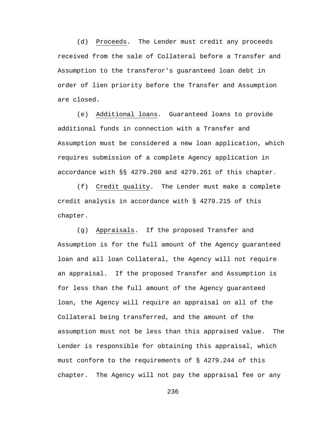(d) Proceeds. The Lender must credit any proceeds received from the sale of Collateral before a Transfer and Assumption to the transferor's guaranteed loan debt in order of lien priority before the Transfer and Assumption are closed.

(e) Additional loans. Guaranteed loans to provide additional funds in connection with a Transfer and Assumption must be considered a new loan application, which requires submission of a complete Agency application in accordance with §§ 4279.260 and 4279.261 of this chapter.

(f) Credit quality. The Lender must make a complete credit analysis in accordance with § 4279.215 of this chapter.

(g) Appraisals. If the proposed Transfer and Assumption is for the full amount of the Agency guaranteed loan and all loan Collateral, the Agency will not require an appraisal. If the proposed Transfer and Assumption is for less than the full amount of the Agency guaranteed loan, the Agency will require an appraisal on all of the Collateral being transferred, and the amount of the assumption must not be less than this appraised value. The Lender is responsible for obtaining this appraisal, which must conform to the requirements of § 4279.244 of this chapter. The Agency will not pay the appraisal fee or any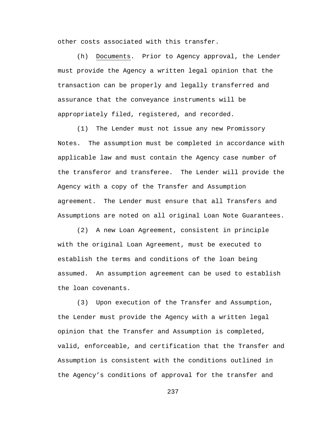other costs associated with this transfer.

(h) Documents. Prior to Agency approval, the Lender must provide the Agency a written legal opinion that the transaction can be properly and legally transferred and assurance that the conveyance instruments will be appropriately filed, registered, and recorded.

(1) The Lender must not issue any new Promissory Notes. The assumption must be completed in accordance with applicable law and must contain the Agency case number of the transferor and transferee. The Lender will provide the Agency with a copy of the Transfer and Assumption agreement. The Lender must ensure that all Transfers and Assumptions are noted on all original Loan Note Guarantees.

(2) A new Loan Agreement, consistent in principle with the original Loan Agreement, must be executed to establish the terms and conditions of the loan being assumed. An assumption agreement can be used to establish the loan covenants.

(3) Upon execution of the Transfer and Assumption, the Lender must provide the Agency with a written legal opinion that the Transfer and Assumption is completed, valid, enforceable, and certification that the Transfer and Assumption is consistent with the conditions outlined in the Agency's conditions of approval for the transfer and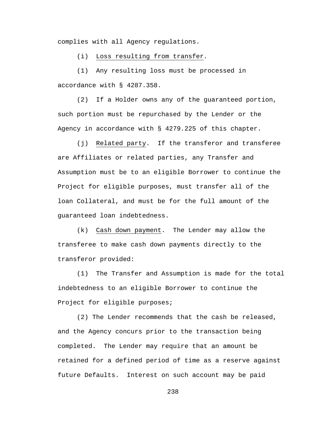complies with all Agency regulations.

(i) Loss resulting from transfer*.*

(1) Any resulting loss must be processed in accordance with § 4287.358.

(2) If a Holder owns any of the guaranteed portion, such portion must be repurchased by the Lender or the Agency in accordance with § 4279.225 of this chapter.

(j) Related party. If the transferor and transferee are Affiliates or related parties, any Transfer and Assumption must be to an eligible Borrower to continue the Project for eligible purposes, must transfer all of the loan Collateral, and must be for the full amount of the guaranteed loan indebtedness.

(k) Cash down payment. The Lender may allow the transferee to make cash down payments directly to the transferor provided:

(1) The Transfer and Assumption is made for the total indebtedness to an eligible Borrower to continue the Project for eligible purposes;

(2) The Lender recommends that the cash be released, and the Agency concurs prior to the transaction being completed. The Lender may require that an amount be retained for a defined period of time as a reserve against future Defaults. Interest on such account may be paid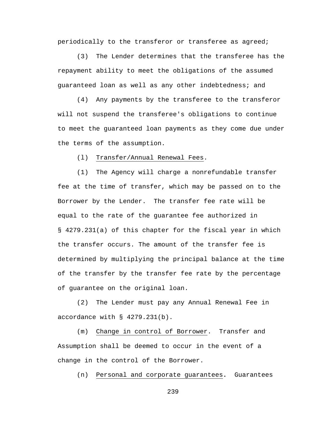periodically to the transferor or transferee as agreed;

(3) The Lender determines that the transferee has the repayment ability to meet the obligations of the assumed guaranteed loan as well as any other indebtedness; and

(4) Any payments by the transferee to the transferor will not suspend the transferee's obligations to continue to meet the guaranteed loan payments as they come due under the terms of the assumption.

(l) Transfer/Annual Renewal Fees.

(1) The Agency will charge a nonrefundable transfer fee at the time of transfer, which may be passed on to the Borrower by the Lender. The transfer fee rate will be equal to the rate of the guarantee fee authorized in § 4279.231(a) of this chapter for the fiscal year in which the transfer occurs. The amount of the transfer fee is determined by multiplying the principal balance at the time of the transfer by the transfer fee rate by the percentage of guarantee on the original loan.

(2) The Lender must pay any Annual Renewal Fee in accordance with § 4279.231(b).

(m) Change in control of Borrower. Transfer and Assumption shall be deemed to occur in the event of a change in the control of the Borrower.

(n) Personal and corporate guarantees**.** Guarantees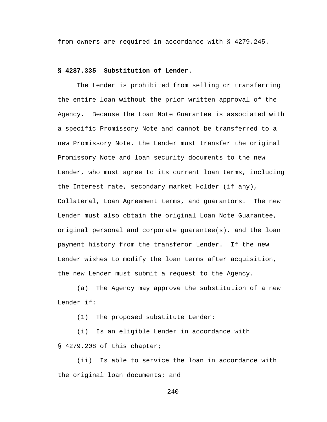from owners are required in accordance with § 4279.245.

# **§ 4287.335 Substitution of Lender**.

The Lender is prohibited from selling or transferring the entire loan without the prior written approval of the Agency. Because the Loan Note Guarantee is associated with a specific Promissory Note and cannot be transferred to a new Promissory Note, the Lender must transfer the original Promissory Note and loan security documents to the new Lender, who must agree to its current loan terms, including the Interest rate, secondary market Holder (if any), Collateral, Loan Agreement terms, and guarantors. The new Lender must also obtain the original Loan Note Guarantee, original personal and corporate guarantee(s), and the loan payment history from the transferor Lender. If the new Lender wishes to modify the loan terms after acquisition, the new Lender must submit a request to the Agency.

(a) The Agency may approve the substitution of a new Lender if:

(1) The proposed substitute Lender:

(i) Is an eligible Lender in accordance with § 4279.208 of this chapter;

(ii) Is able to service the loan in accordance with the original loan documents; and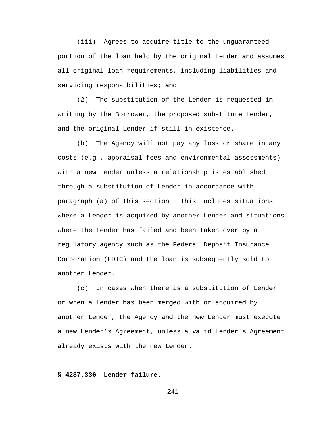(iii) Agrees to acquire title to the unguaranteed portion of the loan held by the original Lender and assumes all original loan requirements, including liabilities and servicing responsibilities; and

(2) The substitution of the Lender is requested in writing by the Borrower, the proposed substitute Lender, and the original Lender if still in existence.

(b) The Agency will not pay any loss or share in any costs (e.g., appraisal fees and environmental assessments) with a new Lender unless a relationship is established through a substitution of Lender in accordance with paragraph (a) of this section. This includes situations where a Lender is acquired by another Lender and situations where the Lender has failed and been taken over by a regulatory agency such as the Federal Deposit Insurance Corporation (FDIC) and the loan is subsequently sold to another Lender.

(c) In cases when there is a substitution of Lender or when a Lender has been merged with or acquired by another Lender, the Agency and the new Lender must execute a new Lender's Agreement, unless a valid Lender's Agreement already exists with the new Lender.

# **§ 4287.336 Lender failure**.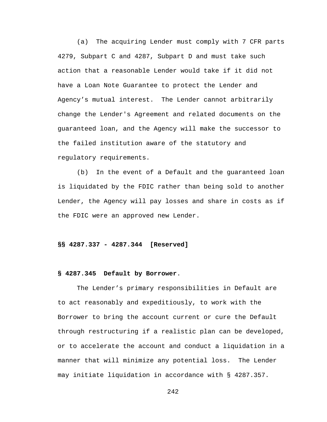(a) The acquiring Lender must comply with 7 CFR parts 4279, Subpart C and 4287, Subpart D and must take such action that a reasonable Lender would take if it did not have a Loan Note Guarantee to protect the Lender and Agency's mutual interest. The Lender cannot arbitrarily change the Lender's Agreement and related documents on the guaranteed loan, and the Agency will make the successor to the failed institution aware of the statutory and regulatory requirements.

(b) In the event of a Default and the guaranteed loan is liquidated by the FDIC rather than being sold to another Lender, the Agency will pay losses and share in costs as if the FDIC were an approved new Lender.

#### **§§ 4287.337 - 4287.344 [Reserved]**

#### **§ 4287.345 Default by Borrower**.

The Lender's primary responsibilities in Default are to act reasonably and expeditiously, to work with the Borrower to bring the account current or cure the Default through restructuring if a realistic plan can be developed, or to accelerate the account and conduct a liquidation in a manner that will minimize any potential loss. The Lender may initiate liquidation in accordance with § 4287.357.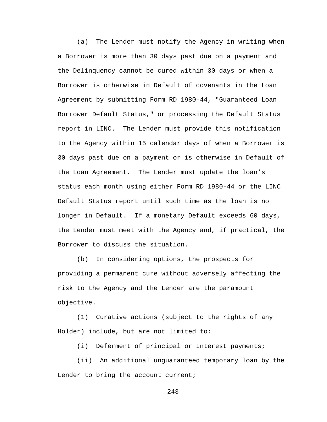(a) The Lender must notify the Agency in writing when a Borrower is more than 30 days past due on a payment and the Delinquency cannot be cured within 30 days or when a Borrower is otherwise in Default of covenants in the Loan Agreement by submitting Form RD 1980-44, "Guaranteed Loan Borrower Default Status," or processing the Default Status report in LINC. The Lender must provide this notification to the Agency within 15 calendar days of when a Borrower is 30 days past due on a payment or is otherwise in Default of the Loan Agreement. The Lender must update the loan's status each month using either Form RD 1980-44 or the LINC Default Status report until such time as the loan is no longer in Default. If a monetary Default exceeds 60 days, the Lender must meet with the Agency and, if practical, the Borrower to discuss the situation.

(b) In considering options, the prospects for providing a permanent cure without adversely affecting the risk to the Agency and the Lender are the paramount objective.

(1) Curative actions (subject to the rights of any Holder) include, but are not limited to:

(i) Deferment of principal or Interest payments;

(ii) An additional unguaranteed temporary loan by the Lender to bring the account current;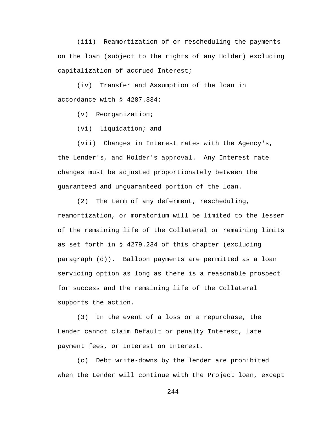(iii) Reamortization of or rescheduling the payments on the loan (subject to the rights of any Holder) excluding capitalization of accrued Interest;

(iv) Transfer and Assumption of the loan in accordance with § 4287.334;

(v) Reorganization;

(vi) Liquidation; and

(vii) Changes in Interest rates with the Agency's, the Lender's, and Holder's approval. Any Interest rate changes must be adjusted proportionately between the guaranteed and unguaranteed portion of the loan.

(2) The term of any deferment, rescheduling, reamortization, or moratorium will be limited to the lesser of the remaining life of the Collateral or remaining limits as set forth in § 4279.234 of this chapter (excluding paragraph (d)). Balloon payments are permitted as a loan servicing option as long as there is a reasonable prospect for success and the remaining life of the Collateral supports the action.

(3) In the event of a loss or a repurchase, the Lender cannot claim Default or penalty Interest, late payment fees, or Interest on Interest.

(c) Debt write-downs by the lender are prohibited when the Lender will continue with the Project loan, except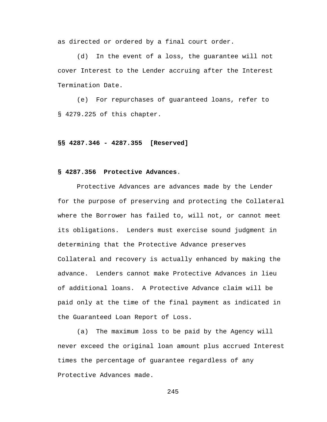as directed or ordered by a final court order.

(d) In the event of a loss, the guarantee will not cover Interest to the Lender accruing after the Interest Termination Date.

(e) For repurchases of guaranteed loans, refer to § 4279.225 of this chapter.

#### **§§ 4287.346 - 4287.355 [Reserved]**

# **§ 4287.356 Protective Advances**.

Protective Advances are advances made by the Lender for the purpose of preserving and protecting the Collateral where the Borrower has failed to, will not, or cannot meet its obligations. Lenders must exercise sound judgment in determining that the Protective Advance preserves Collateral and recovery is actually enhanced by making the advance. Lenders cannot make Protective Advances in lieu of additional loans. A Protective Advance claim will be paid only at the time of the final payment as indicated in the Guaranteed Loan Report of Loss.

(a) The maximum loss to be paid by the Agency will never exceed the original loan amount plus accrued Interest times the percentage of guarantee regardless of any Protective Advances made.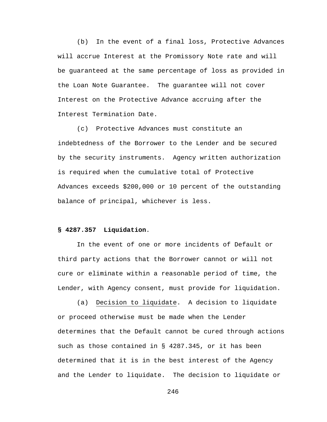(b) In the event of a final loss, Protective Advances will accrue Interest at the Promissory Note rate and will be guaranteed at the same percentage of loss as provided in the Loan Note Guarantee. The guarantee will not cover Interest on the Protective Advance accruing after the Interest Termination Date.

(c) Protective Advances must constitute an indebtedness of the Borrower to the Lender and be secured by the security instruments. Agency written authorization is required when the cumulative total of Protective Advances exceeds \$200,000 or 10 percent of the outstanding balance of principal, whichever is less.

# **§ 4287.357 Liquidation**.

In the event of one or more incidents of Default or third party actions that the Borrower cannot or will not cure or eliminate within a reasonable period of time, the Lender, with Agency consent, must provide for liquidation.

(a) Decision to liquidate. A decision to liquidate or proceed otherwise must be made when the Lender determines that the Default cannot be cured through actions such as those contained in § 4287.345, or it has been determined that it is in the best interest of the Agency and the Lender to liquidate. The decision to liquidate or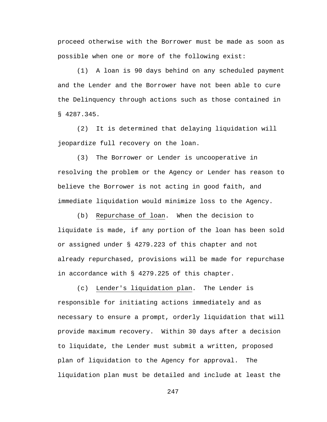proceed otherwise with the Borrower must be made as soon as possible when one or more of the following exist:

(1) A loan is 90 days behind on any scheduled payment and the Lender and the Borrower have not been able to cure the Delinquency through actions such as those contained in § 4287.345.

(2) It is determined that delaying liquidation will jeopardize full recovery on the loan.

(3) The Borrower or Lender is uncooperative in resolving the problem or the Agency or Lender has reason to believe the Borrower is not acting in good faith, and immediate liquidation would minimize loss to the Agency.

(b) Repurchase of loan. When the decision to liquidate is made, if any portion of the loan has been sold or assigned under § 4279.223 of this chapter and not already repurchased, provisions will be made for repurchase in accordance with § 4279.225 of this chapter.

(c) Lender's liquidation plan. The Lender is responsible for initiating actions immediately and as necessary to ensure a prompt, orderly liquidation that will provide maximum recovery. Within 30 days after a decision to liquidate, the Lender must submit a written, proposed plan of liquidation to the Agency for approval. The liquidation plan must be detailed and include at least the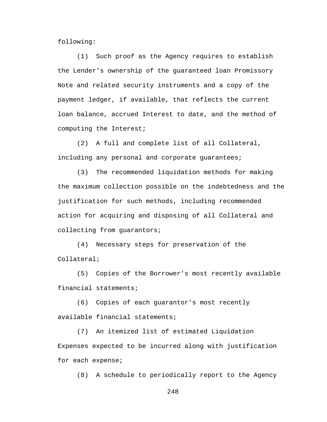following:

(1) Such proof as the Agency requires to establish the Lender's ownership of the guaranteed loan Promissory Note and related security instruments and a copy of the payment ledger, if available, that reflects the current loan balance, accrued Interest to date, and the method of computing the Interest;

(2) A full and complete list of all Collateral, including any personal and corporate guarantees;

(3) The recommended liquidation methods for making the maximum collection possible on the indebtedness and the justification for such methods, including recommended action for acquiring and disposing of all Collateral and collecting from guarantors;

(4) Necessary steps for preservation of the Collateral;

(5) Copies of the Borrower's most recently available financial statements;

(6) Copies of each guarantor's most recently available financial statements;

(7) An itemized list of estimated Liquidation Expenses expected to be incurred along with justification for each expense;

(8) A schedule to periodically report to the Agency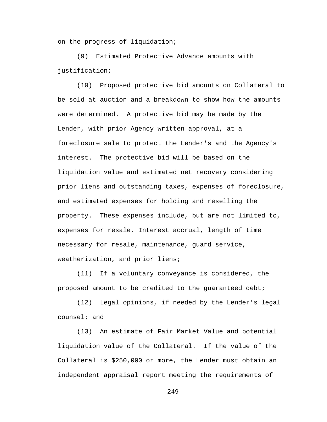on the progress of liquidation;

(9) Estimated Protective Advance amounts with justification;

(10) Proposed protective bid amounts on Collateral to be sold at auction and a breakdown to show how the amounts were determined. A protective bid may be made by the Lender, with prior Agency written approval, at a foreclosure sale to protect the Lender's and the Agency's interest. The protective bid will be based on the liquidation value and estimated net recovery considering prior liens and outstanding taxes, expenses of foreclosure, and estimated expenses for holding and reselling the property. These expenses include, but are not limited to, expenses for resale, Interest accrual, length of time necessary for resale, maintenance, guard service, weatherization, and prior liens;

(11) If a voluntary conveyance is considered, the proposed amount to be credited to the guaranteed debt;

(12) Legal opinions, if needed by the Lender's legal counsel; and

(13) An estimate of Fair Market Value and potential liquidation value of the Collateral. If the value of the Collateral is \$250,000 or more, the Lender must obtain an independent appraisal report meeting the requirements of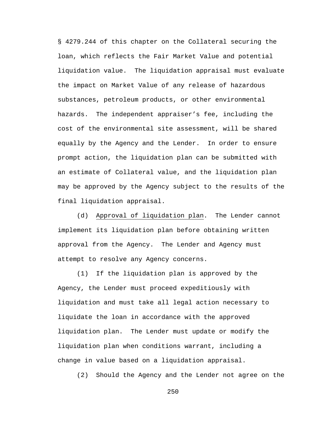§ 4279.244 of this chapter on the Collateral securing the loan, which reflects the Fair Market Value and potential liquidation value. The liquidation appraisal must evaluate the impact on Market Value of any release of hazardous substances, petroleum products, or other environmental hazards. The independent appraiser's fee, including the cost of the environmental site assessment, will be shared equally by the Agency and the Lender. In order to ensure prompt action, the liquidation plan can be submitted with an estimate of Collateral value, and the liquidation plan may be approved by the Agency subject to the results of the final liquidation appraisal.

(d) Approval of liquidation plan. The Lender cannot implement its liquidation plan before obtaining written approval from the Agency. The Lender and Agency must attempt to resolve any Agency concerns.

(1) If the liquidation plan is approved by the Agency, the Lender must proceed expeditiously with liquidation and must take all legal action necessary to liquidate the loan in accordance with the approved liquidation plan. The Lender must update or modify the liquidation plan when conditions warrant, including a change in value based on a liquidation appraisal.

(2) Should the Agency and the Lender not agree on the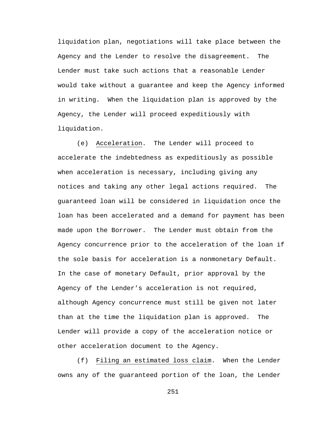liquidation plan, negotiations will take place between the Agency and the Lender to resolve the disagreement. The Lender must take such actions that a reasonable Lender would take without a guarantee and keep the Agency informed in writing. When the liquidation plan is approved by the Agency, the Lender will proceed expeditiously with liquidation.

(e) Acceleration. The Lender will proceed to accelerate the indebtedness as expeditiously as possible when acceleration is necessary, including giving any notices and taking any other legal actions required. The guaranteed loan will be considered in liquidation once the loan has been accelerated and a demand for payment has been made upon the Borrower. The Lender must obtain from the Agency concurrence prior to the acceleration of the loan if the sole basis for acceleration is a nonmonetary Default. In the case of monetary Default, prior approval by the Agency of the Lender's acceleration is not required, although Agency concurrence must still be given not later than at the time the liquidation plan is approved. The Lender will provide a copy of the acceleration notice or other acceleration document to the Agency.

(f) Filing an estimated loss claim. When the Lender owns any of the guaranteed portion of the loan, the Lender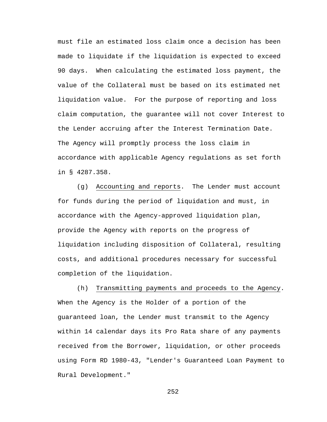must file an estimated loss claim once a decision has been made to liquidate if the liquidation is expected to exceed 90 days. When calculating the estimated loss payment, the value of the Collateral must be based on its estimated net liquidation value. For the purpose of reporting and loss claim computation, the guarantee will not cover Interest to the Lender accruing after the Interest Termination Date. The Agency will promptly process the loss claim in accordance with applicable Agency regulations as set forth in § 4287.358.

(g) Accounting and reports. The Lender must account for funds during the period of liquidation and must, in accordance with the Agency-approved liquidation plan, provide the Agency with reports on the progress of liquidation including disposition of Collateral, resulting costs, and additional procedures necessary for successful completion of the liquidation.

(h) Transmitting payments and proceeds to the Agency. When the Agency is the Holder of a portion of the guaranteed loan, the Lender must transmit to the Agency within 14 calendar days its Pro Rata share of any payments received from the Borrower, liquidation, or other proceeds using Form RD 1980-43, "Lender's Guaranteed Loan Payment to Rural Development."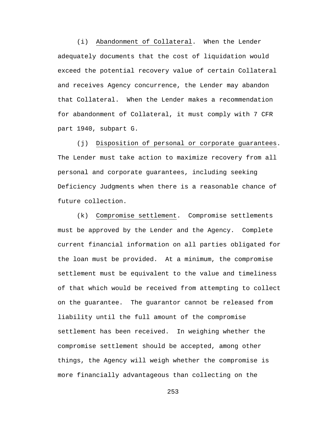(i) Abandonment of Collateral. When the Lender adequately documents that the cost of liquidation would exceed the potential recovery value of certain Collateral and receives Agency concurrence, the Lender may abandon that Collateral. When the Lender makes a recommendation for abandonment of Collateral, it must comply with 7 CFR part 1940, subpart G.

(j) Disposition of personal or corporate guarantees. The Lender must take action to maximize recovery from all personal and corporate guarantees, including seeking Deficiency Judgments when there is a reasonable chance of future collection.

(k) Compromise settlement. Compromise settlements must be approved by the Lender and the Agency. Complete current financial information on all parties obligated for the loan must be provided. At a minimum, the compromise settlement must be equivalent to the value and timeliness of that which would be received from attempting to collect on the guarantee. The guarantor cannot be released from liability until the full amount of the compromise settlement has been received. In weighing whether the compromise settlement should be accepted, among other things, the Agency will weigh whether the compromise is more financially advantageous than collecting on the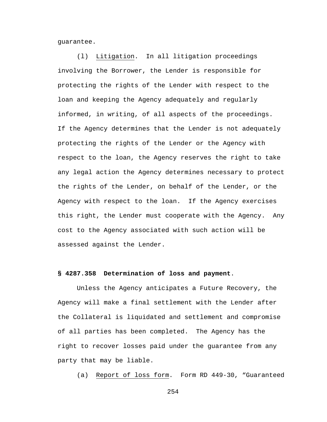guarantee.

(l) Litigation. In all litigation proceedings involving the Borrower, the Lender is responsible for protecting the rights of the Lender with respect to the loan and keeping the Agency adequately and regularly informed, in writing, of all aspects of the proceedings. If the Agency determines that the Lender is not adequately protecting the rights of the Lender or the Agency with respect to the loan, the Agency reserves the right to take any legal action the Agency determines necessary to protect the rights of the Lender, on behalf of the Lender, or the Agency with respect to the loan. If the Agency exercises this right, the Lender must cooperate with the Agency. Any cost to the Agency associated with such action will be assessed against the Lender.

## **§ 4287.358 Determination of loss and payment**.

Unless the Agency anticipates a Future Recovery, the Agency will make a final settlement with the Lender after the Collateral is liquidated and settlement and compromise of all parties has been completed. The Agency has the right to recover losses paid under the guarantee from any party that may be liable.

(a) Report of loss form. Form RD 449-30, "Guaranteed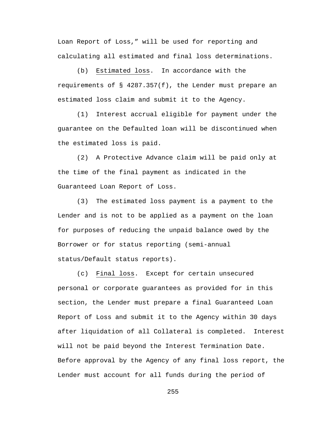Loan Report of Loss," will be used for reporting and calculating all estimated and final loss determinations.

(b) Estimated loss. In accordance with the requirements of  $\S$  4287.357(f), the Lender must prepare an estimated loss claim and submit it to the Agency.

(1) Interest accrual eligible for payment under the guarantee on the Defaulted loan will be discontinued when the estimated loss is paid.

(2) A Protective Advance claim will be paid only at the time of the final payment as indicated in the Guaranteed Loan Report of Loss.

(3) The estimated loss payment is a payment to the Lender and is not to be applied as a payment on the loan for purposes of reducing the unpaid balance owed by the Borrower or for status reporting (semi-annual status/Default status reports).

(c) Final loss. Except for certain unsecured personal or corporate guarantees as provided for in this section, the Lender must prepare a final Guaranteed Loan Report of Loss and submit it to the Agency within 30 days after liquidation of all Collateral is completed. Interest will not be paid beyond the Interest Termination Date. Before approval by the Agency of any final loss report, the Lender must account for all funds during the period of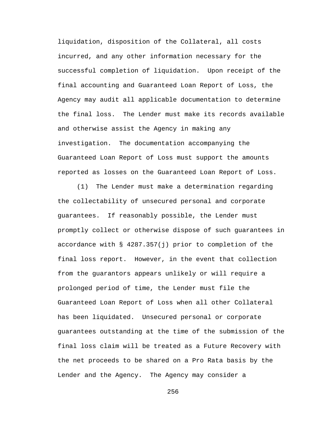liquidation, disposition of the Collateral, all costs incurred, and any other information necessary for the successful completion of liquidation. Upon receipt of the final accounting and Guaranteed Loan Report of Loss, the Agency may audit all applicable documentation to determine the final loss. The Lender must make its records available and otherwise assist the Agency in making any investigation. The documentation accompanying the Guaranteed Loan Report of Loss must support the amounts reported as losses on the Guaranteed Loan Report of Loss.

(1) The Lender must make a determination regarding the collectability of unsecured personal and corporate guarantees. If reasonably possible, the Lender must promptly collect or otherwise dispose of such guarantees in accordance with § 4287.357(j) prior to completion of the final loss report. However, in the event that collection from the guarantors appears unlikely or will require a prolonged period of time, the Lender must file the Guaranteed Loan Report of Loss when all other Collateral has been liquidated. Unsecured personal or corporate guarantees outstanding at the time of the submission of the final loss claim will be treated as a Future Recovery with the net proceeds to be shared on a Pro Rata basis by the Lender and the Agency. The Agency may consider a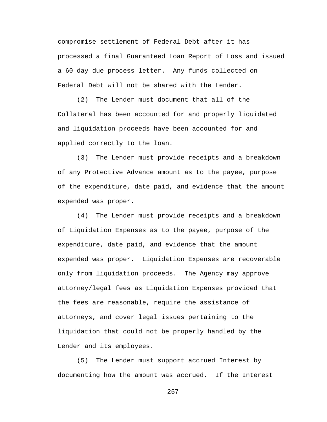compromise settlement of Federal Debt after it has processed a final Guaranteed Loan Report of Loss and issued a 60 day due process letter. Any funds collected on Federal Debt will not be shared with the Lender.

(2) The Lender must document that all of the Collateral has been accounted for and properly liquidated and liquidation proceeds have been accounted for and applied correctly to the loan.

(3) The Lender must provide receipts and a breakdown of any Protective Advance amount as to the payee, purpose of the expenditure, date paid, and evidence that the amount expended was proper.

(4) The Lender must provide receipts and a breakdown of Liquidation Expenses as to the payee, purpose of the expenditure, date paid, and evidence that the amount expended was proper. Liquidation Expenses are recoverable only from liquidation proceeds. The Agency may approve attorney/legal fees as Liquidation Expenses provided that the fees are reasonable, require the assistance of attorneys, and cover legal issues pertaining to the liquidation that could not be properly handled by the Lender and its employees.

(5) The Lender must support accrued Interest by documenting how the amount was accrued. If the Interest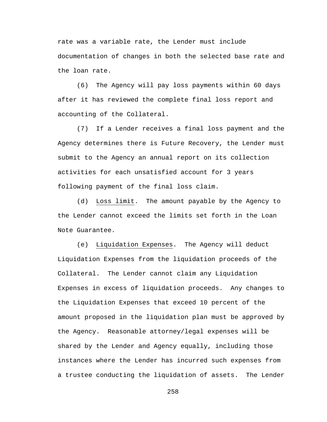rate was a variable rate, the Lender must include documentation of changes in both the selected base rate and the loan rate.

(6) The Agency will pay loss payments within 60 days after it has reviewed the complete final loss report and accounting of the Collateral.

(7) If a Lender receives a final loss payment and the Agency determines there is Future Recovery, the Lender must submit to the Agency an annual report on its collection activities for each unsatisfied account for 3 years following payment of the final loss claim.

(d) Loss limit. The amount payable by the Agency to the Lender cannot exceed the limits set forth in the Loan Note Guarantee.

(e) Liquidation Expenses. The Agency will deduct Liquidation Expenses from the liquidation proceeds of the Collateral. The Lender cannot claim any Liquidation Expenses in excess of liquidation proceeds. Any changes to the Liquidation Expenses that exceed 10 percent of the amount proposed in the liquidation plan must be approved by the Agency. Reasonable attorney/legal expenses will be shared by the Lender and Agency equally, including those instances where the Lender has incurred such expenses from a trustee conducting the liquidation of assets. The Lender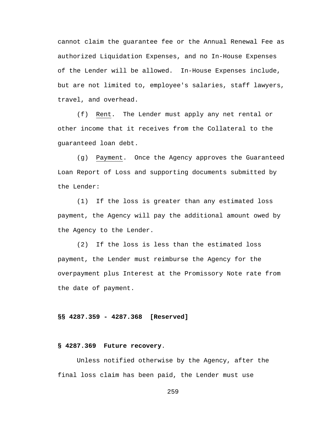cannot claim the guarantee fee or the Annual Renewal Fee as authorized Liquidation Expenses, and no In-House Expenses of the Lender will be allowed. In-House Expenses include, but are not limited to, employee's salaries, staff lawyers, travel, and overhead.

(f) Rent. The Lender must apply any net rental or other income that it receives from the Collateral to the guaranteed loan debt.

(g) Payment. Once the Agency approves the Guaranteed Loan Report of Loss and supporting documents submitted by the Lender:

(1) If the loss is greater than any estimated loss payment, the Agency will pay the additional amount owed by the Agency to the Lender.

(2) If the loss is less than the estimated loss payment, the Lender must reimburse the Agency for the overpayment plus Interest at the Promissory Note rate from the date of payment.

# **§§ 4287.359 - 4287.368 [Reserved]**

### **§ 4287.369 Future recovery**.

Unless notified otherwise by the Agency, after the final loss claim has been paid, the Lender must use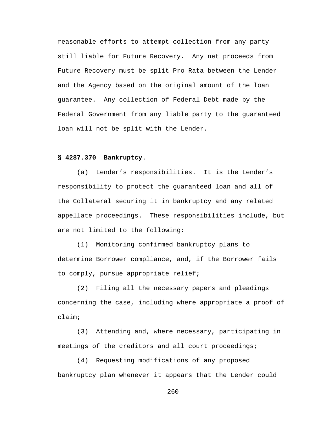reasonable efforts to attempt collection from any party still liable for Future Recovery. Any net proceeds from Future Recovery must be split Pro Rata between the Lender and the Agency based on the original amount of the loan guarantee. Any collection of Federal Debt made by the Federal Government from any liable party to the guaranteed loan will not be split with the Lender.

## **§ 4287.370 Bankruptcy**.

(a) Lender's responsibilities. It is the Lender's responsibility to protect the guaranteed loan and all of the Collateral securing it in bankruptcy and any related appellate proceedings. These responsibilities include, but are not limited to the following:

(1) Monitoring confirmed bankruptcy plans to determine Borrower compliance, and, if the Borrower fails to comply, pursue appropriate relief;

(2) Filing all the necessary papers and pleadings concerning the case, including where appropriate a proof of claim;

(3) Attending and, where necessary, participating in meetings of the creditors and all court proceedings;

(4) Requesting modifications of any proposed bankruptcy plan whenever it appears that the Lender could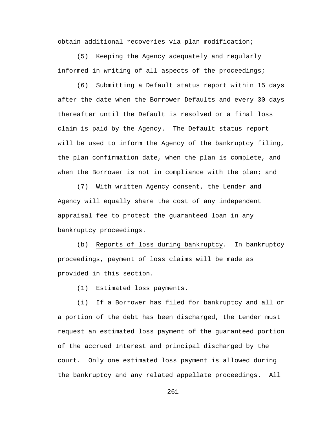obtain additional recoveries via plan modification;

(5) Keeping the Agency adequately and regularly informed in writing of all aspects of the proceedings;

(6) Submitting a Default status report within 15 days after the date when the Borrower Defaults and every 30 days thereafter until the Default is resolved or a final loss claim is paid by the Agency. The Default status report will be used to inform the Agency of the bankruptcy filing, the plan confirmation date, when the plan is complete, and when the Borrower is not in compliance with the plan; and

(7) With written Agency consent, the Lender and Agency will equally share the cost of any independent appraisal fee to protect the guaranteed loan in any bankruptcy proceedings.

(b) Reports of loss during bankruptcy. In bankruptcy proceedings, payment of loss claims will be made as provided in this section.

(1) Estimated loss payments.

(i) If a Borrower has filed for bankruptcy and all or a portion of the debt has been discharged, the Lender must request an estimated loss payment of the guaranteed portion of the accrued Interest and principal discharged by the court. Only one estimated loss payment is allowed during the bankruptcy and any related appellate proceedings. All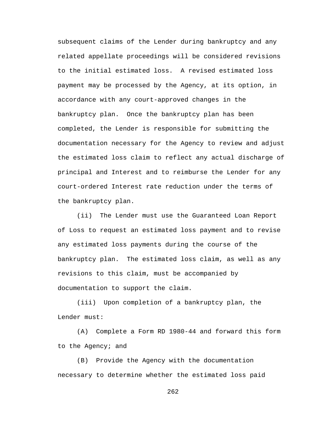subsequent claims of the Lender during bankruptcy and any related appellate proceedings will be considered revisions to the initial estimated loss. A revised estimated loss payment may be processed by the Agency, at its option, in accordance with any court-approved changes in the bankruptcy plan. Once the bankruptcy plan has been completed, the Lender is responsible for submitting the documentation necessary for the Agency to review and adjust the estimated loss claim to reflect any actual discharge of principal and Interest and to reimburse the Lender for any court-ordered Interest rate reduction under the terms of the bankruptcy plan.

(ii) The Lender must use the Guaranteed Loan Report of Loss to request an estimated loss payment and to revise any estimated loss payments during the course of the bankruptcy plan. The estimated loss claim, as well as any revisions to this claim, must be accompanied by documentation to support the claim.

(iii) Upon completion of a bankruptcy plan, the Lender must:

(A) Complete a Form RD 1980-44 and forward this form to the Agency; and

(B) Provide the Agency with the documentation necessary to determine whether the estimated loss paid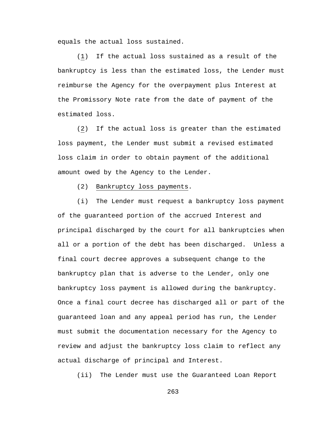equals the actual loss sustained.

(1) If the actual loss sustained as a result of the bankruptcy is less than the estimated loss, the Lender must reimburse the Agency for the overpayment plus Interest at the Promissory Note rate from the date of payment of the estimated loss.

(2) If the actual loss is greater than the estimated loss payment, the Lender must submit a revised estimated loss claim in order to obtain payment of the additional amount owed by the Agency to the Lender.

### (2) Bankruptcy loss payments.

(i) The Lender must request a bankruptcy loss payment of the guaranteed portion of the accrued Interest and principal discharged by the court for all bankruptcies when all or a portion of the debt has been discharged. Unless a final court decree approves a subsequent change to the bankruptcy plan that is adverse to the Lender, only one bankruptcy loss payment is allowed during the bankruptcy. Once a final court decree has discharged all or part of the guaranteed loan and any appeal period has run, the Lender must submit the documentation necessary for the Agency to review and adjust the bankruptcy loss claim to reflect any actual discharge of principal and Interest.

(ii) The Lender must use the Guaranteed Loan Report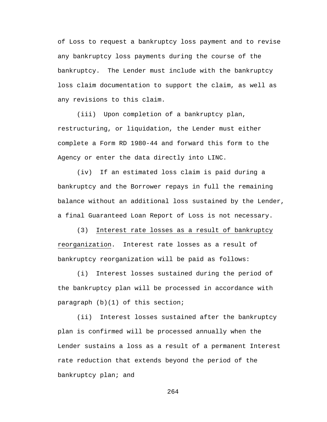of Loss to request a bankruptcy loss payment and to revise any bankruptcy loss payments during the course of the bankruptcy. The Lender must include with the bankruptcy loss claim documentation to support the claim, as well as any revisions to this claim.

(iii) Upon completion of a bankruptcy plan, restructuring, or liquidation, the Lender must either complete a Form RD 1980-44 and forward this form to the Agency or enter the data directly into LINC.

(iv) If an estimated loss claim is paid during a bankruptcy and the Borrower repays in full the remaining balance without an additional loss sustained by the Lender, a final Guaranteed Loan Report of Loss is not necessary.

(3) Interest rate losses as a result of bankruptcy reorganization. Interest rate losses as a result of bankruptcy reorganization will be paid as follows:

(i) Interest losses sustained during the period of the bankruptcy plan will be processed in accordance with paragraph (b)(1) of this section;

(ii) Interest losses sustained after the bankruptcy plan is confirmed will be processed annually when the Lender sustains a loss as a result of a permanent Interest rate reduction that extends beyond the period of the bankruptcy plan; and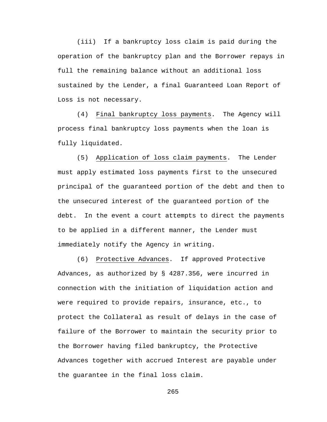(iii) If a bankruptcy loss claim is paid during the operation of the bankruptcy plan and the Borrower repays in full the remaining balance without an additional loss sustained by the Lender, a final Guaranteed Loan Report of Loss is not necessary.

(4) Final bankruptcy loss payments. The Agency will process final bankruptcy loss payments when the loan is fully liquidated.

(5) Application of loss claim payments. The Lender must apply estimated loss payments first to the unsecured principal of the guaranteed portion of the debt and then to the unsecured interest of the guaranteed portion of the debt. In the event a court attempts to direct the payments to be applied in a different manner, the Lender must immediately notify the Agency in writing.

(6) Protective Advances. If approved Protective Advances, as authorized by § 4287.356, were incurred in connection with the initiation of liquidation action and were required to provide repairs, insurance, etc., to protect the Collateral as result of delays in the case of failure of the Borrower to maintain the security prior to the Borrower having filed bankruptcy, the Protective Advances together with accrued Interest are payable under the guarantee in the final loss claim.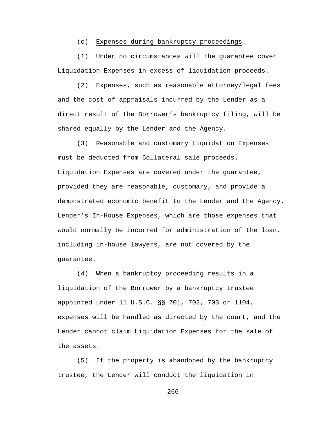## (c) Expenses during bankruptcy proceedings.

(1) Under no circumstances will the guarantee cover Liquidation Expenses in excess of liquidation proceeds.

(2) Expenses, such as reasonable attorney/legal fees and the cost of appraisals incurred by the Lender as a direct result of the Borrower's bankruptcy filing, will be shared equally by the Lender and the Agency.

(3) Reasonable and customary Liquidation Expenses must be deducted from Collateral sale proceeds. Liquidation Expenses are covered under the guarantee, provided they are reasonable, customary, and provide a demonstrated economic benefit to the Lender and the Agency. Lender's In-House Expenses, which are those expenses that would normally be incurred for administration of the loan, including in-house lawyers, are not covered by the guarantee.

(4) When a bankruptcy proceeding results in a liquidation of the Borrower by a bankruptcy trustee appointed under 11 U.S.C. §§ 701, 702, 703 or 1104, expenses will be handled as directed by the court, and the Lender cannot claim Liquidation Expenses for the sale of the assets.

(5) If the property is abandoned by the bankruptcy trustee, the Lender will conduct the liquidation in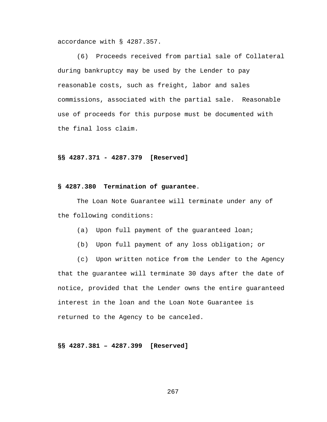accordance with § 4287.357.

(6) Proceeds received from partial sale of Collateral during bankruptcy may be used by the Lender to pay reasonable costs, such as freight, labor and sales commissions, associated with the partial sale. Reasonable use of proceeds for this purpose must be documented with the final loss claim.

### **§§ 4287.371 - 4287.379 [Reserved]**

#### **§ 4287.380 Termination of guarantee**.

The Loan Note Guarantee will terminate under any of the following conditions:

- (a) Upon full payment of the guaranteed loan;
- (b) Upon full payment of any loss obligation; or
- (c) Upon written notice from the Lender to the Agency

that the guarantee will terminate 30 days after the date of notice, provided that the Lender owns the entire guaranteed interest in the loan and the Loan Note Guarantee is returned to the Agency to be canceled.

**§§ 4287.381 – 4287.399 [Reserved]**